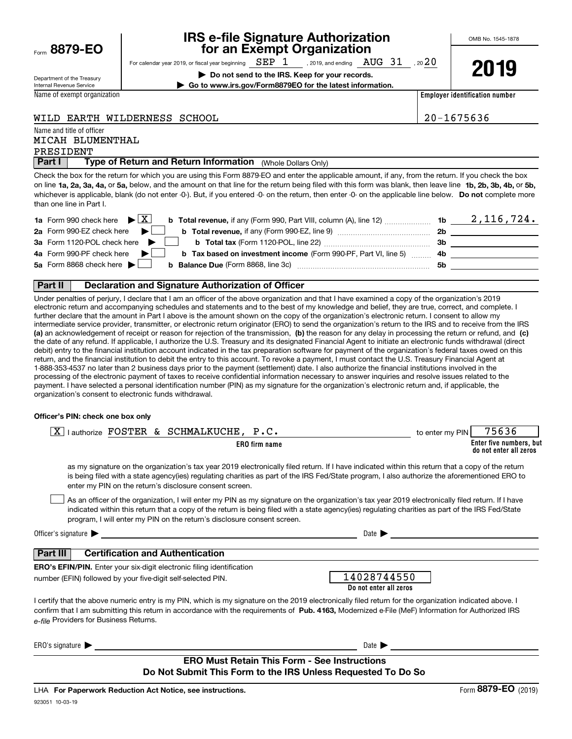| Form 8879-EO |
|--------------|
|              |

# IRS e-file Signature Authorization<br>for an Exempt Organization

For calendar year 2019, or fiscal year beginning , 2019, and ending , 20 SEP 1 AUG 31 20

OMB No. 1545-1878

Department of the Treasury Internal Revenue Service

▶ Do not send to the IRS. Keep for your records. | Go to www.irs.gov/Form8879EO for the latest information.

Name of exempt organization

2019

Employer identification number

|  | WILD EARTH WILDERNESS SCHOOL |  |
|--|------------------------------|--|
|  |                              |  |

Name and title of officer

20-1675636

### PRESIDENT MICAH BLUMENTHAL

Part I | Type of Return and Return Information (Whole Dollars Only)

on line 1a, 2a, 3a, 4a, or 5a, below, and the amount on that line for the return being filed with this form was blank, then leave line 1b, 2b, 3b, 4b, or 5b, whichever is applicable, blank (do not enter -0-). But, if you entered -0- on the return, then enter -0- on the applicable line below. Do not complete more Check the box for the return for which you are using this Form 8879-EO and enter the applicable amount, if any, from the return. If you check the box than one line in Part I.

| <b>1a</b> Form 990 check here $\blacktriangleright \begin{bmatrix} X \end{bmatrix}$                                                            |     | 2,116,724. |
|------------------------------------------------------------------------------------------------------------------------------------------------|-----|------------|
| 2a Form 990-EZ check here $\blacktriangleright$<br><b>b</b> Total revenue, if any (Form 990-EZ, line 9) $\ldots$ $\ldots$ $\ldots$ $\ldots$    | 2b  |            |
| 3a Form 1120-POL check here $\blacktriangleright$                                                                                              | 3b  |            |
| 4a Form 990-PF check here $\blacktriangleright$<br><b>b</b> Tax based on investment income (Form 990-PF, Part VI, line 5) 4b                   |     |            |
| 5a Form 8868 check here $\blacktriangleright$<br><b>b</b> Balance Due (Form 8868, line 3c) <b>Constanting Balance Due</b> (Form 8868, line 3c) | .5b |            |
|                                                                                                                                                |     |            |

#### Part II | Declaration and Signature Authorization of Officer

(a) an acknowledgement of receipt or reason for rejection of the transmission, (b) the reason for any delay in processing the return or refund, and (c) Under penalties of perjury, I declare that I am an officer of the above organization and that I have examined a copy of the organization's 2019 electronic return and accompanying schedules and statements and to the best of my knowledge and belief, they are true, correct, and complete. I further declare that the amount in Part I above is the amount shown on the copy of the organization's electronic return. I consent to allow my intermediate service provider, transmitter, or electronic return originator (ERO) to send the organization's return to the IRS and to receive from the IRS the date of any refund. If applicable, I authorize the U.S. Treasury and its designated Financial Agent to initiate an electronic funds withdrawal (direct debit) entry to the financial institution account indicated in the tax preparation software for payment of the organization's federal taxes owed on this return, and the financial institution to debit the entry to this account. To revoke a payment, I must contact the U.S. Treasury Financial Agent at 1-888-353-4537 no later than 2 business days prior to the payment (settlement) date. I also authorize the financial institutions involved in the processing of the electronic payment of taxes to receive confidential information necessary to answer inquiries and resolve issues related to the payment. I have selected a personal identification number (PIN) as my signature for the organization's electronic return and, if applicable, the organization's consent to electronic funds withdrawal.

#### Officer's PIN: check one box only

| lauthorize FOSTER & SCHMALKUCHE, P.C.<br>X                                                                                                                                                                                                                                                                                                                                       | to enter my PIN | 75636                                             |
|----------------------------------------------------------------------------------------------------------------------------------------------------------------------------------------------------------------------------------------------------------------------------------------------------------------------------------------------------------------------------------|-----------------|---------------------------------------------------|
| <b>ERO</b> firm name                                                                                                                                                                                                                                                                                                                                                             |                 | Enter five numbers, but<br>do not enter all zeros |
| as my signature on the organization's tax year 2019 electronically filed return. If I have indicated within this return that a copy of the return<br>is being filed with a state agency(ies) regulating charities as part of the IRS Fed/State program, I also authorize the aforementioned ERO to<br>enter my PIN on the return's disclosure consent screen.                    |                 |                                                   |
| As an officer of the organization, I will enter my PIN as my signature on the organization's tax year 2019 electronically filed return. If I have<br>indicated within this return that a copy of the return is being filed with a state agency(ies) regulating charities as part of the IRS Fed/State<br>program, I will enter my PIN on the return's disclosure consent screen. |                 |                                                   |
| Officer's signature $\blacktriangleright$<br>Date $\blacktriangleright$<br><u>a sa barang ang pagbabang nagarang pang</u> alang na manang pangangang na manang pangangang na                                                                                                                                                                                                     |                 |                                                   |
| <b>Certification and Authentication</b><br>Part III                                                                                                                                                                                                                                                                                                                              |                 |                                                   |
| <b>ERO's EFIN/PIN.</b> Enter your six-digit electronic filing identification<br>14028744550<br>number (EFIN) followed by your five-digit self-selected PIN.<br>Do not enter all zeros                                                                                                                                                                                            |                 |                                                   |
| I certify that the above numeric entry is my PIN, which is my signature on the 2019 electronically filed return for the organization indicated above. I<br>confirm that I am submitting this return in accordance with the requirements of Pub. 4163, Modernized e-File (MeF) Information for Authorized IRS<br>e-file Providers for Business Returns.                           |                 |                                                   |
| ERO's signature<br>Date $\blacktriangleright$                                                                                                                                                                                                                                                                                                                                    |                 |                                                   |
| <b>ERO Must Retain This Form - See Instructions</b><br>Do Not Submit This Form to the IRS Unless Requested To Do So                                                                                                                                                                                                                                                              |                 |                                                   |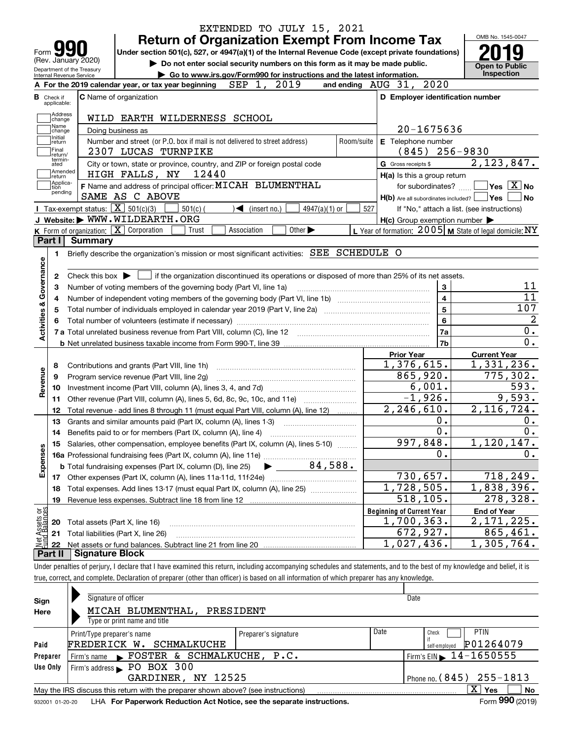|                                                                                                                                  |                                                                                                    |                                                   | EXTENDED TO JULY 15, 2021                                                                                                                                                  |            |                                                     |                                                           |
|----------------------------------------------------------------------------------------------------------------------------------|----------------------------------------------------------------------------------------------------|---------------------------------------------------|----------------------------------------------------------------------------------------------------------------------------------------------------------------------------|------------|-----------------------------------------------------|-----------------------------------------------------------|
|                                                                                                                                  |                                                                                                    |                                                   | <b>Return of Organization Exempt From Income Tax</b>                                                                                                                       |            |                                                     | OMB No. 1545-0047                                         |
| Form                                                                                                                             |                                                                                                    |                                                   | Under section 501(c), 527, or 4947(a)(1) of the Internal Revenue Code (except private foundations)                                                                         |            |                                                     |                                                           |
|                                                                                                                                  | (Rev. January 2020)<br>Do not enter social security numbers on this form as it may be made public. |                                                   |                                                                                                                                                                            |            |                                                     |                                                           |
| Department of the Treasury<br>Go to www.irs.gov/Form990 for instructions and the latest information.<br>Internal Revenue Service |                                                                                                    |                                                   |                                                                                                                                                                            |            | <b>Open to Public</b><br>Inspection                 |                                                           |
|                                                                                                                                  |                                                                                                    |                                                   | 2019<br>A For the 2019 calendar year, or tax year beginning $\mathbb{S}EP$ 1,                                                                                              |            | 2020<br>and ending AUG 31,                          |                                                           |
|                                                                                                                                  | <b>B</b> Check if<br>applicable:                                                                   |                                                   | C Name of organization                                                                                                                                                     |            | D Employer identification number                    |                                                           |
|                                                                                                                                  | Address                                                                                            |                                                   | WILD EARTH WILDERNESS SCHOOL                                                                                                                                               |            |                                                     |                                                           |
|                                                                                                                                  | change<br>Name                                                                                     |                                                   | Doing business as                                                                                                                                                          |            | 20-1675636                                          |                                                           |
|                                                                                                                                  | change<br>Initial                                                                                  |                                                   | Number and street (or P.O. box if mail is not delivered to street address)                                                                                                 | Room/suite | E Telephone number                                  |                                                           |
|                                                                                                                                  | return<br>Final<br>return/                                                                         |                                                   | 2307 LUCAS TURNPIKE                                                                                                                                                        |            | (845)                                               | $256 - 9830$                                              |
|                                                                                                                                  | termin-<br>ated                                                                                    |                                                   | City or town, state or province, country, and ZIP or foreign postal code                                                                                                   |            | G Gross receipts \$                                 | 2, 123, 847.                                              |
|                                                                                                                                  | Amended<br>return                                                                                  |                                                   | 12440<br>HIGH FALLS, NY                                                                                                                                                    |            | H(a) Is this a group return                         |                                                           |
|                                                                                                                                  | Applica-<br>tion                                                                                   |                                                   | F Name and address of principal officer: MICAH BLUMENTHAL                                                                                                                  |            | for subordinates?                                   | $\sqrt{}$ Yes $\sqrt{}$ X $\sqrt{}$ No                    |
|                                                                                                                                  | pending                                                                                            |                                                   | SAME AS C ABOVE                                                                                                                                                            |            | $H(b)$ Are all subordinates included? $\Box$ Yes    | <b>No</b>                                                 |
|                                                                                                                                  |                                                                                                    | Tax-exempt status: $\boxed{\mathbf{X}}$ 501(c)(3) | $501(c)$ (<br>$\sqrt{\bullet}$ (insert no.)<br>4947(a)(1) or                                                                                                               | 527        |                                                     | If "No," attach a list. (see instructions)                |
|                                                                                                                                  |                                                                                                    |                                                   | J Website: WWW.WILDEARTH.ORG                                                                                                                                               |            | $H(c)$ Group exemption number $\blacktriangleright$ |                                                           |
|                                                                                                                                  |                                                                                                    |                                                   | K Form of organization: X Corporation<br>Trust<br>Association<br>Other $\blacktriangleright$                                                                               |            |                                                     | L Year of formation: $2005$ M State of legal domicile: NY |
|                                                                                                                                  | Part I                                                                                             | <b>Summary</b>                                    |                                                                                                                                                                            |            |                                                     |                                                           |
|                                                                                                                                  | 1                                                                                                  |                                                   | Briefly describe the organization's mission or most significant activities: SEE SCHEDULE O                                                                                 |            |                                                     |                                                           |
| Governance                                                                                                                       |                                                                                                    |                                                   |                                                                                                                                                                            |            |                                                     |                                                           |
|                                                                                                                                  | 2                                                                                                  |                                                   | Check this box $\blacktriangleright$ $\Box$ if the organization discontinued its operations or disposed of more than 25% of its net assets.                                |            |                                                     |                                                           |
|                                                                                                                                  | з                                                                                                  |                                                   | Number of voting members of the governing body (Part VI, line 1a)                                                                                                          |            | 3                                                   | 11                                                        |
|                                                                                                                                  | 4                                                                                                  |                                                   |                                                                                                                                                                            |            | $\overline{\mathbf{4}}$                             | $\overline{11}$                                           |
| <b>Activities &amp;</b>                                                                                                          | 5                                                                                                  |                                                   | Total number of individuals employed in calendar year 2019 (Part V, line 2a) manufacture controller to intervent                                                           |            | 5                                                   | 107<br>$\overline{2}$                                     |
|                                                                                                                                  |                                                                                                    |                                                   |                                                                                                                                                                            |            | 6                                                   |                                                           |
|                                                                                                                                  |                                                                                                    |                                                   |                                                                                                                                                                            |            | 7a                                                  | 0.<br>$\overline{0}$ .                                    |
|                                                                                                                                  |                                                                                                    |                                                   |                                                                                                                                                                            |            | 7 <sub>b</sub>                                      |                                                           |
|                                                                                                                                  |                                                                                                    |                                                   |                                                                                                                                                                            |            | <b>Prior Year</b><br>1,376,615.                     | <b>Current Year</b><br>1,331,236.                         |
|                                                                                                                                  | 8                                                                                                  |                                                   | Contributions and grants (Part VIII, line 1h)                                                                                                                              |            | 865,920.                                            | 775,302.                                                  |
| Revenue                                                                                                                          | 9<br>10                                                                                            |                                                   | Program service revenue (Part VIII, line 2g)                                                                                                                               |            | 6,001.                                              | 593.                                                      |
|                                                                                                                                  | 11                                                                                                 |                                                   | Other revenue (Part VIII, column (A), lines 5, 6d, 8c, 9c, 10c, and 11e)                                                                                                   |            | $-1,926.$                                           | 9,593.                                                    |
|                                                                                                                                  | 12                                                                                                 |                                                   | Total revenue - add lines 8 through 11 (must equal Part VIII, column (A), line 12)                                                                                         |            | 2, 246, 610.                                        | 2,116,724.                                                |
|                                                                                                                                  | 13                                                                                                 |                                                   | Grants and similar amounts paid (Part IX, column (A), lines 1-3)                                                                                                           |            | 0.                                                  | 0.                                                        |
|                                                                                                                                  |                                                                                                    |                                                   | Benefits paid to or for members (Part IX, column (A), line 4)                                                                                                              |            | 0.                                                  | 0.                                                        |
|                                                                                                                                  | 15                                                                                                 |                                                   | Salaries, other compensation, employee benefits (Part IX, column (A), lines 5-10)                                                                                          |            | 997,848.                                            | 1,120,147.                                                |
|                                                                                                                                  |                                                                                                    |                                                   |                                                                                                                                                                            |            | 0.                                                  | 0.                                                        |
| Expenses                                                                                                                         |                                                                                                    |                                                   | 84,588.<br><b>b</b> Total fundraising expenses (Part IX, column (D), line 25)                                                                                              |            |                                                     |                                                           |
|                                                                                                                                  |                                                                                                    |                                                   |                                                                                                                                                                            |            | 730,657.                                            | 718,249.                                                  |
|                                                                                                                                  | 18                                                                                                 |                                                   | Total expenses. Add lines 13-17 (must equal Part IX, column (A), line 25)                                                                                                  |            | 1,728,505.                                          | 1,838,396.                                                |
|                                                                                                                                  | 19                                                                                                 |                                                   | Revenue less expenses. Subtract line 18 from line 12                                                                                                                       |            | 518,105.                                            | 278,328.                                                  |
| Net Assets or<br>Eund Balances                                                                                                   |                                                                                                    |                                                   |                                                                                                                                                                            |            | <b>Beginning of Current Year</b>                    | <b>End of Year</b>                                        |
|                                                                                                                                  | 20                                                                                                 | Total assets (Part X, line 16)                    |                                                                                                                                                                            |            | 1,700,363.                                          | 2,171,225.                                                |
|                                                                                                                                  | 21                                                                                                 |                                                   | Total liabilities (Part X, line 26)                                                                                                                                        |            | 672,927.                                            | 865,461.                                                  |
|                                                                                                                                  | 22                                                                                                 |                                                   |                                                                                                                                                                            |            | 1,027,436.                                          | 1,305,764.                                                |
|                                                                                                                                  | Part II                                                                                            | <b>Signature Block</b>                            |                                                                                                                                                                            |            |                                                     |                                                           |
|                                                                                                                                  |                                                                                                    |                                                   | Under penalties of perjury, I declare that I have examined this return, including accompanying schedules and statements, and to the best of my knowledge and belief, it is |            |                                                     |                                                           |
|                                                                                                                                  |                                                                                                    |                                                   | true, correct, and complete. Declaration of preparer (other than officer) is based on all information of which preparer has any knowledge.                                 |            |                                                     |                                                           |
|                                                                                                                                  |                                                                                                    |                                                   | Signature of officer                                                                                                                                                       |            | Date                                                |                                                           |
| Sign                                                                                                                             |                                                                                                    |                                                   | MICAH BLUMENTHAL, PRESIDENT                                                                                                                                                |            |                                                     |                                                           |
| Here                                                                                                                             |                                                                                                    |                                                   | Type or print name and title                                                                                                                                               |            |                                                     |                                                           |
|                                                                                                                                  |                                                                                                    |                                                   |                                                                                                                                                                            |            |                                                     |                                                           |

|          | Type or print name and title                                                                          |                      |      |                                            |  |  |
|----------|-------------------------------------------------------------------------------------------------------|----------------------|------|--------------------------------------------|--|--|
|          | Print/Type preparer's name                                                                            | Preparer's signature | Date | PTIN<br>Check                              |  |  |
| Paid     | FREDERICK W. SCHMALKUCHE                                                                              |                      |      | P01264079<br>self-employed                 |  |  |
| Preparer | Firm's name FOSTER & SCHMALKUCHE, P.C.                                                                |                      |      | $I$ Firm's EIN $\triangleright$ 14-1650555 |  |  |
| Use Only | Firm's address PO BOX 300                                                                             |                      |      |                                            |  |  |
|          | GARDINER, NY 12525                                                                                    |                      |      | Phone no. (845) 255-1813                   |  |  |
|          | <b>No</b><br>May the IRS discuss this return with the preparer shown above? (see instructions)<br>Yes |                      |      |                                            |  |  |
|          | $000 \div 100$<br>$\sim$                                                                              |                      |      |                                            |  |  |

932001 01-20-20 LHA **For Paperwork Reduction Act Notice, see the separate instructions.** Form 990 (2019)

Form 990 (2019)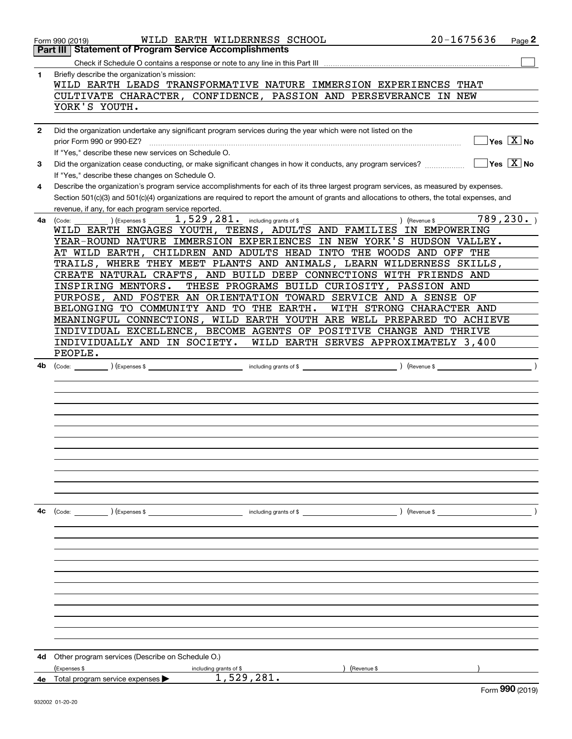|              | WILD EARTH WILDERNESS SCHOOL<br>Form 990 (2019)                                                                                                                      | $20 - 1675636$ | Page 2                                    |
|--------------|----------------------------------------------------------------------------------------------------------------------------------------------------------------------|----------------|-------------------------------------------|
|              | <b>Part III Statement of Program Service Accomplishments</b>                                                                                                         |                |                                           |
|              |                                                                                                                                                                      |                |                                           |
| 1            | Briefly describe the organization's mission:                                                                                                                         |                |                                           |
|              | WILD EARTH LEADS TRANSFORMATIVE NATURE IMMERSION EXPERIENCES THAT                                                                                                    |                |                                           |
|              | CULTIVATE CHARACTER, CONFIDENCE, PASSION AND PERSEVERANCE IN NEW                                                                                                     |                |                                           |
|              | YORK'S YOUTH.                                                                                                                                                        |                |                                           |
|              |                                                                                                                                                                      |                |                                           |
| $\mathbf{2}$ | Did the organization undertake any significant program services during the year which were not listed on the                                                         |                | $\overline{\ }$ Yes $\overline{\ \ X}$ No |
|              | prior Form 990 or 990-EZ?                                                                                                                                            |                |                                           |
|              | If "Yes," describe these new services on Schedule O.<br>Did the organization cease conducting, or make significant changes in how it conducts, any program services? |                | $\sqrt{}$ Yes $\sqrt{}$ X $\sqrt{}$ No    |
| 3            | If "Yes," describe these changes on Schedule O.                                                                                                                      |                |                                           |
| 4            | Describe the organization's program service accomplishments for each of its three largest program services, as measured by expenses.                                 |                |                                           |
|              | Section 501(c)(3) and 501(c)(4) organizations are required to report the amount of grants and allocations to others, the total expenses, and                         |                |                                           |
|              | revenue, if any, for each program service reported.                                                                                                                  |                |                                           |
| 4a           | $1,529,281$ . including grants of \$<br>) (Expenses \$<br>) (Revenue \$<br>(Code:                                                                                    |                | 789, 230.                                 |
|              | WILD EARTH ENGAGES YOUTH, TEENS, ADULTS AND FAMILIES IN EMPOWERING                                                                                                   |                |                                           |
|              | YEAR-ROUND NATURE IMMERSION EXPERIENCES IN NEW YORK'S HUDSON VALLEY.                                                                                                 |                |                                           |
|              | AT WILD EARTH, CHILDREN AND ADULTS HEAD INTO THE WOODS AND OFF THE                                                                                                   |                |                                           |
|              | TRAILS, WHERE THEY MEET PLANTS AND ANIMALS, LEARN WILDERNESS SKILLS,                                                                                                 |                |                                           |
|              | CREATE NATURAL CRAFTS, AND BUILD DEEP CONNECTIONS WITH FRIENDS AND                                                                                                   |                |                                           |
|              | THESE PROGRAMS BUILD CURIOSITY, PASSION AND<br>INSPIRING MENTORS.                                                                                                    |                |                                           |
|              | PURPOSE, AND FOSTER AN ORIENTATION TOWARD SERVICE AND A SENSE OF                                                                                                     |                |                                           |
|              | BELONGING TO COMMUNITY AND TO THE EARTH.<br>WITH STRONG CHARACTER AND                                                                                                |                |                                           |
|              | MEANINGFUL CONNECTIONS, WILD EARTH YOUTH ARE WELL PREPARED TO ACHIEVE<br>INDIVIDUAL EXCELLENCE, BECOME AGENTS OF POSITIVE CHANGE AND THRIVE                          |                |                                           |
|              | WILD EARTH SERVES APPROXIMATELY 3,400<br>INDIVIDUALLY AND IN SOCIETY.                                                                                                |                |                                           |
|              | PEOPLE.                                                                                                                                                              |                |                                           |
| 4b           |                                                                                                                                                                      |                | $\rightarrow$                             |
|              |                                                                                                                                                                      |                |                                           |
|              |                                                                                                                                                                      |                |                                           |
|              |                                                                                                                                                                      |                |                                           |
|              |                                                                                                                                                                      |                |                                           |
|              |                                                                                                                                                                      |                |                                           |
|              |                                                                                                                                                                      |                |                                           |
|              |                                                                                                                                                                      |                |                                           |
|              |                                                                                                                                                                      |                |                                           |
|              |                                                                                                                                                                      |                |                                           |
|              |                                                                                                                                                                      |                |                                           |
|              |                                                                                                                                                                      |                |                                           |
| 4c           | (Code: ) (Expenses \$<br>including grants of \$                                                                                                                      |                |                                           |
|              |                                                                                                                                                                      |                |                                           |
|              |                                                                                                                                                                      |                |                                           |
|              |                                                                                                                                                                      |                |                                           |
|              |                                                                                                                                                                      |                |                                           |
|              |                                                                                                                                                                      |                |                                           |
|              |                                                                                                                                                                      |                |                                           |
|              |                                                                                                                                                                      |                |                                           |
|              |                                                                                                                                                                      |                |                                           |
|              |                                                                                                                                                                      |                |                                           |
|              |                                                                                                                                                                      |                |                                           |
|              |                                                                                                                                                                      |                |                                           |
| 4d           | Other program services (Describe on Schedule O.)                                                                                                                     |                |                                           |
|              | (Expenses \$<br>(Revenue \$<br>including grants of \$                                                                                                                |                |                                           |
| 4е           | 1,529,281.<br>Total program service expenses                                                                                                                         |                |                                           |
|              |                                                                                                                                                                      |                | $\sim$                                    |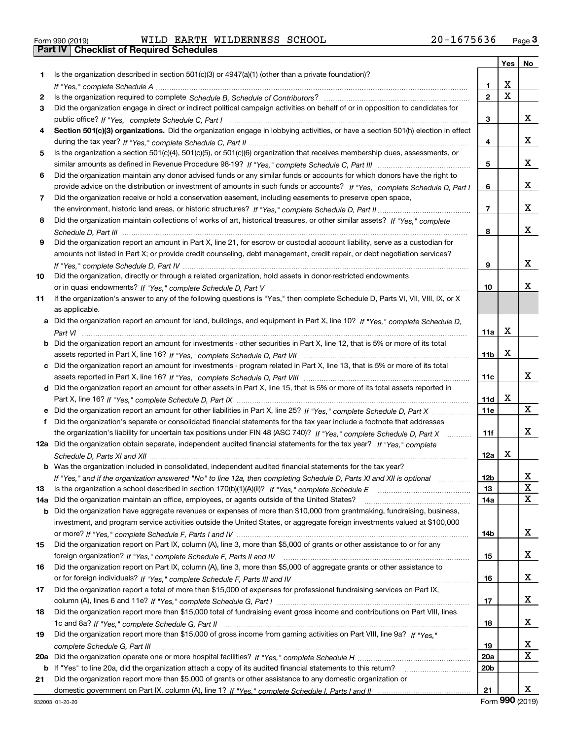| Form 990 (2019) |  |  |
|-----------------|--|--|

Part IV | Checklist of Required Schedules

Form 990 (2019) WILDERATHE WILDERNESS SCHOOL 2U-I6 / 5 6 3 6 Page WILD EARTH WILDERNESS SCHOOL 20-1675636

|     |                                                                                                                                       |                 | Yes $ $     | No       |
|-----|---------------------------------------------------------------------------------------------------------------------------------------|-----------------|-------------|----------|
| 1   | Is the organization described in section 501(c)(3) or 4947(a)(1) (other than a private foundation)?                                   |                 |             |          |
|     |                                                                                                                                       | 1               | х           |          |
| 2   |                                                                                                                                       | $\mathbf{2}$    | $\mathbf X$ |          |
| 3   | Did the organization engage in direct or indirect political campaign activities on behalf of or in opposition to candidates for       |                 |             |          |
|     |                                                                                                                                       | 3               |             | X.       |
| 4   | Section 501(c)(3) organizations. Did the organization engage in lobbying activities, or have a section 501(h) election in effect      |                 |             |          |
|     |                                                                                                                                       | 4               |             | X.       |
| 5   | Is the organization a section 501(c)(4), 501(c)(5), or 501(c)(6) organization that receives membership dues, assessments, or          |                 |             |          |
|     |                                                                                                                                       | 5               |             | x        |
| 6   | Did the organization maintain any donor advised funds or any similar funds or accounts for which donors have the right to             |                 |             |          |
|     | provide advice on the distribution or investment of amounts in such funds or accounts? If "Yes," complete Schedule D, Part I          | 6               |             | X.       |
| 7   | Did the organization receive or hold a conservation easement, including easements to preserve open space,                             |                 |             |          |
|     |                                                                                                                                       | $\overline{7}$  |             | X.       |
| 8   | Did the organization maintain collections of works of art, historical treasures, or other similar assets? If "Yes," complete          |                 |             |          |
|     |                                                                                                                                       | 8               |             | X.       |
| 9   | Did the organization report an amount in Part X, line 21, for escrow or custodial account liability, serve as a custodian for         |                 |             |          |
|     | amounts not listed in Part X; or provide credit counseling, debt management, credit repair, or debt negotiation services?             |                 |             | x        |
|     |                                                                                                                                       | 9               |             |          |
| 10  | Did the organization, directly or through a related organization, hold assets in donor-restricted endowments                          |                 |             | х        |
|     |                                                                                                                                       | 10              |             |          |
| 11  | If the organization's answer to any of the following questions is "Yes," then complete Schedule D, Parts VI, VII, VIII, IX, or X      |                 |             |          |
|     | as applicable.                                                                                                                        |                 |             |          |
|     | a Did the organization report an amount for land, buildings, and equipment in Part X, line 10? If "Yes," complete Schedule D,         |                 | х           |          |
|     | <b>b</b> Did the organization report an amount for investments - other securities in Part X, line 12, that is 5% or more of its total | 11a             |             |          |
|     |                                                                                                                                       | 11b             | X           |          |
|     | c Did the organization report an amount for investments - program related in Part X, line 13, that is 5% or more of its total         |                 |             |          |
|     |                                                                                                                                       | 11c             |             | X.       |
|     | d Did the organization report an amount for other assets in Part X, line 15, that is 5% or more of its total assets reported in       |                 |             |          |
|     |                                                                                                                                       | 11d             | x           |          |
|     | Did the organization report an amount for other liabilities in Part X, line 25? If "Yes," complete Schedule D, Part X                 | <b>11e</b>      |             | X        |
| f   | Did the organization's separate or consolidated financial statements for the tax year include a footnote that addresses               |                 |             |          |
|     | the organization's liability for uncertain tax positions under FIN 48 (ASC 740)? If "Yes," complete Schedule D, Part X                | 11f             |             | x        |
|     | 12a Did the organization obtain separate, independent audited financial statements for the tax year? If "Yes," complete               |                 |             |          |
|     |                                                                                                                                       | 12a             | x           |          |
|     | <b>b</b> Was the organization included in consolidated, independent audited financial statements for the tax year?                    |                 |             |          |
|     | If "Yes," and if the organization answered "No" to line 12a, then completing Schedule D, Parts XI and XII is optional                 | 12 <sub>b</sub> |             | <u>x</u> |
| 13  | Is the organization a school described in section 170(b)(1)(A)(ii)? If "Yes," complete Schedule E                                     | 13              |             | X        |
| 14a | Did the organization maintain an office, employees, or agents outside of the United States?                                           | 14a             |             | x        |
| b   | Did the organization have aggregate revenues or expenses of more than \$10,000 from grantmaking, fundraising, business,               |                 |             |          |
|     | investment, and program service activities outside the United States, or aggregate foreign investments valued at \$100,000            |                 |             |          |
|     |                                                                                                                                       | 14b             |             | X.       |
| 15  | Did the organization report on Part IX, column (A), line 3, more than \$5,000 of grants or other assistance to or for any             |                 |             |          |
|     |                                                                                                                                       | 15              |             | X.       |
| 16  | Did the organization report on Part IX, column (A), line 3, more than \$5,000 of aggregate grants or other assistance to              |                 |             |          |
|     |                                                                                                                                       | 16              |             | X.       |
| 17  | Did the organization report a total of more than \$15,000 of expenses for professional fundraising services on Part IX,               |                 |             |          |
|     |                                                                                                                                       | 17              |             | X.       |
| 18  | Did the organization report more than \$15,000 total of fundraising event gross income and contributions on Part VIII, lines          |                 |             |          |
|     |                                                                                                                                       | 18              |             | X.       |
| 19  | Did the organization report more than \$15,000 of gross income from gaming activities on Part VIII, line 9a? If "Yes."                |                 |             |          |
|     |                                                                                                                                       | 19              |             | X        |
| 20a |                                                                                                                                       | 20a             |             | X        |
|     | b If "Yes" to line 20a, did the organization attach a copy of its audited financial statements to this return?                        | 20 <sub>b</sub> |             |          |
| 21  | Did the organization report more than \$5,000 of grants or other assistance to any domestic organization or                           |                 |             |          |
|     |                                                                                                                                       | 21              |             | X.       |

Form 990 (2019)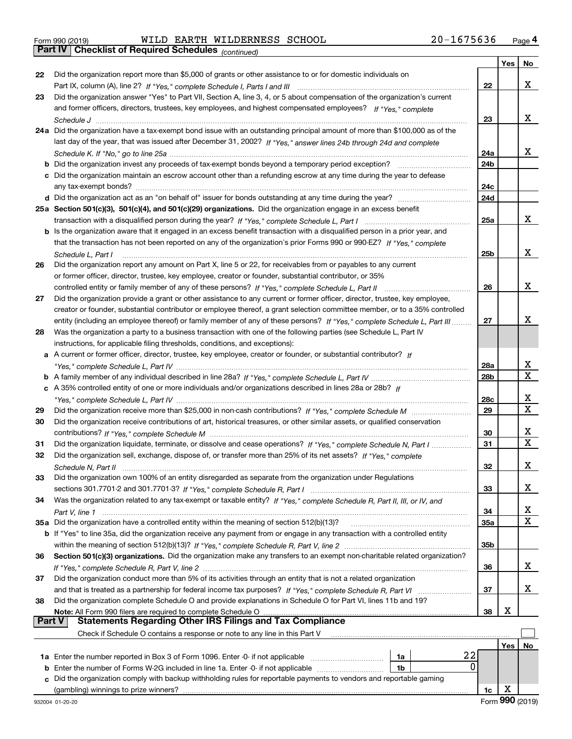Part IV | Checklist of Required Schedules

Form 990 (2019) WILDERATHE WILDERNESS SCHOOL 2U-I6 / 5 6 3 6 Page WILD EARTH WILDERNESS SCHOOL 20-1675636

(continued)

|        |                                                                                                                                   |                 | Yes | No                      |
|--------|-----------------------------------------------------------------------------------------------------------------------------------|-----------------|-----|-------------------------|
| 22     | Did the organization report more than \$5,000 of grants or other assistance to or for domestic individuals on                     |                 |     |                         |
|        |                                                                                                                                   | 22              |     | x                       |
| 23     | Did the organization answer "Yes" to Part VII, Section A, line 3, 4, or 5 about compensation of the organization's current        |                 |     |                         |
|        | and former officers, directors, trustees, key employees, and highest compensated employees? If "Yes," complete                    |                 |     |                         |
|        |                                                                                                                                   | 23              |     | x                       |
|        | 24a Did the organization have a tax-exempt bond issue with an outstanding principal amount of more than \$100,000 as of the       |                 |     |                         |
|        | last day of the year, that was issued after December 31, 2002? If "Yes," answer lines 24b through 24d and complete                |                 |     |                         |
|        |                                                                                                                                   | 24a             |     | x                       |
|        | <b>b</b> Did the organization invest any proceeds of tax-exempt bonds beyond a temporary period exception?                        | 24 <sub>b</sub> |     |                         |
|        | c Did the organization maintain an escrow account other than a refunding escrow at any time during the year to defease            |                 |     |                         |
|        |                                                                                                                                   | 24c             |     |                         |
|        |                                                                                                                                   | 24d             |     |                         |
|        | 25a Section 501(c)(3), 501(c)(4), and 501(c)(29) organizations. Did the organization engage in an excess benefit                  |                 |     |                         |
|        |                                                                                                                                   | 25a             |     | x                       |
|        | b Is the organization aware that it engaged in an excess benefit transaction with a disqualified person in a prior year, and      |                 |     |                         |
|        | that the transaction has not been reported on any of the organization's prior Forms 990 or 990-EZ? If "Yes," complete             |                 |     |                         |
|        |                                                                                                                                   |                 |     | x                       |
|        | Schedule L. Part I                                                                                                                | 25b             |     |                         |
| 26     | Did the organization report any amount on Part X, line 5 or 22, for receivables from or payables to any current                   |                 |     |                         |
|        | or former officer, director, trustee, key employee, creator or founder, substantial contributor, or 35%                           |                 |     |                         |
|        | controlled entity or family member of any of these persons? If "Yes," complete Schedule L, Part II                                | 26              |     | x                       |
| 27     | Did the organization provide a grant or other assistance to any current or former officer, director, trustee, key employee,       |                 |     |                         |
|        | creator or founder, substantial contributor or employee thereof, a grant selection committee member, or to a 35% controlled       |                 |     |                         |
|        | entity (including an employee thereof) or family member of any of these persons? If "Yes," complete Schedule L, Part III          | 27              |     | x                       |
| 28     | Was the organization a party to a business transaction with one of the following parties (see Schedule L, Part IV                 |                 |     |                         |
|        | instructions, for applicable filing thresholds, conditions, and exceptions):                                                      |                 |     |                         |
|        | a A current or former officer, director, trustee, key employee, creator or founder, or substantial contributor? If                |                 |     |                         |
|        |                                                                                                                                   | 28a             |     | x                       |
|        |                                                                                                                                   | 28 <sub>b</sub> |     | X                       |
|        | c A 35% controlled entity of one or more individuals and/or organizations described in lines 28a or 28b? If                       |                 |     |                         |
|        | "Yes," complete Schedule L, Part IV …………………………………………………………………                                                                     | 28c             |     | х                       |
| 29     |                                                                                                                                   | 29              |     | $\overline{\mathbf{x}}$ |
| 30     | Did the organization receive contributions of art, historical treasures, or other similar assets, or qualified conservation       |                 |     |                         |
|        |                                                                                                                                   | 30              |     | x                       |
| 31     | Did the organization liquidate, terminate, or dissolve and cease operations? If "Yes," complete Schedule N, Part I                | 31              |     | $\mathbf X$             |
| 32     | Did the organization sell, exchange, dispose of, or transfer more than 25% of its net assets? If "Yes," complete                  |                 |     |                         |
|        |                                                                                                                                   | 32              |     | х                       |
| 33     | Did the organization own 100% of an entity disregarded as separate from the organization under Regulations                        |                 |     |                         |
|        |                                                                                                                                   | 33              |     | x                       |
| 34     | Was the organization related to any tax-exempt or taxable entity? If "Yes," complete Schedule R, Part II, III, or IV, and         |                 |     |                         |
|        |                                                                                                                                   | 34              |     | X                       |
|        | 35a Did the organization have a controlled entity within the meaning of section 512(b)(13)?                                       | <b>35a</b>      |     | X                       |
|        | b If "Yes" to line 35a, did the organization receive any payment from or engage in any transaction with a controlled entity       |                 |     |                         |
|        |                                                                                                                                   |                 |     |                         |
| 36     | Section 501(c)(3) organizations. Did the organization make any transfers to an exempt non-charitable related organization?        | 35b             |     |                         |
|        |                                                                                                                                   |                 |     | x                       |
|        | Did the organization conduct more than 5% of its activities through an entity that is not a related organization                  | 36              |     |                         |
| 37     |                                                                                                                                   |                 |     |                         |
|        |                                                                                                                                   | 37              |     | x                       |
| 38     | Did the organization complete Schedule O and provide explanations in Schedule O for Part VI, lines 11b and 19?                    |                 |     |                         |
| Part V | Note: All Form 990 filers are required to complete Schedule O<br><b>Statements Regarding Other IRS Filings and Tax Compliance</b> | 38              | х   |                         |
|        |                                                                                                                                   |                 |     |                         |
|        | Check if Schedule O contains a response or note to any line in this Part V                                                        |                 |     |                         |
|        |                                                                                                                                   |                 | Yes | No                      |
|        | 22<br>1a Enter the number reported in Box 3 of Form 1096. Enter -0- if not applicable<br>1a                                       |                 |     |                         |
| b      | 0<br>Enter the number of Forms W-2G included in line 1a. Enter -0- if not applicable<br>1b                                        |                 |     |                         |
| c      | Did the organization comply with backup withholding rules for reportable payments to vendors and reportable gaming                |                 |     |                         |
|        | (gambling) winnings to prize winners?                                                                                             | 1c              | X   |                         |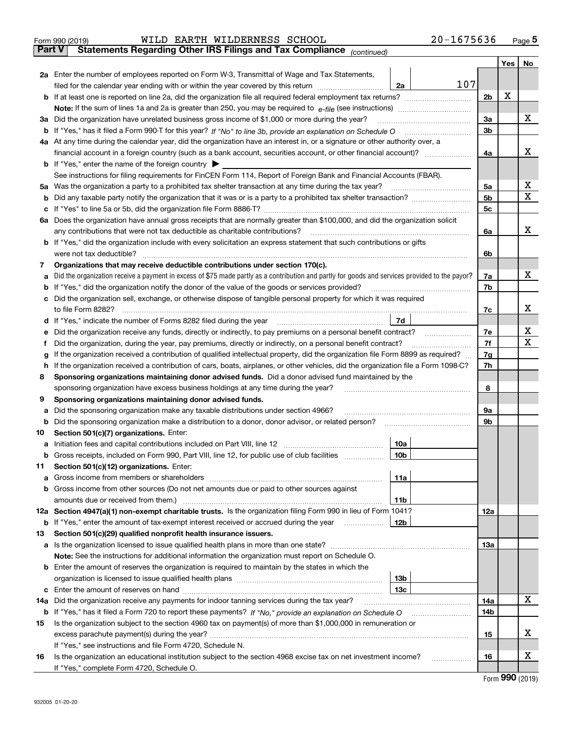|        | 20-1675636<br>EARTH WILDERNESS<br>SCHOOL<br>WILD                                                                                                                                              |                |     |          |
|--------|-----------------------------------------------------------------------------------------------------------------------------------------------------------------------------------------------|----------------|-----|----------|
| Part V | Form 990 (2019)<br><b>Statements Regarding Other IRS Filings and Tax Compliance</b><br>(continued)                                                                                            |                |     | Page $5$ |
|        |                                                                                                                                                                                               |                | Yes | No       |
| 2а     | Enter the number of employees reported on Form W-3, Transmittal of Wage and Tax Statements,<br>107<br>filed for the calendar year ending with or within the year covered by this return<br>2а |                |     |          |
|        | <b>b</b> If at least one is reported on line 2a, did the organization file all required federal employment tax returns?                                                                       | 2 <sub>b</sub> | х   |          |
|        | <b>Note:</b> If the sum of lines 1a and 2a is greater than 250, you may be required to $e$ -file (see instructions)                                                                           |                |     |          |
| За     | Did the organization have unrelated business gross income of \$1,000 or more during the year?                                                                                                 | 3a             |     | x        |
|        | b If "Yes," has it filed a Form 990-T for this year? If "No" to line 3b, provide an explanation on Schedule O                                                                                 | 3b             |     |          |
| 4a     | At any time during the calendar year, did the organization have an interest in, or a signature or other authority over, a                                                                     |                |     |          |
|        | financial account in a foreign country (such as a bank account, securities account, or other financial account)?                                                                              | 4a             |     |          |

|                                           | 4a At any time during the calendar year, did the organization have an interest in, or a signature or other authority over, a                          |     |   |
|-------------------------------------------|-------------------------------------------------------------------------------------------------------------------------------------------------------|-----|---|
|                                           |                                                                                                                                                       | 4a  | х |
|                                           | <b>b</b> If "Yes," enter the name of the foreign country                                                                                              |     |   |
|                                           | See instructions for filing requirements for FinCEN Form 114, Report of Foreign Bank and Financial Accounts (FBAR).                                   |     |   |
| 5a                                        |                                                                                                                                                       | 5a  | х |
| b                                         |                                                                                                                                                       | 5b  | X |
| c                                         |                                                                                                                                                       | 5c  |   |
|                                           | 6a Does the organization have annual gross receipts that are normally greater than \$100,000, and did the organization solicit                        |     |   |
|                                           | any contributions that were not tax deductible as charitable contributions?                                                                           | 6a  | x |
|                                           | <b>b</b> If "Yes," did the organization include with every solicitation an express statement that such contributions or gifts                         |     |   |
|                                           | were not tax deductible?                                                                                                                              | 6b  |   |
| 7                                         | Organizations that may receive deductible contributions under section 170(c).                                                                         |     |   |
| а                                         | Did the organization receive a payment in excess of \$75 made partly as a contribution and partly for goods and services provided to the payor?       | 7a  | X |
| b                                         |                                                                                                                                                       | 7b  |   |
|                                           | c Did the organization sell, exchange, or otherwise dispose of tangible personal property for which it was required                                   |     |   |
|                                           | to file Form 8282?                                                                                                                                    | 7c  | х |
|                                           | 7d<br>d If "Yes," indicate the number of Forms 8282 filed during the year [11,111] The set response to the number of Forms 8282 filed during the year |     |   |
| е                                         | Did the organization receive any funds, directly or indirectly, to pay premiums on a personal benefit contract?                                       | 7e  | х |
| Ť.                                        | Did the organization, during the year, pay premiums, directly or indirectly, on a personal benefit contract?                                          | 7f  | х |
| g                                         | If the organization received a contribution of qualified intellectual property, did the organization file Form 8899 as required?                      | 7g  |   |
| h.                                        | If the organization received a contribution of cars, boats, airplanes, or other vehicles, did the organization file a Form 1098-C?                    | 7h  |   |
| 8                                         | Sponsoring organizations maintaining donor advised funds. Did a donor advised fund maintained by the                                                  |     |   |
|                                           | sponsoring organization have excess business holdings at any time during the year?                                                                    | 8   |   |
| 9                                         | Sponsoring organizations maintaining donor advised funds.                                                                                             |     |   |
| а                                         | Did the sponsoring organization make any taxable distributions under section 4966?                                                                    | 9а  |   |
| b                                         | Did the sponsoring organization make a distribution to a donor, donor advisor, or related person?                                                     | 9b  |   |
| 10                                        | Section 501(c)(7) organizations. Enter:                                                                                                               |     |   |
| а                                         | 10a<br>Initiation fees and capital contributions included on Part VIII, line 12 [100] [100] [100] [100] [100] [100] [                                 |     |   |
| b                                         | Gross receipts, included on Form 990, Part VIII, line 12, for public use of club facilities<br>10 <sub>b</sub>                                        |     |   |
| 11                                        | Section 501(c)(12) organizations. Enter:                                                                                                              |     |   |
| а                                         | 11a                                                                                                                                                   |     |   |
| b                                         | Gross income from other sources (Do not net amounts due or paid to other sources against                                                              |     |   |
|                                           | 11b                                                                                                                                                   |     |   |
|                                           | 12a Section 4947(a)(1) non-exempt charitable trusts. Is the organization filing Form 990 in lieu of Form 1041?                                        | 12a |   |
| b                                         | If "Yes," enter the amount of tax-exempt interest received or accrued during the year<br>12b                                                          |     |   |
| 13                                        | Section 501(c)(29) qualified nonprofit health insurance issuers.                                                                                      |     |   |
|                                           |                                                                                                                                                       | 13a |   |
|                                           | <b>Note:</b> See the instructions for additional information the organization must report on Schedule O.                                              |     |   |
|                                           | <b>b</b> Enter the amount of reserves the organization is required to maintain by the states in which the                                             |     |   |
|                                           | 13 <sub>b</sub>                                                                                                                                       |     |   |
|                                           | 13с                                                                                                                                                   |     |   |
| 14a                                       | Did the organization receive any payments for indoor tanning services during the tax year?                                                            | 14a | X |
|                                           | b If "Yes," has it filed a Form 720 to report these payments? If "No," provide an explanation on Schedule O                                           | 14b |   |
| 15                                        | Is the organization subject to the section 4960 tax on payment(s) of more than \$1,000,000 in remuneration or                                         |     |   |
|                                           |                                                                                                                                                       | 15  | х |
|                                           | If "Yes," see instructions and file Form 4720, Schedule N.                                                                                            |     |   |
| 16                                        | Is the organization an educational institution subject to the section 4968 excise tax on net investment income?<br>.                                  | 16  | х |
| If "Yes," complete Form 4720, Schedule O. |                                                                                                                                                       |     |   |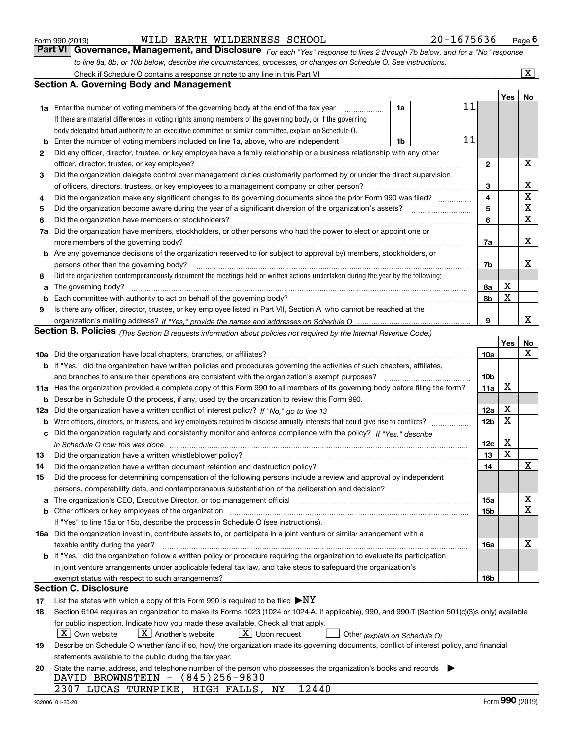|  | Form 990 (2019) |  |
|--|-----------------|--|
|  |                 |  |

Form 990 (2019) WILDERATHE WILDERNESS SCHOOL 2U-I6 / 5 6 3 6 Page WILD EARTH WILDERNESS SCHOOL 20-1675636

Page 6

For each "Yes" response to lines 2 through 7b below, and for a "No" response to line 8a, 8b, or 10b below, describe the circumstances, processes, or changes on Schedule O. See instructions. Check if Schedule O contains a response or note to any line in this Part VI Part VI Governance, Management, and Disclosure

|     | Check if Schedule O contains a response or note to any line in this Part VI                                                                                                   |          |                 |                  | $\boxed{\text{X}}$ |
|-----|-------------------------------------------------------------------------------------------------------------------------------------------------------------------------------|----------|-----------------|------------------|--------------------|
|     | <b>Section A. Governing Body and Management</b>                                                                                                                               |          |                 |                  |                    |
|     |                                                                                                                                                                               |          |                 | Yes <sub>1</sub> | No                 |
|     | <b>1a</b> Enter the number of voting members of the governing body at the end of the tax year                                                                                 | 11<br>1a |                 |                  |                    |
|     | If there are material differences in voting rights among members of the governing body, or if the governing                                                                   |          |                 |                  |                    |
|     | body delegated broad authority to an executive committee or similar committee, explain on Schedule O.                                                                         |          |                 |                  |                    |
| b   | Enter the number of voting members included on line 1a, above, who are independent                                                                                            | 11<br>1b |                 |                  |                    |
| 2   | Did any officer, director, trustee, or key employee have a family relationship or a business relationship with any other                                                      |          |                 |                  |                    |
|     | officer, director, trustee, or key employee?                                                                                                                                  |          | 2               |                  | х                  |
| 3   | Did the organization delegate control over management duties customarily performed by or under the direct supervision                                                         |          |                 |                  |                    |
|     | of officers, directors, trustees, or key employees to a management company or other person?                                                                                   |          | 3               |                  | x                  |
| 4   | Did the organization make any significant changes to its governing documents since the prior Form 990 was filed? ___________                                                  |          | 4               |                  | $\mathbf X$        |
| 5   |                                                                                                                                                                               |          | 5               |                  | $\mathbf X$        |
| 6   | Did the organization have members or stockholders?                                                                                                                            |          | 6               |                  | X                  |
| 7a  | Did the organization have members, stockholders, or other persons who had the power to elect or appoint one or                                                                |          |                 |                  |                    |
|     | more members of the governing body?                                                                                                                                           |          | 7a              |                  | х                  |
|     | <b>b</b> Are any governance decisions of the organization reserved to (or subject to approval by) members, stockholders, or                                                   |          |                 |                  |                    |
|     | persons other than the governing body?                                                                                                                                        |          | 7b              |                  | х                  |
| 8   | Did the organization contemporaneously document the meetings held or written actions undertaken during the year by the following:                                             |          |                 |                  |                    |
| a   |                                                                                                                                                                               |          | 8a              | х                |                    |
| b   |                                                                                                                                                                               |          | 8b              | X                |                    |
| 9   | Is there any officer, director, trustee, or key employee listed in Part VII, Section A, who cannot be reached at the                                                          |          |                 |                  |                    |
|     |                                                                                                                                                                               |          | 9               |                  | x                  |
|     | <b>Section B. Policies</b> (This Section B requests information about policies not required by the Internal Revenue Code.)                                                    |          |                 |                  |                    |
|     |                                                                                                                                                                               |          |                 | Yes              | No                 |
|     |                                                                                                                                                                               |          | 10a             |                  | х                  |
|     | <b>b</b> If "Yes," did the organization have written policies and procedures governing the activities of such chapters, affiliates,                                           |          |                 |                  |                    |
|     | and branches to ensure their operations are consistent with the organization's exempt purposes?                                                                               |          | 10 <sub>b</sub> |                  |                    |
|     | 11a Has the organization provided a complete copy of this Form 990 to all members of its governing body before filing the form?                                               |          | 11a             | X                |                    |
| b   | Describe in Schedule O the process, if any, used by the organization to review this Form 990.                                                                                 |          |                 |                  |                    |
| 12a |                                                                                                                                                                               |          | 12a             | х                |                    |
| b   |                                                                                                                                                                               |          | 12 <sub>b</sub> | X                |                    |
| с   | Did the organization regularly and consistently monitor and enforce compliance with the policy? If "Yes." describe                                                            |          |                 |                  |                    |
|     | in Schedule O how this was done encourance and the control of the control of the control of the control of the                                                                |          | 12c             | х                |                    |
| 13  | Did the organization have a written whistleblower policy?                                                                                                                     |          | 13              | X                |                    |
| 14  | Did the organization have a written document retention and destruction policy?                                                                                                |          | 14              |                  | X                  |
| 15  | Did the process for determining compensation of the following persons include a review and approval by independent                                                            |          |                 |                  |                    |
|     | persons, comparability data, and contemporaneous substantiation of the deliberation and decision?                                                                             |          |                 |                  |                    |
| а   | The organization's CEO, Executive Director, or top management official manufactured content content of the organization's CEO, Executive Director, or top management official |          | 15a             |                  | х<br>Χ             |
| b   |                                                                                                                                                                               |          | 15b             |                  |                    |
|     | If "Yes" to line 15a or 15b, describe the process in Schedule O (see instructions).                                                                                           |          |                 |                  |                    |
|     | 16a Did the organization invest in, contribute assets to, or participate in a joint venture or similar arrangement with a<br>taxable entity during the year?                  |          | 16a             |                  | х                  |
|     | b If "Yes," did the organization follow a written policy or procedure requiring the organization to evaluate its participation                                                |          |                 |                  |                    |
|     | in joint venture arrangements under applicable federal tax law, and take steps to safequard the organization's                                                                |          |                 |                  |                    |
|     | exempt status with respect to such arrangements?                                                                                                                              |          | 16b             |                  |                    |
|     | <b>Section C. Disclosure</b>                                                                                                                                                  |          |                 |                  |                    |
| 17  | List the states with which a copy of this Form 990 is required to be filed $\blacktriangleright$ NY                                                                           |          |                 |                  |                    |
| 18  | Section 6104 requires an organization to make its Forms 1023 (1024 or 1024-A, if applicable), 990, and 990-T (Section 501(c)(3)s only) available                              |          |                 |                  |                    |
|     | for public inspection. Indicate how you made these available. Check all that apply.                                                                                           |          |                 |                  |                    |
|     | $\lfloor X \rfloor$ Own website<br>$X$ Another's website<br>$\lfloor X \rfloor$ Upon request<br>Other (explain on Schedule O)                                                 |          |                 |                  |                    |
| 19  | Describe on Schedule O whether (and if so, how) the organization made its governing documents, conflict of interest policy, and financial                                     |          |                 |                  |                    |
|     | statements available to the public during the tax year.                                                                                                                       |          |                 |                  |                    |
| 20  | State the name, address, and telephone number of the person who possesses the organization's books and records                                                                |          |                 |                  |                    |
|     | DAVID BROWNSTEIN - (845)256-9830                                                                                                                                              |          |                 |                  |                    |
|     | 12440<br>2307 LUCAS TURNPIKE, HIGH FALLS, NY                                                                                                                                  |          |                 |                  |                    |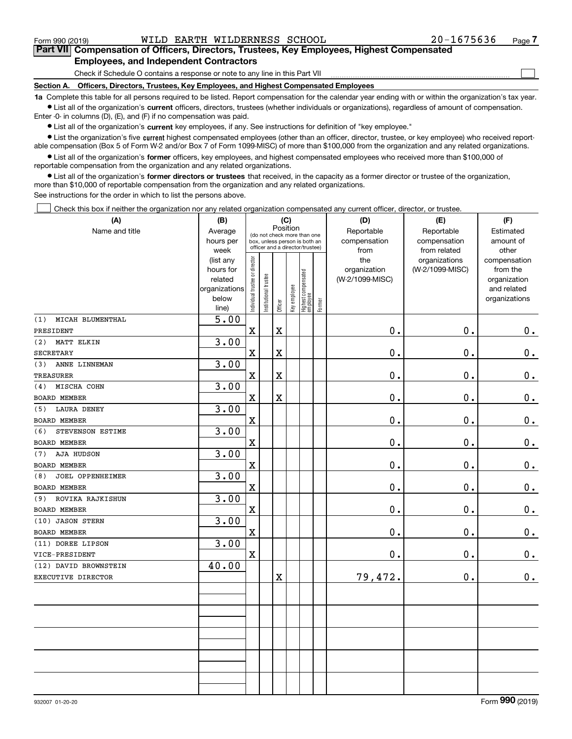$_{\rm Form}$   $_{990}$  (2019) <code>WILD</code> EARTH <code>WILDERNESS</code> SCHOOL  $20$   $-1675636$   $_{\rm Page}$ 

 $\begin{array}{c} \hline \end{array}$ 

#### Part VII Compensation of Officers, Directors, Trustees, Key Employees, Highest Compensated Employees, and Independent Contractors

Check if Schedule O contains a response or note to any line in this Part VII

Section A. Officers, Directors, Trustees, Key Employees, and Highest Compensated Employees

1a Complete this table for all persons required to be listed. Report compensation for the calendar year ending with or within the organization's tax year. Ist all of the organization's current officers, directors, trustees (whether individuals or organizations), regardless of amount of compensation.

Enter -0- in columns (D), (E), and (F) if no compensation was paid.

 $\bullet$  List all of the organization's current key employees, if any. See instructions for definition of "key employee."

● List the organization's five current highest compensated employees (other than an officer, director, trustee, or key employee) who received reportable compensation (Box 5 of Form W-2 and/or Box 7 of Form 1099-MISC) of more than \$100,000 from the organization and any related organizations.

List all of the organization's former officers, key employees, and highest compensated employees who received more than \$100,000 of reportable compensation from the organization and any related organizations.

• List all of the organization's former directors or trustees that received, in the capacity as a former director or trustee of the organization, more than \$10,000 of reportable compensation from the organization and any related organizations.

See instructions for the order in which to list the persons above.

Check this box if neither the organization nor any related organization compensated any current officer, director, or trustee.  $\Box$ 

| (A)                     | (B)                  |                                |                       |                         | (C)          |                                                                  |        | (D)                             | (E)             | (F)                         |
|-------------------------|----------------------|--------------------------------|-----------------------|-------------------------|--------------|------------------------------------------------------------------|--------|---------------------------------|-----------------|-----------------------------|
| Name and title          | Average              |                                |                       | Position                |              | (do not check more than one                                      |        | Reportable                      | Reportable      | Estimated                   |
|                         | hours per            |                                |                       |                         |              | box, unless person is both an<br>officer and a director/trustee) |        | compensation                    | compensation    | amount of                   |
|                         | week                 |                                |                       |                         |              |                                                                  |        | from                            | from related    | other                       |
|                         | (list any            |                                |                       |                         |              |                                                                  |        | the                             | organizations   | compensation                |
|                         | hours for<br>related |                                |                       |                         |              |                                                                  |        | organization<br>(W-2/1099-MISC) | (W-2/1099-MISC) | from the                    |
|                         | organizations        |                                |                       |                         |              |                                                                  |        |                                 |                 | organization<br>and related |
|                         | below                |                                |                       |                         |              |                                                                  |        |                                 |                 | organizations               |
|                         | line)                | Individual trustee or director | Institutional trustee | Officer                 | Key employee | Highest compensated<br>  employee                                | Former |                                 |                 |                             |
| MICAH BLUMENTHAL<br>(1) | 5.00                 |                                |                       |                         |              |                                                                  |        |                                 |                 |                             |
| PRESIDENT               |                      | $\mathbf x$                    |                       | $\mathbf X$             |              |                                                                  |        | 0.                              | 0.              | 0.                          |
| (2) MATT ELKIN          | 3.00                 |                                |                       |                         |              |                                                                  |        |                                 |                 |                             |
| <b>SECRETARY</b>        |                      | $\mathbf X$                    |                       | $\overline{\textbf{X}}$ |              |                                                                  |        | 0.                              | 0.              | $\mathbf 0$ .               |
| ANNE LINNEMAN<br>(3)    | 3.00                 |                                |                       |                         |              |                                                                  |        |                                 |                 |                             |
| <b>TREASURER</b>        |                      | $\mathbf X$                    |                       | $\mathbf X$             |              |                                                                  |        | 0.                              | $\mathbf 0$ .   | $\mathbf 0$ .               |
| MISCHA COHN<br>(4)      | 3.00                 |                                |                       |                         |              |                                                                  |        |                                 |                 |                             |
| <b>BOARD MEMBER</b>     |                      | $\mathbf x$                    |                       | $\overline{\textbf{X}}$ |              |                                                                  |        | 0.                              | $\mathbf 0$ .   | $\mathbf 0$ .               |
| (5) LAURA DENEY         | 3.00                 |                                |                       |                         |              |                                                                  |        |                                 |                 |                             |
| <b>BOARD MEMBER</b>     |                      | $\mathbf X$                    |                       |                         |              |                                                                  |        | 0.                              | $\mathbf 0$ .   | $0_{.}$                     |
| STEVENSON ESTIME<br>(6) | 3.00                 |                                |                       |                         |              |                                                                  |        |                                 |                 |                             |
| <b>BOARD MEMBER</b>     |                      | $\mathbf X$                    |                       |                         |              |                                                                  |        | 0.                              | $\mathbf 0$ .   | $\mathbf 0$ .               |
| AJA HUDSON<br>(7)       | 3.00                 |                                |                       |                         |              |                                                                  |        |                                 |                 |                             |
| BOARD MEMBER            |                      | $\mathbf X$                    |                       |                         |              |                                                                  |        | 0.                              | $\mathbf 0$ .   | $\mathbf 0$ .               |
| JOEL OPPENHEIMER<br>(8) | 3.00                 |                                |                       |                         |              |                                                                  |        |                                 |                 |                             |
| BOARD MEMBER            |                      | $\mathbf x$                    |                       |                         |              |                                                                  |        | 0.                              | $\mathbf 0$ .   | $\mathbf 0$ .               |
| (9) ROVIKA RAJKISHUN    | 3.00                 |                                |                       |                         |              |                                                                  |        |                                 |                 |                             |
| BOARD MEMBER            |                      | $\mathbf X$                    |                       |                         |              |                                                                  |        | 0.                              | $\mathbf 0$ .   | $0_{.}$                     |
| (10) JASON STERN        | 3.00                 |                                |                       |                         |              |                                                                  |        |                                 |                 |                             |
| BOARD MEMBER            |                      | $\overline{\mathbf{X}}$        |                       |                         |              |                                                                  |        | 0.                              | $\mathbf 0$ .   | $0_{.}$                     |
| (11) DOREE LIPSON       | 3.00                 |                                |                       |                         |              |                                                                  |        |                                 |                 |                             |
| VICE-PRESIDENT          |                      | $\mathbf X$                    |                       |                         |              |                                                                  |        | 0.                              | $\mathbf 0$ .   | $\mathbf 0$ .               |
| (12) DAVID BROWNSTEIN   | 40.00                |                                |                       |                         |              |                                                                  |        |                                 |                 |                             |
| EXECUTIVE DIRECTOR      |                      |                                |                       | X                       |              |                                                                  |        | 79,472.                         | $\mathbf 0$ .   | 0.                          |
|                         |                      |                                |                       |                         |              |                                                                  |        |                                 |                 |                             |
|                         |                      |                                |                       |                         |              |                                                                  |        |                                 |                 |                             |
|                         |                      |                                |                       |                         |              |                                                                  |        |                                 |                 |                             |
|                         |                      |                                |                       |                         |              |                                                                  |        |                                 |                 |                             |
|                         |                      |                                |                       |                         |              |                                                                  |        |                                 |                 |                             |
|                         |                      |                                |                       |                         |              |                                                                  |        |                                 |                 |                             |
|                         |                      |                                |                       |                         |              |                                                                  |        |                                 |                 |                             |
|                         |                      |                                |                       |                         |              |                                                                  |        |                                 |                 |                             |
|                         |                      |                                |                       |                         |              |                                                                  |        |                                 |                 |                             |
|                         |                      |                                |                       |                         |              |                                                                  |        |                                 |                 |                             |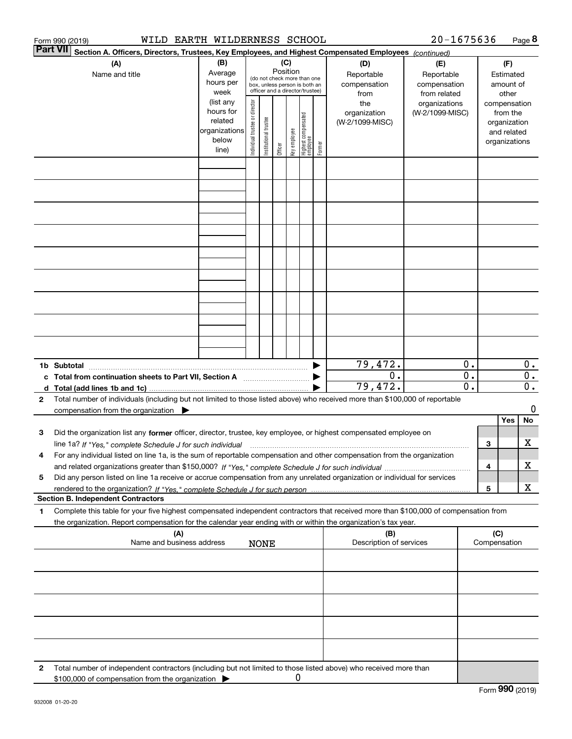|   | WILD EARTH WILDERNESS SCHOOL<br>Form 990 (2019)                                                                                                                                                                                                        |                                                                      |                                |                            |          |              |                                                                                                 |        |                                           | 20-1675636                                        |                                        |     |                                                                          | Page 8                               |
|---|--------------------------------------------------------------------------------------------------------------------------------------------------------------------------------------------------------------------------------------------------------|----------------------------------------------------------------------|--------------------------------|----------------------------|----------|--------------|-------------------------------------------------------------------------------------------------|--------|-------------------------------------------|---------------------------------------------------|----------------------------------------|-----|--------------------------------------------------------------------------|--------------------------------------|
|   | Part VII<br>Section A. Officers, Directors, Trustees, Key Employees, and Highest Compensated Employees (continued)                                                                                                                                     |                                                                      |                                |                            |          |              |                                                                                                 |        |                                           |                                                   |                                        |     |                                                                          |                                      |
|   | (A)<br>Name and title                                                                                                                                                                                                                                  | (B)<br>Average<br>hours per<br>week                                  |                                |                            | Position | (C)          | (do not check more than one<br>box, unless person is both an<br>officer and a director/trustee) |        | (D)<br>Reportable<br>compensation<br>from | (E)<br>Reportable<br>compensation<br>from related | (F)<br>Estimated<br>amount of<br>other |     |                                                                          |                                      |
|   |                                                                                                                                                                                                                                                        | (list any<br>hours for<br>related<br>organizations<br>below<br>line) | Individual trustee or director | trustee<br>Institutional t | Officer  | key employee | Highest compensated<br>employee                                                                 | Former | the<br>organization<br>(W-2/1099-MISC)    | organizations<br>(W-2/1099-MISC)                  |                                        |     | compensation<br>from the<br>organization<br>and related<br>organizations |                                      |
|   |                                                                                                                                                                                                                                                        |                                                                      |                                |                            |          |              |                                                                                                 |        |                                           |                                                   |                                        |     |                                                                          |                                      |
|   |                                                                                                                                                                                                                                                        |                                                                      |                                |                            |          |              |                                                                                                 |        |                                           |                                                   |                                        |     |                                                                          |                                      |
|   |                                                                                                                                                                                                                                                        |                                                                      |                                |                            |          |              |                                                                                                 |        |                                           |                                                   |                                        |     |                                                                          |                                      |
|   |                                                                                                                                                                                                                                                        |                                                                      |                                |                            |          |              |                                                                                                 |        |                                           |                                                   |                                        |     |                                                                          |                                      |
|   |                                                                                                                                                                                                                                                        |                                                                      |                                |                            |          |              |                                                                                                 |        |                                           |                                                   |                                        |     |                                                                          |                                      |
|   |                                                                                                                                                                                                                                                        |                                                                      |                                |                            |          |              |                                                                                                 |        |                                           |                                                   |                                        |     |                                                                          |                                      |
|   |                                                                                                                                                                                                                                                        |                                                                      |                                |                            |          |              |                                                                                                 |        |                                           |                                                   |                                        |     |                                                                          |                                      |
|   |                                                                                                                                                                                                                                                        |                                                                      |                                |                            |          |              |                                                                                                 |        |                                           |                                                   |                                        |     |                                                                          |                                      |
|   | 1b Subtotal                                                                                                                                                                                                                                            |                                                                      |                                |                            |          |              |                                                                                                 |        | 79,472.                                   |                                                   | 0.                                     |     |                                                                          | $0$ .                                |
|   | c Total from continuation sheets to Part VII, Section A manufactured and response to Total from example.                                                                                                                                               |                                                                      |                                |                            |          |              |                                                                                                 |        | 0.<br>79,472.                             |                                                   | $\mathbf 0$ .<br>$\overline{0}$ .      |     |                                                                          | $\overline{0}$ .<br>$\overline{0}$ . |
| 2 | Total number of individuals (including but not limited to those listed above) who received more than \$100,000 of reportable                                                                                                                           |                                                                      |                                |                            |          |              |                                                                                                 |        |                                           |                                                   |                                        |     |                                                                          |                                      |
|   | compensation from the organization $\blacktriangleright$                                                                                                                                                                                               |                                                                      |                                |                            |          |              |                                                                                                 |        |                                           |                                                   |                                        |     | Yes                                                                      | 0<br>No                              |
| з | Did the organization list any former officer, director, trustee, key employee, or highest compensated employee on                                                                                                                                      |                                                                      |                                |                            |          |              |                                                                                                 |        |                                           |                                                   |                                        |     |                                                                          |                                      |
|   | line 1a? If "Yes," complete Schedule J for such individual manufactured contained and the line 1a? If "Yes," complete Schedule J for such individual                                                                                                   |                                                                      |                                |                            |          |              |                                                                                                 |        |                                           |                                                   |                                        | 3   |                                                                          | x                                    |
| 4 | For any individual listed on line 1a, is the sum of reportable compensation and other compensation from the organization                                                                                                                               |                                                                      |                                |                            |          |              |                                                                                                 |        |                                           |                                                   |                                        | 4   |                                                                          | x                                    |
| 5 | Did any person listed on line 1a receive or accrue compensation from any unrelated organization or individual for services                                                                                                                             |                                                                      |                                |                            |          |              |                                                                                                 |        |                                           |                                                   |                                        | 5   |                                                                          | x                                    |
|   | <b>Section B. Independent Contractors</b>                                                                                                                                                                                                              |                                                                      |                                |                            |          |              |                                                                                                 |        |                                           |                                                   |                                        |     |                                                                          |                                      |
| 1 | Complete this table for your five highest compensated independent contractors that received more than \$100,000 of compensation from<br>the organization. Report compensation for the calendar year ending with or within the organization's tax year. |                                                                      |                                |                            |          |              |                                                                                                 |        |                                           |                                                   |                                        |     |                                                                          |                                      |
|   | (A)<br>Name and business address                                                                                                                                                                                                                       |                                                                      |                                | <b>NONE</b>                |          |              |                                                                                                 |        | (B)<br>Description of services            |                                                   |                                        | (C) | Compensation                                                             |                                      |
|   |                                                                                                                                                                                                                                                        |                                                                      |                                |                            |          |              |                                                                                                 |        |                                           |                                                   |                                        |     |                                                                          |                                      |
|   |                                                                                                                                                                                                                                                        |                                                                      |                                |                            |          |              |                                                                                                 |        |                                           |                                                   |                                        |     |                                                                          |                                      |
|   |                                                                                                                                                                                                                                                        |                                                                      |                                |                            |          |              |                                                                                                 |        |                                           |                                                   |                                        |     |                                                                          |                                      |
|   |                                                                                                                                                                                                                                                        |                                                                      |                                |                            |          |              |                                                                                                 |        |                                           |                                                   |                                        |     |                                                                          |                                      |
| 2 | Total number of independent contractors (including but not limited to those listed above) who received more than                                                                                                                                       |                                                                      |                                |                            |          |              |                                                                                                 |        |                                           |                                                   |                                        |     |                                                                          |                                      |
|   | \$100,000 of compensation from the organization                                                                                                                                                                                                        |                                                                      |                                |                            |          | 0            |                                                                                                 |        |                                           |                                                   |                                        |     |                                                                          |                                      |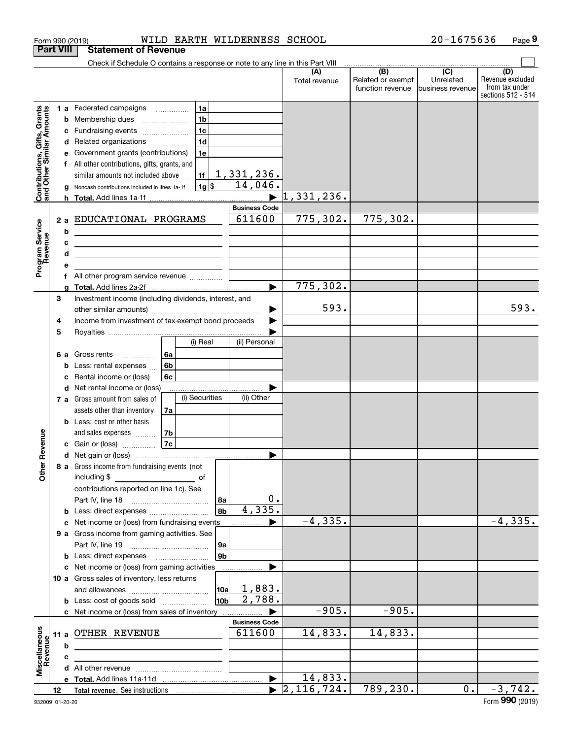|                                                                                         | <b>Part VIII</b>       | <b>Statement of Revenue</b>                                                                                                                                                                                                                                                                                                                                                                                                                                                                                                                                                                                                                                          |                                                                                 |                                                         |                                 |                                       |                               |                                                          |
|-----------------------------------------------------------------------------------------|------------------------|----------------------------------------------------------------------------------------------------------------------------------------------------------------------------------------------------------------------------------------------------------------------------------------------------------------------------------------------------------------------------------------------------------------------------------------------------------------------------------------------------------------------------------------------------------------------------------------------------------------------------------------------------------------------|---------------------------------------------------------------------------------|---------------------------------------------------------|---------------------------------|---------------------------------------|-------------------------------|----------------------------------------------------------|
|                                                                                         |                        | Check if Schedule O contains a response or note to any line in this Part VIII                                                                                                                                                                                                                                                                                                                                                                                                                                                                                                                                                                                        |                                                                                 |                                                         | (A)                             | $\overline{(B)}$                      | $\overline{C}$                | (D)                                                      |
|                                                                                         |                        |                                                                                                                                                                                                                                                                                                                                                                                                                                                                                                                                                                                                                                                                      |                                                                                 |                                                         | Total revenue                   | Related or exempt<br>function revenue | Unrelated<br>business revenue | Revenue excluded<br>from tax under<br>sections 512 - 514 |
| Contributions, Gifts, Grants<br>and Other Similar Amounts<br>Program Service<br>Revenue | b<br>2a<br>b<br>c<br>d | <b>1 a</b> Federated campaigns<br>Membership dues<br>Fundraising events<br>d Related organizations<br>Government grants (contributions)<br>All other contributions, gifts, grants, and<br>similar amounts not included above<br>g Noncash contributions included in lines 1a-1f<br>EDUCATIONAL PROGRAMS<br>the contract of the contract of the contract of the contract of the<br><u> 1989 - Johann Barbara, marka a shekara tsa 1989 - An tsa 1989 - An tsa 1989 - An tsa 1989 - An tsa 1989 - An</u><br><u> 1989 - Johann Barbara, martin amerikan basar dan berasal dalam basar dalam basar dalam basar dalam basar dala</u><br>All other program service revenue | 1a<br>1 <sub>b</sub><br>1 <sub>c</sub><br>1 <sub>d</sub><br>1e<br>1f<br>$1g$ \$ | 1,331,236.<br>14,046.<br><b>Business Code</b><br>611600 | 1,33 <u>1,236.</u><br>775, 302. | 775, 302.                             |                               |                                                          |
|                                                                                         |                        |                                                                                                                                                                                                                                                                                                                                                                                                                                                                                                                                                                                                                                                                      |                                                                                 | ь                                                       | 775,302.                        |                                       |                               |                                                          |
|                                                                                         | 3<br>4<br>5            | Investment income (including dividends, interest, and<br>Income from investment of tax-exempt bond proceeds                                                                                                                                                                                                                                                                                                                                                                                                                                                                                                                                                          |                                                                                 |                                                         | 593.                            |                                       |                               | 593.                                                     |
|                                                                                         | 6а                     | Gross rents<br>.<br>Less: rental expenses<br>Rental income or (loss)<br>d Net rental income or (loss)<br>7 a Gross amount from sales of                                                                                                                                                                                                                                                                                                                                                                                                                                                                                                                              | (i) Real<br>l 6a<br>6b<br>6c<br>(i) Securities                                  | (ii) Personal<br>(ii) Other                             |                                 |                                       |                               |                                                          |
| Revenue                                                                                 |                        | assets other than inventory<br><b>b</b> Less: cost or other basis<br>and sales expenses<br><b>c</b> Gain or (loss) $\ldots$                                                                                                                                                                                                                                                                                                                                                                                                                                                                                                                                          | 7a<br> 7 <sub>b</sub><br> 7c                                                    |                                                         |                                 |                                       |                               |                                                          |
| Other                                                                                   |                        | 8 a Gross income from fundraising events (not<br>including \$<br>contributions reported on line 1c). See<br><b>b</b> Less: direct expenses                                                                                                                                                                                                                                                                                                                                                                                                                                                                                                                           | оf                                                                              | $\boldsymbol{0}$ .<br>8a<br>4,335.<br>8 <sub>b</sub>    |                                 |                                       |                               |                                                          |
|                                                                                         |                        | c Net income or (loss) from fundraising events                                                                                                                                                                                                                                                                                                                                                                                                                                                                                                                                                                                                                       |                                                                                 |                                                         | $-4, 335.$                      |                                       |                               | $-4, 335.$                                               |
|                                                                                         |                        | 9 a Gross income from gaming activities. See<br><b>b</b> Less: direct expenses <b>manually</b>                                                                                                                                                                                                                                                                                                                                                                                                                                                                                                                                                                       |                                                                                 | 9a<br>9 <sub>b</sub>                                    |                                 |                                       |                               |                                                          |
|                                                                                         |                        | c Net income or (loss) from gaming activities<br>10 a Gross sales of inventory, less returns<br><b>b</b> Less: cost of goods sold                                                                                                                                                                                                                                                                                                                                                                                                                                                                                                                                    |                                                                                 | 1,883.<br>10a<br>2,788.<br>10ь                          |                                 |                                       |                               |                                                          |
|                                                                                         |                        | c Net income or (loss) from sales of inventory                                                                                                                                                                                                                                                                                                                                                                                                                                                                                                                                                                                                                       |                                                                                 |                                                         | $-905.$                         | $-905.$                               |                               |                                                          |
| Miscellaneous<br>Revenue                                                                | b                      | 11 a OTHER REVENUE                                                                                                                                                                                                                                                                                                                                                                                                                                                                                                                                                                                                                                                   |                                                                                 | <b>Business Code</b><br>611600                          | 14,833.                         | 14,833.                               |                               |                                                          |
|                                                                                         | с                      |                                                                                                                                                                                                                                                                                                                                                                                                                                                                                                                                                                                                                                                                      |                                                                                 |                                                         |                                 |                                       |                               |                                                          |
|                                                                                         |                        |                                                                                                                                                                                                                                                                                                                                                                                                                                                                                                                                                                                                                                                                      |                                                                                 |                                                         |                                 |                                       |                               |                                                          |
|                                                                                         |                        |                                                                                                                                                                                                                                                                                                                                                                                                                                                                                                                                                                                                                                                                      |                                                                                 | $\blacktriangleright$                                   | 14,833.                         |                                       |                               |                                                          |
|                                                                                         | 12                     |                                                                                                                                                                                                                                                                                                                                                                                                                                                                                                                                                                                                                                                                      |                                                                                 | $\blacktriangleright$                                   | $\sqrt{2, 116, 724}$ .          | 789,230.                              | 0.1                           | $-3,742.$                                                |

Form 990 (2019) Page WILD EARTH WILDERNESS SCHOOL 20-1675636

Page 9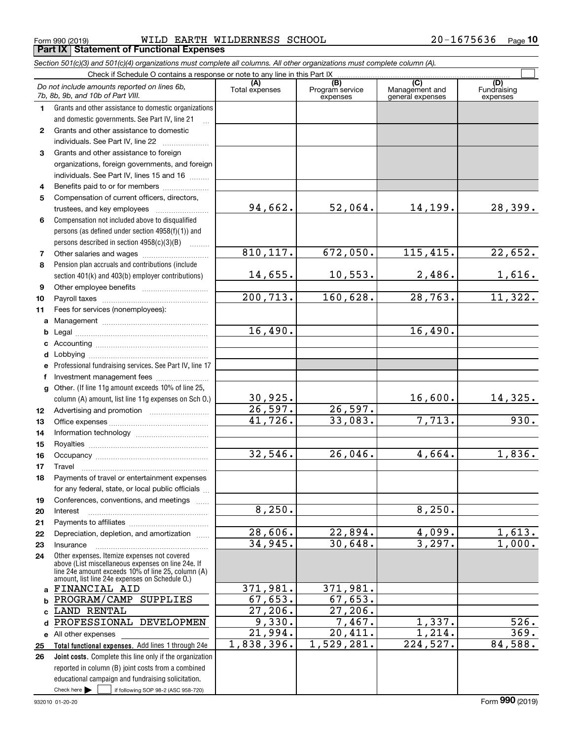Form 990 (2019) WILD\_EARTH\_WILDERNESS\_SCHOOL 2 0-1 6 7 5 6 3 6 Page<br>| **Part IX | Statement of Functional Expenses** WILD EARTH WILDERNESS SCHOOL 20-1675636

Section 501(c)(3) and 501(c)(4) organizations must complete all columns. All other organizations must complete column (A).

|              | Do not include amounts reported on lines 6b,<br>7b, 8b, 9b, and 10b of Part VIII.                    | (A)<br>Total expenses | (B)<br>Program service<br>expenses | $\overline{C}$<br>Management and<br>general expenses | (D)<br>Fundraising<br>expenses |
|--------------|------------------------------------------------------------------------------------------------------|-----------------------|------------------------------------|------------------------------------------------------|--------------------------------|
| 1.           | Grants and other assistance to domestic organizations                                                |                       |                                    |                                                      |                                |
|              | and domestic governments. See Part IV, line 21                                                       |                       |                                    |                                                      |                                |
| $\mathbf{2}$ | Grants and other assistance to domestic                                                              |                       |                                    |                                                      |                                |
|              | individuals. See Part IV, line 22                                                                    |                       |                                    |                                                      |                                |
| 3            | Grants and other assistance to foreign                                                               |                       |                                    |                                                      |                                |
|              | organizations, foreign governments, and foreign                                                      |                       |                                    |                                                      |                                |
|              | individuals. See Part IV, lines 15 and 16                                                            |                       |                                    |                                                      |                                |
| 4            | Benefits paid to or for members                                                                      |                       |                                    |                                                      |                                |
| 5            | Compensation of current officers, directors,                                                         |                       |                                    |                                                      |                                |
|              | trustees, and key employees                                                                          | 94,662.               | 52,064.                            | 14,199.                                              | 28,399.                        |
| 6            | Compensation not included above to disqualified                                                      |                       |                                    |                                                      |                                |
|              | persons (as defined under section 4958(f)(1)) and                                                    |                       |                                    |                                                      |                                |
|              | persons described in section 4958(c)(3)(B)                                                           |                       |                                    |                                                      |                                |
| 7            | Other salaries and wages                                                                             | 810, 117.             | 672,050.                           | 115,415.                                             | 22,652.                        |
| 8            | Pension plan accruals and contributions (include                                                     |                       |                                    |                                                      |                                |
|              | section 401(k) and 403(b) employer contributions)                                                    | 14,655.               | 10,553.                            | 2,486.                                               | 1,616.                         |
| 9            |                                                                                                      |                       |                                    |                                                      |                                |
| 10           |                                                                                                      | 200, 713.             | 160,628.                           | 28, 763.                                             | 11,322.                        |
| 11           | Fees for services (nonemployees):                                                                    |                       |                                    |                                                      |                                |
|              |                                                                                                      |                       |                                    |                                                      |                                |
| b            |                                                                                                      | 16,490.               |                                    | 16,490.                                              |                                |
|              |                                                                                                      |                       |                                    |                                                      |                                |
| d            |                                                                                                      |                       |                                    |                                                      |                                |
| е            | Professional fundraising services. See Part IV, line 17                                              |                       |                                    |                                                      |                                |
| f            | Investment management fees                                                                           |                       |                                    |                                                      |                                |
| $\mathbf{q}$ | Other. (If line 11g amount exceeds 10% of line 25,                                                   |                       |                                    |                                                      |                                |
|              | column (A) amount, list line 11g expenses on Sch O.)                                                 | 30,925.               |                                    | 16,600.                                              | 14,325.                        |
| 12           |                                                                                                      | 26,597.<br>41,726.    | 26,597.<br>33,083.                 |                                                      |                                |
| 13           |                                                                                                      |                       |                                    | 7,713.                                               | 930.                           |
| 14           |                                                                                                      |                       |                                    |                                                      |                                |
| 15           |                                                                                                      | 32,546.               | 26,046.                            | 4,664.                                               | 1,836.                         |
| 16           |                                                                                                      |                       |                                    |                                                      |                                |
| 17           | Travel                                                                                               |                       |                                    |                                                      |                                |
| 18           | Payments of travel or entertainment expenses<br>for any federal, state, or local public officials    |                       |                                    |                                                      |                                |
|              |                                                                                                      |                       |                                    |                                                      |                                |
| 19<br>20     | Conferences, conventions, and meetings<br>Interest                                                   | 8,250.                |                                    | 8,250.                                               |                                |
| 21           |                                                                                                      |                       |                                    |                                                      |                                |
| 22           | Depreciation, depletion, and amortization                                                            | 28,606.               | 22,894.                            | 4,099.                                               | 1,613.                         |
| 23           | Insurance                                                                                            | 34,945.               | 30,648.                            | 3,297.                                               | 1,000.                         |
| 24           | Other expenses. Itemize expenses not covered                                                         |                       |                                    |                                                      |                                |
|              | above (List miscellaneous expenses on line 24e. If                                                   |                       |                                    |                                                      |                                |
|              | line 24e amount exceeds 10% of line 25, column (A)<br>amount, list line 24e expenses on Schedule O.) |                       |                                    |                                                      |                                |
|              | a FINANCIAL AID                                                                                      | 371,981.              | 371,981.                           |                                                      |                                |
| b            | PROGRAM/CAMP SUPPLIES                                                                                | 67,653.               | 67,653.                            |                                                      |                                |
| c            | <b>LAND RENTAL</b>                                                                                   | 27,206.               | $\overline{27,206}$ .              |                                                      |                                |
| d            | PROFESSIONAL DEVELOPMEN                                                                              | 9,330.                | 7,467.                             | 1,337.                                               | 526.                           |
|              | e All other expenses                                                                                 | 21,994.               | 20,411.                            | 1,214.                                               | $\overline{369}$ .             |
| 25           | Total functional expenses. Add lines 1 through 24e                                                   | 1,838,396.            | 1,529,281.                         | 224,527.                                             | 84,588.                        |
| 26           | Joint costs. Complete this line only if the organization                                             |                       |                                    |                                                      |                                |
|              | reported in column (B) joint costs from a combined                                                   |                       |                                    |                                                      |                                |
|              | educational campaign and fundraising solicitation.                                                   |                       |                                    |                                                      |                                |
|              | Check here $\blacktriangleright$<br>if following SOP 98-2 (ASC 958-720)                              |                       |                                    |                                                      |                                |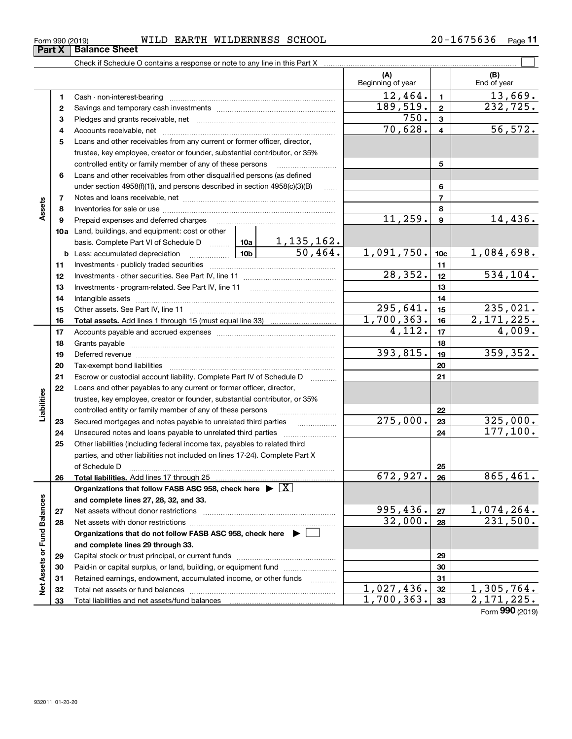| 675636<br>$20 -$<br>WILDERNESS SCHOOL<br>EARTH<br>WILD<br>⊥ 6ີ<br>Form 990 (2019) | Page |
|-----------------------------------------------------------------------------------|------|
|-----------------------------------------------------------------------------------|------|

|                             |    |                                                                                                                 |                        | (A)<br>Beginning of year |                         | (B)<br>End of year          |
|-----------------------------|----|-----------------------------------------------------------------------------------------------------------------|------------------------|--------------------------|-------------------------|-----------------------------|
|                             | 1  |                                                                                                                 |                        | 12,464.                  | $\blacksquare$          | 13,669.                     |
|                             | 2  |                                                                                                                 |                        | 189,519.                 | $\overline{\mathbf{2}}$ | 232,725.                    |
|                             | з  |                                                                                                                 |                        | 750.                     | 3                       |                             |
|                             | 4  |                                                                                                                 |                        | 70,628.                  | 4                       | 56, 572.                    |
|                             | 5  | Loans and other receivables from any current or former officer, director,                                       |                        |                          |                         |                             |
|                             |    | trustee, key employee, creator or founder, substantial contributor, or 35%                                      |                        |                          |                         |                             |
|                             |    | controlled entity or family member of any of these persons                                                      |                        |                          | 5                       |                             |
|                             | 6  | Loans and other receivables from other disqualified persons (as defined                                         |                        |                          |                         |                             |
|                             |    | under section $4958(f)(1)$ , and persons described in section $4958(c)(3)(B)$                                   | .                      |                          | 6                       |                             |
|                             | 7  |                                                                                                                 |                        |                          | $\overline{7}$          |                             |
| Assets                      | 8  |                                                                                                                 |                        |                          | 8                       |                             |
|                             | 9  | Prepaid expenses and deferred charges                                                                           |                        | 11,259.                  | 9                       | 14,436.                     |
|                             |    | 10a Land, buildings, and equipment: cost or other                                                               |                        |                          |                         |                             |
|                             |    | basis. Complete Part VI of Schedule D  10a   1, 135, 162.                                                       |                        |                          |                         |                             |
|                             |    | <u>  10b</u>  <br><b>b</b> Less: accumulated depreciation                                                       | $\overline{50, 464}$ . | 1,091,750.               | 10 <sub>c</sub>         | 1,084,698.                  |
|                             | 11 |                                                                                                                 |                        |                          | 11                      |                             |
|                             | 12 |                                                                                                                 |                        | $\overline{28, 352}$ .   | 12                      | 534, 104.                   |
|                             | 13 | Investments - program-related. See Part IV, line 11                                                             |                        |                          | 13                      |                             |
|                             | 14 |                                                                                                                 |                        |                          | 14                      |                             |
|                             | 15 |                                                                                                                 |                        | $\overline{295}$ , 641.  | 15                      | 235,021.                    |
|                             | 16 |                                                                                                                 |                        | 1,700,363.               | 16                      | 2, 171, 225.                |
|                             | 17 |                                                                                                                 |                        | $\overline{4,112}$ .     | 17                      | 4,009.                      |
|                             | 18 |                                                                                                                 |                        |                          | 18                      |                             |
|                             | 19 | Deferred revenue manual contracts and contracts and contracts are contracted and contracts are contracted and c |                        | 393,815.                 | 19                      | 359,352.                    |
|                             | 20 |                                                                                                                 |                        |                          | 20                      |                             |
|                             | 21 | Escrow or custodial account liability. Complete Part IV of Schedule D                                           | 1.1.1.1.1.1.1.1.1      |                          | 21                      |                             |
|                             | 22 | Loans and other payables to any current or former officer, director,                                            |                        |                          |                         |                             |
| Liabilities                 |    | trustee, key employee, creator or founder, substantial contributor, or 35%                                      |                        |                          |                         |                             |
|                             |    | controlled entity or family member of any of these persons                                                      |                        |                          | 22                      |                             |
|                             | 23 | Secured mortgages and notes payable to unrelated third parties                                                  |                        | $\overline{275}$ ,000.   | 23                      | 325,000.                    |
|                             | 24 |                                                                                                                 |                        |                          | 24                      | 177, 100.                   |
|                             | 25 | Other liabilities (including federal income tax, payables to related third                                      |                        |                          |                         |                             |
|                             |    | parties, and other liabilities not included on lines 17-24). Complete Part X                                    |                        |                          |                         |                             |
|                             |    | of Schedule D                                                                                                   |                        |                          | 25                      |                             |
|                             | 26 | Total liabilities. Add lines 17 through 25                                                                      |                        | $\overline{672,927}$ .   | 26                      | 865,461.                    |
|                             |    | Organizations that follow FASB ASC 958, check here $\blacktriangleright \boxed{X}$                              |                        |                          |                         |                             |
|                             |    | and complete lines 27, 28, 32, and 33.                                                                          |                        |                          |                         |                             |
|                             | 27 | Net assets without donor restrictions                                                                           |                        | 995,436.                 | 27                      | $\frac{1,074,264}{231,500}$ |
|                             | 28 |                                                                                                                 |                        | 32,000.                  | 28                      |                             |
|                             |    | Organizations that do not follow FASB ASC 958, check here $\blacktriangleright$                                 |                        |                          |                         |                             |
|                             |    | and complete lines 29 through 33.                                                                               |                        |                          |                         |                             |
|                             | 29 |                                                                                                                 |                        |                          | 29                      |                             |
| Net Assets or Fund Balances | 30 | Paid-in or capital surplus, or land, building, or equipment fund                                                |                        |                          | 30                      |                             |
|                             | 31 | Retained earnings, endowment, accumulated income, or other funds                                                |                        |                          | 31                      |                             |
|                             | 32 |                                                                                                                 |                        | 1,027,436.               | 32                      | 1, 305, 764.                |
|                             | 33 |                                                                                                                 |                        | 1,700,363.               | 33                      | 2, 171, 225.                |

Form **990** (2019)

# Form 990 (2019)<br>**Part X** | **Bala**

| 2019) |                      | พ⊥⊥⊔ |  |
|-------|----------------------|------|--|
|       | <b>Balance Sheet</b> |      |  |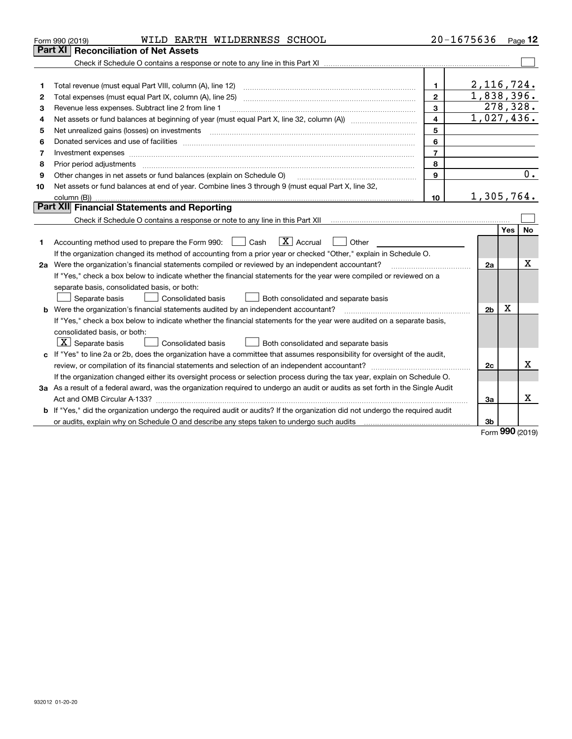| <b>Part XI</b><br><b>Reconciliation of Net Assets</b><br>2,116,724.<br>Total revenue (must equal Part VIII, column (A), line 12)<br>1<br>1<br>1,838,396.<br>$\mathbf{2}$<br>Total expenses (must equal Part IX, column (A), line 25)<br>2<br>278,328.<br>3<br>Revenue less expenses. Subtract line 2 from line 1<br>З<br>$\overline{1,027,436}$ .<br>4<br>Net assets or fund balances at beginning of year (must equal Part X, line 32, column (A)) <i>massets</i> or fund balances at beginning of year (must equal Part X, line 32, column (A))<br>4<br>5<br>Net unrealized gains (losses) on investments<br>5<br>$\overline{a_1, \ldots, a_n, \ldots, a_n, \ldots, a_n, \ldots, a_n, \ldots, a_n, \ldots, a_n, \ldots, a_n, \ldots, a_n, \ldots, a_n, \ldots, a_n, \ldots, a_n, \ldots, a_n, \ldots, a_n, \ldots, a_n, \ldots, a_n, \ldots, a_n, \ldots, a_n, \ldots, a_n, \ldots, a_n, \ldots, a_n, \ldots, a_n, \ldots, a_n, \ldots, a_n, \ldots, a_n, \ldots, a_n, \ldots, a_n, \ldots, a_n, \ldots, a_n, \ldots, a_n, \ldots, a_n, \ld$<br>6<br>Donated services and use of facilities [111] Donated and the service of facilities [11] Donated services and use of facilities [11] Donated and the service of the service of the service of the service of the service of the<br>6<br>$\overline{7}$<br>Investment expenses www.communication.com/www.communication.com/www.communication.com/www.com<br>7<br>8<br>8<br>9<br>Other changes in net assets or fund balances (explain on Schedule O)<br>9<br>Net assets or fund balances at end of year. Combine lines 3 through 9 (must equal Part X, line 32,<br>10<br>1,305,764.<br>10 <sup>1</sup><br><b>Part XII</b> Financial Statements and Reporting<br>Yes<br>$\boxed{\mathbf{X}}$ Accrual<br>Accounting method used to prepare the Form 990: <u>I</u> Cash<br>Other<br>1<br>If the organization changed its method of accounting from a prior year or checked "Other," explain in Schedule O.<br>2a Were the organization's financial statements compiled or reviewed by an independent accountant?<br>2a<br>If "Yes," check a box below to indicate whether the financial statements for the year were compiled or reviewed on a<br>separate basis, consolidated basis, or both:<br>Separate basis<br>Consolidated basis<br>Both consolidated and separate basis<br>$\mathbf X$<br>Were the organization's financial statements audited by an independent accountant?<br>2 <sub>b</sub><br>If "Yes," check a box below to indicate whether the financial statements for the year were audited on a separate basis,<br>consolidated basis, or both:<br>$\lfloor x \rfloor$ Separate basis<br><b>Consolidated basis</b><br>Both consolidated and separate basis<br>c If "Yes" to line 2a or 2b, does the organization have a committee that assumes responsibility for oversight of the audit,<br>review, or compilation of its financial statements and selection of an independent accountant?<br>2c | WILD EARTH WILDERNESS SCHOOL<br>Form 990 (2019) | 20-1675636 |  | Page 12 |
|----------------------------------------------------------------------------------------------------------------------------------------------------------------------------------------------------------------------------------------------------------------------------------------------------------------------------------------------------------------------------------------------------------------------------------------------------------------------------------------------------------------------------------------------------------------------------------------------------------------------------------------------------------------------------------------------------------------------------------------------------------------------------------------------------------------------------------------------------------------------------------------------------------------------------------------------------------------------------------------------------------------------------------------------------------------------------------------------------------------------------------------------------------------------------------------------------------------------------------------------------------------------------------------------------------------------------------------------------------------------------------------------------------------------------------------------------------------------------------------------------------------------------------------------------------------------------------------------------------------------------------------------------------------------------------------------------------------------------------------------------------------------------------------------------------------------------------------------------------------------------------------------------------------------------------------------------------------------------------------------------------------------------------------------------------------------------------------------------------------------------------------------------------------------------------------------------------------------------------------------------------------------------------------------------------------------------------------------------------------------------------------------------------------------------------------------------------------------------------------------------------------------------------------------------------------------------------------------------------------------------------------------------------------------------------------------------------------------------------------------------------------------------------------------------------------------------------------------------------------------------------------------------------------------------------------------------------------------|-------------------------------------------------|------------|--|---------|
|                                                                                                                                                                                                                                                                                                                                                                                                                                                                                                                                                                                                                                                                                                                                                                                                                                                                                                                                                                                                                                                                                                                                                                                                                                                                                                                                                                                                                                                                                                                                                                                                                                                                                                                                                                                                                                                                                                                                                                                                                                                                                                                                                                                                                                                                                                                                                                                                                                                                                                                                                                                                                                                                                                                                                                                                                                                                                                                                                                      |                                                 |            |  |         |
|                                                                                                                                                                                                                                                                                                                                                                                                                                                                                                                                                                                                                                                                                                                                                                                                                                                                                                                                                                                                                                                                                                                                                                                                                                                                                                                                                                                                                                                                                                                                                                                                                                                                                                                                                                                                                                                                                                                                                                                                                                                                                                                                                                                                                                                                                                                                                                                                                                                                                                                                                                                                                                                                                                                                                                                                                                                                                                                                                                      |                                                 |            |  |         |
|                                                                                                                                                                                                                                                                                                                                                                                                                                                                                                                                                                                                                                                                                                                                                                                                                                                                                                                                                                                                                                                                                                                                                                                                                                                                                                                                                                                                                                                                                                                                                                                                                                                                                                                                                                                                                                                                                                                                                                                                                                                                                                                                                                                                                                                                                                                                                                                                                                                                                                                                                                                                                                                                                                                                                                                                                                                                                                                                                                      |                                                 |            |  |         |
|                                                                                                                                                                                                                                                                                                                                                                                                                                                                                                                                                                                                                                                                                                                                                                                                                                                                                                                                                                                                                                                                                                                                                                                                                                                                                                                                                                                                                                                                                                                                                                                                                                                                                                                                                                                                                                                                                                                                                                                                                                                                                                                                                                                                                                                                                                                                                                                                                                                                                                                                                                                                                                                                                                                                                                                                                                                                                                                                                                      |                                                 |            |  |         |
|                                                                                                                                                                                                                                                                                                                                                                                                                                                                                                                                                                                                                                                                                                                                                                                                                                                                                                                                                                                                                                                                                                                                                                                                                                                                                                                                                                                                                                                                                                                                                                                                                                                                                                                                                                                                                                                                                                                                                                                                                                                                                                                                                                                                                                                                                                                                                                                                                                                                                                                                                                                                                                                                                                                                                                                                                                                                                                                                                                      |                                                 |            |  |         |
|                                                                                                                                                                                                                                                                                                                                                                                                                                                                                                                                                                                                                                                                                                                                                                                                                                                                                                                                                                                                                                                                                                                                                                                                                                                                                                                                                                                                                                                                                                                                                                                                                                                                                                                                                                                                                                                                                                                                                                                                                                                                                                                                                                                                                                                                                                                                                                                                                                                                                                                                                                                                                                                                                                                                                                                                                                                                                                                                                                      |                                                 |            |  |         |
|                                                                                                                                                                                                                                                                                                                                                                                                                                                                                                                                                                                                                                                                                                                                                                                                                                                                                                                                                                                                                                                                                                                                                                                                                                                                                                                                                                                                                                                                                                                                                                                                                                                                                                                                                                                                                                                                                                                                                                                                                                                                                                                                                                                                                                                                                                                                                                                                                                                                                                                                                                                                                                                                                                                                                                                                                                                                                                                                                                      |                                                 |            |  |         |
|                                                                                                                                                                                                                                                                                                                                                                                                                                                                                                                                                                                                                                                                                                                                                                                                                                                                                                                                                                                                                                                                                                                                                                                                                                                                                                                                                                                                                                                                                                                                                                                                                                                                                                                                                                                                                                                                                                                                                                                                                                                                                                                                                                                                                                                                                                                                                                                                                                                                                                                                                                                                                                                                                                                                                                                                                                                                                                                                                                      |                                                 |            |  |         |
|                                                                                                                                                                                                                                                                                                                                                                                                                                                                                                                                                                                                                                                                                                                                                                                                                                                                                                                                                                                                                                                                                                                                                                                                                                                                                                                                                                                                                                                                                                                                                                                                                                                                                                                                                                                                                                                                                                                                                                                                                                                                                                                                                                                                                                                                                                                                                                                                                                                                                                                                                                                                                                                                                                                                                                                                                                                                                                                                                                      |                                                 |            |  |         |
|                                                                                                                                                                                                                                                                                                                                                                                                                                                                                                                                                                                                                                                                                                                                                                                                                                                                                                                                                                                                                                                                                                                                                                                                                                                                                                                                                                                                                                                                                                                                                                                                                                                                                                                                                                                                                                                                                                                                                                                                                                                                                                                                                                                                                                                                                                                                                                                                                                                                                                                                                                                                                                                                                                                                                                                                                                                                                                                                                                      |                                                 |            |  |         |
|                                                                                                                                                                                                                                                                                                                                                                                                                                                                                                                                                                                                                                                                                                                                                                                                                                                                                                                                                                                                                                                                                                                                                                                                                                                                                                                                                                                                                                                                                                                                                                                                                                                                                                                                                                                                                                                                                                                                                                                                                                                                                                                                                                                                                                                                                                                                                                                                                                                                                                                                                                                                                                                                                                                                                                                                                                                                                                                                                                      |                                                 |            |  |         |
|                                                                                                                                                                                                                                                                                                                                                                                                                                                                                                                                                                                                                                                                                                                                                                                                                                                                                                                                                                                                                                                                                                                                                                                                                                                                                                                                                                                                                                                                                                                                                                                                                                                                                                                                                                                                                                                                                                                                                                                                                                                                                                                                                                                                                                                                                                                                                                                                                                                                                                                                                                                                                                                                                                                                                                                                                                                                                                                                                                      |                                                 |            |  | 0.      |
|                                                                                                                                                                                                                                                                                                                                                                                                                                                                                                                                                                                                                                                                                                                                                                                                                                                                                                                                                                                                                                                                                                                                                                                                                                                                                                                                                                                                                                                                                                                                                                                                                                                                                                                                                                                                                                                                                                                                                                                                                                                                                                                                                                                                                                                                                                                                                                                                                                                                                                                                                                                                                                                                                                                                                                                                                                                                                                                                                                      |                                                 |            |  |         |
|                                                                                                                                                                                                                                                                                                                                                                                                                                                                                                                                                                                                                                                                                                                                                                                                                                                                                                                                                                                                                                                                                                                                                                                                                                                                                                                                                                                                                                                                                                                                                                                                                                                                                                                                                                                                                                                                                                                                                                                                                                                                                                                                                                                                                                                                                                                                                                                                                                                                                                                                                                                                                                                                                                                                                                                                                                                                                                                                                                      |                                                 |            |  |         |
|                                                                                                                                                                                                                                                                                                                                                                                                                                                                                                                                                                                                                                                                                                                                                                                                                                                                                                                                                                                                                                                                                                                                                                                                                                                                                                                                                                                                                                                                                                                                                                                                                                                                                                                                                                                                                                                                                                                                                                                                                                                                                                                                                                                                                                                                                                                                                                                                                                                                                                                                                                                                                                                                                                                                                                                                                                                                                                                                                                      |                                                 |            |  |         |
|                                                                                                                                                                                                                                                                                                                                                                                                                                                                                                                                                                                                                                                                                                                                                                                                                                                                                                                                                                                                                                                                                                                                                                                                                                                                                                                                                                                                                                                                                                                                                                                                                                                                                                                                                                                                                                                                                                                                                                                                                                                                                                                                                                                                                                                                                                                                                                                                                                                                                                                                                                                                                                                                                                                                                                                                                                                                                                                                                                      |                                                 |            |  |         |
|                                                                                                                                                                                                                                                                                                                                                                                                                                                                                                                                                                                                                                                                                                                                                                                                                                                                                                                                                                                                                                                                                                                                                                                                                                                                                                                                                                                                                                                                                                                                                                                                                                                                                                                                                                                                                                                                                                                                                                                                                                                                                                                                                                                                                                                                                                                                                                                                                                                                                                                                                                                                                                                                                                                                                                                                                                                                                                                                                                      |                                                 |            |  | No      |
|                                                                                                                                                                                                                                                                                                                                                                                                                                                                                                                                                                                                                                                                                                                                                                                                                                                                                                                                                                                                                                                                                                                                                                                                                                                                                                                                                                                                                                                                                                                                                                                                                                                                                                                                                                                                                                                                                                                                                                                                                                                                                                                                                                                                                                                                                                                                                                                                                                                                                                                                                                                                                                                                                                                                                                                                                                                                                                                                                                      |                                                 |            |  |         |
|                                                                                                                                                                                                                                                                                                                                                                                                                                                                                                                                                                                                                                                                                                                                                                                                                                                                                                                                                                                                                                                                                                                                                                                                                                                                                                                                                                                                                                                                                                                                                                                                                                                                                                                                                                                                                                                                                                                                                                                                                                                                                                                                                                                                                                                                                                                                                                                                                                                                                                                                                                                                                                                                                                                                                                                                                                                                                                                                                                      |                                                 |            |  |         |
|                                                                                                                                                                                                                                                                                                                                                                                                                                                                                                                                                                                                                                                                                                                                                                                                                                                                                                                                                                                                                                                                                                                                                                                                                                                                                                                                                                                                                                                                                                                                                                                                                                                                                                                                                                                                                                                                                                                                                                                                                                                                                                                                                                                                                                                                                                                                                                                                                                                                                                                                                                                                                                                                                                                                                                                                                                                                                                                                                                      |                                                 |            |  | х       |
|                                                                                                                                                                                                                                                                                                                                                                                                                                                                                                                                                                                                                                                                                                                                                                                                                                                                                                                                                                                                                                                                                                                                                                                                                                                                                                                                                                                                                                                                                                                                                                                                                                                                                                                                                                                                                                                                                                                                                                                                                                                                                                                                                                                                                                                                                                                                                                                                                                                                                                                                                                                                                                                                                                                                                                                                                                                                                                                                                                      |                                                 |            |  |         |
|                                                                                                                                                                                                                                                                                                                                                                                                                                                                                                                                                                                                                                                                                                                                                                                                                                                                                                                                                                                                                                                                                                                                                                                                                                                                                                                                                                                                                                                                                                                                                                                                                                                                                                                                                                                                                                                                                                                                                                                                                                                                                                                                                                                                                                                                                                                                                                                                                                                                                                                                                                                                                                                                                                                                                                                                                                                                                                                                                                      |                                                 |            |  |         |
|                                                                                                                                                                                                                                                                                                                                                                                                                                                                                                                                                                                                                                                                                                                                                                                                                                                                                                                                                                                                                                                                                                                                                                                                                                                                                                                                                                                                                                                                                                                                                                                                                                                                                                                                                                                                                                                                                                                                                                                                                                                                                                                                                                                                                                                                                                                                                                                                                                                                                                                                                                                                                                                                                                                                                                                                                                                                                                                                                                      |                                                 |            |  |         |
|                                                                                                                                                                                                                                                                                                                                                                                                                                                                                                                                                                                                                                                                                                                                                                                                                                                                                                                                                                                                                                                                                                                                                                                                                                                                                                                                                                                                                                                                                                                                                                                                                                                                                                                                                                                                                                                                                                                                                                                                                                                                                                                                                                                                                                                                                                                                                                                                                                                                                                                                                                                                                                                                                                                                                                                                                                                                                                                                                                      |                                                 |            |  |         |
|                                                                                                                                                                                                                                                                                                                                                                                                                                                                                                                                                                                                                                                                                                                                                                                                                                                                                                                                                                                                                                                                                                                                                                                                                                                                                                                                                                                                                                                                                                                                                                                                                                                                                                                                                                                                                                                                                                                                                                                                                                                                                                                                                                                                                                                                                                                                                                                                                                                                                                                                                                                                                                                                                                                                                                                                                                                                                                                                                                      |                                                 |            |  |         |
|                                                                                                                                                                                                                                                                                                                                                                                                                                                                                                                                                                                                                                                                                                                                                                                                                                                                                                                                                                                                                                                                                                                                                                                                                                                                                                                                                                                                                                                                                                                                                                                                                                                                                                                                                                                                                                                                                                                                                                                                                                                                                                                                                                                                                                                                                                                                                                                                                                                                                                                                                                                                                                                                                                                                                                                                                                                                                                                                                                      |                                                 |            |  |         |
|                                                                                                                                                                                                                                                                                                                                                                                                                                                                                                                                                                                                                                                                                                                                                                                                                                                                                                                                                                                                                                                                                                                                                                                                                                                                                                                                                                                                                                                                                                                                                                                                                                                                                                                                                                                                                                                                                                                                                                                                                                                                                                                                                                                                                                                                                                                                                                                                                                                                                                                                                                                                                                                                                                                                                                                                                                                                                                                                                                      |                                                 |            |  |         |
|                                                                                                                                                                                                                                                                                                                                                                                                                                                                                                                                                                                                                                                                                                                                                                                                                                                                                                                                                                                                                                                                                                                                                                                                                                                                                                                                                                                                                                                                                                                                                                                                                                                                                                                                                                                                                                                                                                                                                                                                                                                                                                                                                                                                                                                                                                                                                                                                                                                                                                                                                                                                                                                                                                                                                                                                                                                                                                                                                                      |                                                 |            |  |         |
|                                                                                                                                                                                                                                                                                                                                                                                                                                                                                                                                                                                                                                                                                                                                                                                                                                                                                                                                                                                                                                                                                                                                                                                                                                                                                                                                                                                                                                                                                                                                                                                                                                                                                                                                                                                                                                                                                                                                                                                                                                                                                                                                                                                                                                                                                                                                                                                                                                                                                                                                                                                                                                                                                                                                                                                                                                                                                                                                                                      |                                                 |            |  | x       |
| If the organization changed either its oversight process or selection process during the tax year, explain on Schedule O.                                                                                                                                                                                                                                                                                                                                                                                                                                                                                                                                                                                                                                                                                                                                                                                                                                                                                                                                                                                                                                                                                                                                                                                                                                                                                                                                                                                                                                                                                                                                                                                                                                                                                                                                                                                                                                                                                                                                                                                                                                                                                                                                                                                                                                                                                                                                                                                                                                                                                                                                                                                                                                                                                                                                                                                                                                            |                                                 |            |  |         |
| 3a As a result of a federal award, was the organization required to undergo an audit or audits as set forth in the Single Audit                                                                                                                                                                                                                                                                                                                                                                                                                                                                                                                                                                                                                                                                                                                                                                                                                                                                                                                                                                                                                                                                                                                                                                                                                                                                                                                                                                                                                                                                                                                                                                                                                                                                                                                                                                                                                                                                                                                                                                                                                                                                                                                                                                                                                                                                                                                                                                                                                                                                                                                                                                                                                                                                                                                                                                                                                                      |                                                 |            |  |         |
| За                                                                                                                                                                                                                                                                                                                                                                                                                                                                                                                                                                                                                                                                                                                                                                                                                                                                                                                                                                                                                                                                                                                                                                                                                                                                                                                                                                                                                                                                                                                                                                                                                                                                                                                                                                                                                                                                                                                                                                                                                                                                                                                                                                                                                                                                                                                                                                                                                                                                                                                                                                                                                                                                                                                                                                                                                                                                                                                                                                   |                                                 |            |  | Χ       |
| <b>b</b> If "Yes," did the organization undergo the required audit or audits? If the organization did not undergo the required audit                                                                                                                                                                                                                                                                                                                                                                                                                                                                                                                                                                                                                                                                                                                                                                                                                                                                                                                                                                                                                                                                                                                                                                                                                                                                                                                                                                                                                                                                                                                                                                                                                                                                                                                                                                                                                                                                                                                                                                                                                                                                                                                                                                                                                                                                                                                                                                                                                                                                                                                                                                                                                                                                                                                                                                                                                                 |                                                 |            |  |         |
| or audits, explain why on Schedule O and describe any steps taken to undergo such audits [11] outcommunically contained and the analytic or audits [11] or audits [11] or audits [11] or audits [11] or audits [11] or audits<br>3b<br>nn n                                                                                                                                                                                                                                                                                                                                                                                                                                                                                                                                                                                                                                                                                                                                                                                                                                                                                                                                                                                                                                                                                                                                                                                                                                                                                                                                                                                                                                                                                                                                                                                                                                                                                                                                                                                                                                                                                                                                                                                                                                                                                                                                                                                                                                                                                                                                                                                                                                                                                                                                                                                                                                                                                                                          |                                                 |            |  |         |

Form 990 (2019)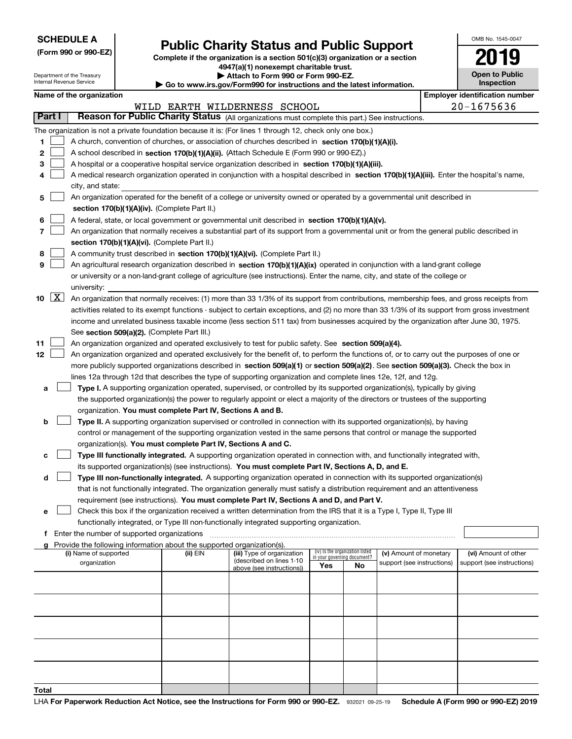| <b>SCHEDULE A</b> |  |
|-------------------|--|
|-------------------|--|

## Public Charity Status and Public Support

(Form 990 or 990-EZ) Complete if the organization is a section 501(c)(3) organization or a section 4947(a)(1) nonexempt charitable trust.

| OMB No 1545-0047                    |
|-------------------------------------|
| 19<br>0                             |
| <b>Open to Public</b><br>Inspection |

| Department of the Treasury<br>Internal Revenue Service |                                                      | Attach to Form 990 or Form 990-EZ.<br>Go to www.irs.gov/Form990 for instructions and the latest information. |                                                                        |                                                                                                                                               |     |                                                                | <b>Open to Public</b><br>Inspection |  |                                       |
|--------------------------------------------------------|------------------------------------------------------|--------------------------------------------------------------------------------------------------------------|------------------------------------------------------------------------|-----------------------------------------------------------------------------------------------------------------------------------------------|-----|----------------------------------------------------------------|-------------------------------------|--|---------------------------------------|
|                                                        | Name of the organization                             |                                                                                                              |                                                                        |                                                                                                                                               |     |                                                                |                                     |  | <b>Employer identification number</b> |
|                                                        |                                                      |                                                                                                              |                                                                        | WILD EARTH WILDERNESS SCHOOL                                                                                                                  |     |                                                                |                                     |  | $20 - 1675636$                        |
| Part I                                                 |                                                      |                                                                                                              |                                                                        | Reason for Public Charity Status (All organizations must complete this part.) See instructions.                                               |     |                                                                |                                     |  |                                       |
|                                                        |                                                      |                                                                                                              |                                                                        | The organization is not a private foundation because it is: (For lines 1 through 12, check only one box.)                                     |     |                                                                |                                     |  |                                       |
| 1                                                      |                                                      |                                                                                                              |                                                                        | A church, convention of churches, or association of churches described in section 170(b)(1)(A)(i).                                            |     |                                                                |                                     |  |                                       |
| 2                                                      |                                                      |                                                                                                              |                                                                        | A school described in section 170(b)(1)(A)(ii). (Attach Schedule E (Form 990 or 990-EZ).)                                                     |     |                                                                |                                     |  |                                       |
| 3                                                      |                                                      |                                                                                                              |                                                                        | A hospital or a cooperative hospital service organization described in section 170(b)(1)(A)(iii).                                             |     |                                                                |                                     |  |                                       |
| 4                                                      | city, and state:                                     |                                                                                                              |                                                                        | A medical research organization operated in conjunction with a hospital described in section 170(b)(1)(A)(iii). Enter the hospital's name,    |     |                                                                |                                     |  |                                       |
| 5                                                      |                                                      |                                                                                                              | section 170(b)(1)(A)(iv). (Complete Part II.)                          | An organization operated for the benefit of a college or university owned or operated by a governmental unit described in                     |     |                                                                |                                     |  |                                       |
| 6                                                      |                                                      |                                                                                                              |                                                                        | A federal, state, or local government or governmental unit described in section 170(b)(1)(A)(v).                                              |     |                                                                |                                     |  |                                       |
| 7                                                      |                                                      |                                                                                                              |                                                                        | An organization that normally receives a substantial part of its support from a governmental unit or from the general public described in     |     |                                                                |                                     |  |                                       |
|                                                        |                                                      |                                                                                                              | section 170(b)(1)(A)(vi). (Complete Part II.)                          |                                                                                                                                               |     |                                                                |                                     |  |                                       |
| 8                                                      |                                                      |                                                                                                              |                                                                        | A community trust described in section 170(b)(1)(A)(vi). (Complete Part II.)                                                                  |     |                                                                |                                     |  |                                       |
| 9                                                      |                                                      |                                                                                                              |                                                                        | An agricultural research organization described in section 170(b)(1)(A)(ix) operated in conjunction with a land-grant college                 |     |                                                                |                                     |  |                                       |
|                                                        |                                                      |                                                                                                              |                                                                        | or university or a non-land-grant college of agriculture (see instructions). Enter the name, city, and state of the college or                |     |                                                                |                                     |  |                                       |
|                                                        | university:                                          |                                                                                                              |                                                                        |                                                                                                                                               |     |                                                                |                                     |  |                                       |
| 10                                                     | $\boxed{\text{X}}$                                   |                                                                                                              |                                                                        | An organization that normally receives: (1) more than 33 1/3% of its support from contributions, membership fees, and gross receipts from     |     |                                                                |                                     |  |                                       |
|                                                        |                                                      |                                                                                                              |                                                                        | activities related to its exempt functions - subject to certain exceptions, and (2) no more than 33 1/3% of its support from gross investment |     |                                                                |                                     |  |                                       |
|                                                        |                                                      |                                                                                                              |                                                                        | income and unrelated business taxable income (less section 511 tax) from businesses acquired by the organization after June 30, 1975.         |     |                                                                |                                     |  |                                       |
|                                                        |                                                      |                                                                                                              | See section 509(a)(2). (Complete Part III.)                            |                                                                                                                                               |     |                                                                |                                     |  |                                       |
| 11                                                     |                                                      |                                                                                                              |                                                                        | An organization organized and operated exclusively to test for public safety. See section 509(a)(4).                                          |     |                                                                |                                     |  |                                       |
| 12                                                     |                                                      |                                                                                                              |                                                                        | An organization organized and operated exclusively for the benefit of, to perform the functions of, or to carry out the purposes of one or    |     |                                                                |                                     |  |                                       |
|                                                        |                                                      |                                                                                                              |                                                                        | more publicly supported organizations described in section 509(a)(1) or section 509(a)(2). See section 509(a)(3). Check the box in            |     |                                                                |                                     |  |                                       |
|                                                        |                                                      |                                                                                                              |                                                                        | lines 12a through 12d that describes the type of supporting organization and complete lines 12e, 12f, and 12g.                                |     |                                                                |                                     |  |                                       |
| а                                                      |                                                      |                                                                                                              |                                                                        | Type I. A supporting organization operated, supervised, or controlled by its supported organization(s), typically by giving                   |     |                                                                |                                     |  |                                       |
|                                                        |                                                      |                                                                                                              |                                                                        | the supported organization(s) the power to regularly appoint or elect a majority of the directors or trustees of the supporting               |     |                                                                |                                     |  |                                       |
|                                                        |                                                      |                                                                                                              | organization. You must complete Part IV, Sections A and B.             |                                                                                                                                               |     |                                                                |                                     |  |                                       |
| b                                                      |                                                      |                                                                                                              |                                                                        | Type II. A supporting organization supervised or controlled in connection with its supported organization(s), by having                       |     |                                                                |                                     |  |                                       |
|                                                        |                                                      |                                                                                                              |                                                                        | control or management of the supporting organization vested in the same persons that control or manage the supported                          |     |                                                                |                                     |  |                                       |
|                                                        |                                                      |                                                                                                              |                                                                        | organization(s). You must complete Part IV, Sections A and C.                                                                                 |     |                                                                |                                     |  |                                       |
| с                                                      |                                                      |                                                                                                              |                                                                        | Type III functionally integrated. A supporting organization operated in connection with, and functionally integrated with,                    |     |                                                                |                                     |  |                                       |
|                                                        |                                                      |                                                                                                              |                                                                        | its supported organization(s) (see instructions). You must complete Part IV, Sections A, D, and E.                                            |     |                                                                |                                     |  |                                       |
| d                                                      |                                                      |                                                                                                              |                                                                        | Type III non-functionally integrated. A supporting organization operated in connection with its supported organization(s)                     |     |                                                                |                                     |  |                                       |
|                                                        |                                                      |                                                                                                              |                                                                        | that is not functionally integrated. The organization generally must satisfy a distribution requirement and an attentiveness                  |     |                                                                |                                     |  |                                       |
|                                                        |                                                      |                                                                                                              |                                                                        | requirement (see instructions). You must complete Part IV, Sections A and D, and Part V.                                                      |     |                                                                |                                     |  |                                       |
| е                                                      |                                                      |                                                                                                              |                                                                        | Check this box if the organization received a written determination from the IRS that it is a Type I, Type II, Type III                       |     |                                                                |                                     |  |                                       |
|                                                        |                                                      |                                                                                                              |                                                                        | functionally integrated, or Type III non-functionally integrated supporting organization.                                                     |     |                                                                |                                     |  |                                       |
|                                                        | <b>f</b> Enter the number of supported organizations |                                                                                                              |                                                                        |                                                                                                                                               |     |                                                                |                                     |  |                                       |
| g                                                      |                                                      |                                                                                                              | Provide the following information about the supported organization(s). |                                                                                                                                               |     |                                                                |                                     |  |                                       |
|                                                        | (i) Name of supported                                |                                                                                                              | (ii) EIN                                                               | (iii) Type of organization                                                                                                                    |     | (iv) Is the organization listed<br>in your governing document? | (v) Amount of monetary              |  | (vi) Amount of other                  |
|                                                        | organization                                         |                                                                                                              |                                                                        | (described on lines 1-10<br>above (see instructions))                                                                                         | Yes | No                                                             | support (see instructions)          |  | support (see instructions)            |
|                                                        |                                                      |                                                                                                              |                                                                        |                                                                                                                                               |     |                                                                |                                     |  |                                       |
|                                                        |                                                      |                                                                                                              |                                                                        |                                                                                                                                               |     |                                                                |                                     |  |                                       |
|                                                        |                                                      |                                                                                                              |                                                                        |                                                                                                                                               |     |                                                                |                                     |  |                                       |
|                                                        |                                                      |                                                                                                              |                                                                        |                                                                                                                                               |     |                                                                |                                     |  |                                       |
|                                                        |                                                      |                                                                                                              |                                                                        |                                                                                                                                               |     |                                                                |                                     |  |                                       |
|                                                        |                                                      |                                                                                                              |                                                                        |                                                                                                                                               |     |                                                                |                                     |  |                                       |
|                                                        |                                                      |                                                                                                              |                                                                        |                                                                                                                                               |     |                                                                |                                     |  |                                       |
|                                                        |                                                      |                                                                                                              |                                                                        |                                                                                                                                               |     |                                                                |                                     |  |                                       |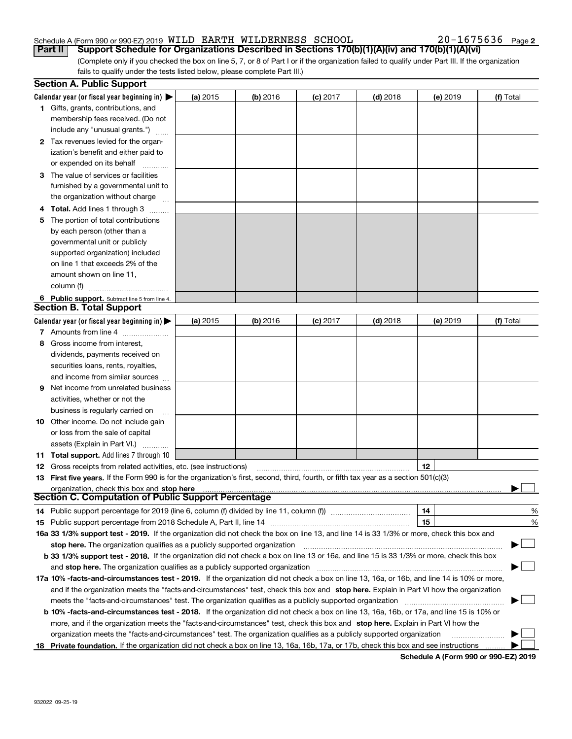#### Schedule A (Form 990 or 990-EZ) 2019 <code>WILD</code> EARTH <code>WILDERNESS SCHOOL</code>  $20-1675636$  <code>Page</code>

 $20 - 1675636$  Page 2

(Complete only if you checked the box on line 5, 7, or 8 of Part I or if the organization failed to qualify under Part III. If the organization fails to qualify under the tests listed below, please complete Part III.) Part II | Support Schedule for Organizations Described in Sections 170(b)(1)(A)(iv) and 170(b)(1)(A)(vi)

|     | <b>Section A. Public Support</b>                                                                                                               |          |            |            |            |          |           |
|-----|------------------------------------------------------------------------------------------------------------------------------------------------|----------|------------|------------|------------|----------|-----------|
|     | Calendar year (or fiscal year beginning in) $\blacktriangleright$                                                                              | (a) 2015 | (b) 2016   | $(c)$ 2017 | $(d)$ 2018 | (e) 2019 | (f) Total |
|     | 1 Gifts, grants, contributions, and                                                                                                            |          |            |            |            |          |           |
|     | membership fees received. (Do not                                                                                                              |          |            |            |            |          |           |
|     | include any "unusual grants.")                                                                                                                 |          |            |            |            |          |           |
|     | 2 Tax revenues levied for the organ-                                                                                                           |          |            |            |            |          |           |
|     | ization's benefit and either paid to                                                                                                           |          |            |            |            |          |           |
|     | or expended on its behalf                                                                                                                      |          |            |            |            |          |           |
|     | 3 The value of services or facilities                                                                                                          |          |            |            |            |          |           |
|     | furnished by a governmental unit to                                                                                                            |          |            |            |            |          |           |
|     | the organization without charge                                                                                                                |          |            |            |            |          |           |
|     | <b>Total.</b> Add lines 1 through 3                                                                                                            |          |            |            |            |          |           |
| 5   | The portion of total contributions                                                                                                             |          |            |            |            |          |           |
|     | by each person (other than a                                                                                                                   |          |            |            |            |          |           |
|     | governmental unit or publicly                                                                                                                  |          |            |            |            |          |           |
|     | supported organization) included                                                                                                               |          |            |            |            |          |           |
|     | on line 1 that exceeds 2% of the                                                                                                               |          |            |            |            |          |           |
|     | amount shown on line 11,                                                                                                                       |          |            |            |            |          |           |
|     | column (f)                                                                                                                                     |          |            |            |            |          |           |
|     | 6 Public support. Subtract line 5 from line 4.                                                                                                 |          |            |            |            |          |           |
|     | <b>Section B. Total Support</b>                                                                                                                |          |            |            |            |          |           |
|     | Calendar year (or fiscal year beginning in) >                                                                                                  | (a) 2015 | $(b)$ 2016 | $(c)$ 2017 | $(d)$ 2018 | (e) 2019 | (f) Total |
|     | 7 Amounts from line 4                                                                                                                          |          |            |            |            |          |           |
| 8   | Gross income from interest,                                                                                                                    |          |            |            |            |          |           |
|     | dividends, payments received on                                                                                                                |          |            |            |            |          |           |
|     | securities loans, rents, royalties,                                                                                                            |          |            |            |            |          |           |
|     | and income from similar sources                                                                                                                |          |            |            |            |          |           |
| 9   | Net income from unrelated business                                                                                                             |          |            |            |            |          |           |
|     | activities, whether or not the                                                                                                                 |          |            |            |            |          |           |
|     | business is regularly carried on                                                                                                               |          |            |            |            |          |           |
|     | <b>10</b> Other income. Do not include gain                                                                                                    |          |            |            |            |          |           |
|     | or loss from the sale of capital                                                                                                               |          |            |            |            |          |           |
|     | assets (Explain in Part VI.)                                                                                                                   |          |            |            |            |          |           |
|     | <b>11 Total support.</b> Add lines 7 through 10                                                                                                |          |            |            |            |          |           |
|     | <b>12</b> Gross receipts from related activities, etc. (see instructions)                                                                      |          |            |            |            | 12       |           |
|     | 13 First five years. If the Form 990 is for the organization's first, second, third, fourth, or fifth tax year as a section 501(c)(3)          |          |            |            |            |          |           |
|     | organization, check this box and stop here                                                                                                     |          |            |            |            |          |           |
|     | <b>Section C. Computation of Public Support Percentage</b>                                                                                     |          |            |            |            |          |           |
|     | 14 Public support percentage for 2019 (line 6, column (f) divided by line 11, column (f) <i>mummumumum</i>                                     |          |            |            |            | 14       | %         |
|     |                                                                                                                                                |          |            |            |            | 15       | %         |
|     | 16a 33 1/3% support test - 2019. If the organization did not check the box on line 13, and line 14 is 33 1/3% or more, check this box and      |          |            |            |            |          |           |
|     | stop here. The organization qualifies as a publicly supported organization                                                                     |          |            |            |            |          |           |
|     | b 33 1/3% support test - 2018. If the organization did not check a box on line 13 or 16a, and line 15 is 33 1/3% or more, check this box       |          |            |            |            |          |           |
|     | and stop here. The organization qualifies as a publicly supported organization                                                                 |          |            |            |            |          |           |
|     | 17a 10% -facts-and-circumstances test - 2019. If the organization did not check a box on line 13, 16a, or 16b, and line 14 is 10% or more,     |          |            |            |            |          |           |
|     | and if the organization meets the "facts-and-circumstances" test, check this box and stop here. Explain in Part VI how the organization        |          |            |            |            |          |           |
|     | meets the "facts-and-circumstances" test. The organization qualifies as a publicly supported organization                                      |          |            |            |            |          |           |
|     | <b>b 10% -facts-and-circumstances test - 2018.</b> If the organization did not check a box on line 13, 16a, 16b, or 17a, and line 15 is 10% or |          |            |            |            |          |           |
|     | more, and if the organization meets the "facts-and-circumstances" test, check this box and stop here. Explain in Part VI how the               |          |            |            |            |          |           |
|     | organization meets the "facts-and-circumstances" test. The organization qualifies as a publicly supported organization                         |          |            |            |            |          |           |
| 18. | Private foundation. If the organization did not check a box on line 13, 16a, 16b, 17a, or 17b, check this box and see instructions             |          |            |            |            |          |           |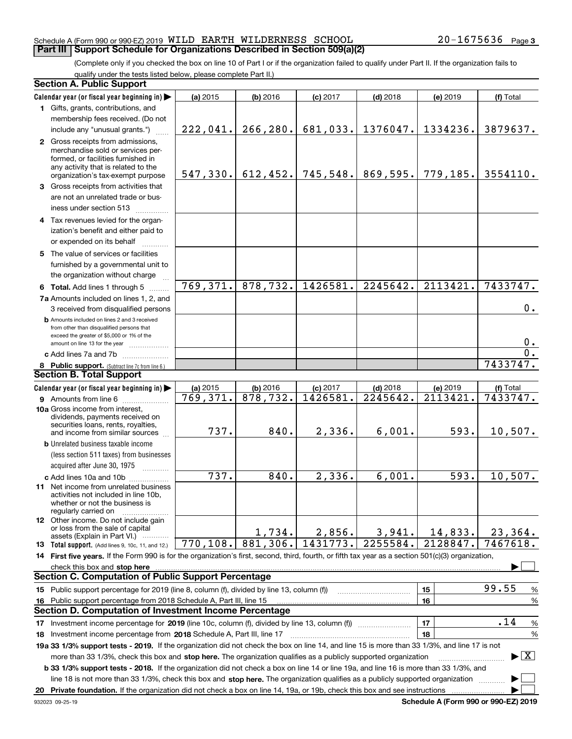#### Schedule A (Form 990 or 990-EZ) 2019 <code>WILD</code> EARTH <code>WILDERNESS SCHOOL</code>  $20-1675636$  <code>Page</code> **Part III | Support Schedule for Organizations Described in Section 509(a)(2)**

(Complete only if you checked the box on line 10 of Part I or if the organization failed to qualify under Part II. If the organization fails to qualify under the tests listed below, please complete Part II.)

|    | <b>Section A. Public Support</b>                                                                                                                                                                                                                                 |           |           |            |            |                       |                                          |
|----|------------------------------------------------------------------------------------------------------------------------------------------------------------------------------------------------------------------------------------------------------------------|-----------|-----------|------------|------------|-----------------------|------------------------------------------|
|    | Calendar year (or fiscal year beginning in)                                                                                                                                                                                                                      | (a) 2015  | (b) 2016  | $(c)$ 2017 | $(d)$ 2018 | (e) 2019              | (f) Total                                |
|    | 1 Gifts, grants, contributions, and                                                                                                                                                                                                                              |           |           |            |            |                       |                                          |
|    | membership fees received. (Do not                                                                                                                                                                                                                                |           |           |            |            |                       |                                          |
|    | include any "unusual grants.")                                                                                                                                                                                                                                   | 222,041.  | 266, 280. | 681,033.   | 1376047.   | 1334236.              | 3879637.                                 |
|    | 2 Gross receipts from admissions,<br>merchandise sold or services per-<br>formed, or facilities furnished in<br>any activity that is related to the<br>organization's tax-exempt purpose                                                                         | 547,330.  | 612, 452. | 745,548.   | 869,595.   | 779,185.              | 3554110.                                 |
|    | 3 Gross receipts from activities that                                                                                                                                                                                                                            |           |           |            |            |                       |                                          |
|    | are not an unrelated trade or bus-<br>iness under section 513                                                                                                                                                                                                    |           |           |            |            |                       |                                          |
|    | 4 Tax revenues levied for the organ-                                                                                                                                                                                                                             |           |           |            |            |                       |                                          |
|    | ization's benefit and either paid to                                                                                                                                                                                                                             |           |           |            |            |                       |                                          |
|    | or expended on its behalf                                                                                                                                                                                                                                        |           |           |            |            |                       |                                          |
|    | 5 The value of services or facilities<br>furnished by a governmental unit to<br>the organization without charge                                                                                                                                                  |           |           |            |            |                       |                                          |
|    | 6 Total. Add lines 1 through 5                                                                                                                                                                                                                                   | 769,371.  | 878,732.  | 1426581.   | 2245642.   | 2113421.              | 7433747.                                 |
|    | 7a Amounts included on lines 1, 2, and<br>3 received from disqualified persons                                                                                                                                                                                   |           |           |            |            |                       | 0.                                       |
|    | <b>b</b> Amounts included on lines 2 and 3 received<br>from other than disqualified persons that<br>exceed the greater of \$5,000 or 1% of the<br>amount on line 13 for the year                                                                                 |           |           |            |            |                       | 0.                                       |
|    | c Add lines 7a and 7b                                                                                                                                                                                                                                            |           |           |            |            |                       | $\mathbf 0$ .                            |
|    | 8 Public support. (Subtract line 7c from line 6.)                                                                                                                                                                                                                |           |           |            |            |                       | 7433747.                                 |
|    | <b>Section B. Total Support</b>                                                                                                                                                                                                                                  |           |           |            |            |                       |                                          |
|    | Calendar year (or fiscal year beginning in)                                                                                                                                                                                                                      | (a) 2015  | (b) 2016  | $(c)$ 2017 | $(d)$ 2018 | (e) 2019              | (f) Total                                |
|    | 9 Amounts from line 6                                                                                                                                                                                                                                            | 769,371.  | 878,732.  | 1426581.   | 2245642.   | 2113421.              | 7433747.                                 |
|    | 10a Gross income from interest,<br>dividends, payments received on<br>securities loans, rents, royalties,<br>and income from similar sources                                                                                                                     | 737.      | 840.      | 2,336.     | 6,001.     | 593.                  | 10,507.                                  |
|    | <b>b</b> Unrelated business taxable income                                                                                                                                                                                                                       |           |           |            |            |                       |                                          |
|    | (less section 511 taxes) from businesses                                                                                                                                                                                                                         |           |           |            |            |                       |                                          |
|    | acquired after June 30, 1975                                                                                                                                                                                                                                     |           |           |            |            |                       |                                          |
|    | c Add lines 10a and 10b<br>11 Net income from unrelated business<br>activities not included in line 10b,<br>whether or not the business is<br>regularly carried on                                                                                               | 737.      | 840.      | 2,336.     | 6,001.     | $\overline{593}$ .    | 10,507.                                  |
|    | <b>12</b> Other income. Do not include gain<br>or loss from the sale of capital<br>assets (Explain in Part VI.)                                                                                                                                                  |           | 1,734.    | 2,856.     | 3,941.     | 14,833.               | 23,364.                                  |
|    | <b>13</b> Total support. (Add lines 9, 10c, 11, and 12.)                                                                                                                                                                                                         | 770, 108. | 881,306.  | 1431773.   | 2255584.   | $\overline{21}28847.$ | 7467618.                                 |
|    | 14 First five years. If the Form 990 is for the organization's first, second, third, fourth, or fifth tax year as a section 501(c)(3) organization,                                                                                                              |           |           |            |            |                       |                                          |
|    | check this box and stop here                                                                                                                                                                                                                                     |           |           |            |            |                       |                                          |
|    | <b>Section C. Computation of Public Support Percentage</b>                                                                                                                                                                                                       |           |           |            |            |                       |                                          |
|    | 15 Public support percentage for 2019 (line 8, column (f), divided by line 13, column (f))                                                                                                                                                                       |           |           |            |            | 15                    | 99.55<br>%                               |
| 16 | Public support percentage from 2018 Schedule A, Part III, line 15                                                                                                                                                                                                |           |           |            |            | 16                    | %                                        |
|    | Section D. Computation of Investment Income Percentage                                                                                                                                                                                                           |           |           |            |            |                       |                                          |
|    |                                                                                                                                                                                                                                                                  |           |           |            |            | 17                    | .14<br>%                                 |
|    | 18 Investment income percentage from 2018 Schedule A, Part III, line 17                                                                                                                                                                                          |           |           |            |            | 18                    | %                                        |
|    | 19a 33 1/3% support tests - 2019. If the organization did not check the box on line 14, and line 15 is more than 33 1/3%, and line 17 is not<br>more than 33 1/3%, check this box and stop here. The organization qualifies as a publicly supported organization |           |           |            |            |                       | $\blacktriangleright$ $\boxed{\text{X}}$ |
|    | b 33 1/3% support tests - 2018. If the organization did not check a box on line 14 or line 19a, and line 16 is more than 33 1/3%, and                                                                                                                            |           |           |            |            |                       |                                          |
|    | line 18 is not more than 33 1/3%, check this box and stop here. The organization qualifies as a publicly supported organization                                                                                                                                  |           |           |            |            |                       |                                          |
| 20 | Private foundation. If the organization did not check a box on line 14, 19a, or 19b, check this box and see instructions                                                                                                                                         |           |           |            |            |                       |                                          |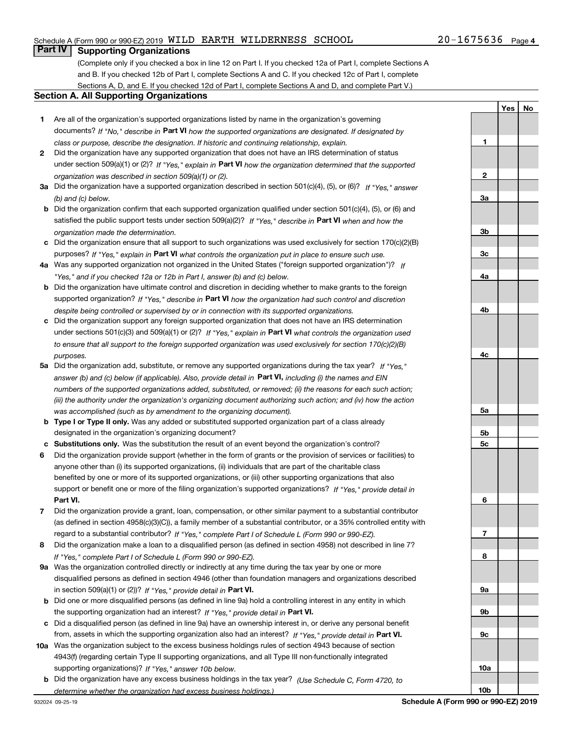#### Schedule A (Form 990 or 990-EZ) 2019 <code>WILD</code> EARTH <code>WILDERNESS SCHOOL</code>  $20-1675636$  <code>Page</code>

#### **Part IV Supporting Organizations**

(Complete only if you checked a box in line 12 on Part I. If you checked 12a of Part I, complete Sections A and B. If you checked 12b of Part I, complete Sections A and C. If you checked 12c of Part I, complete Sections A, D, and E. If you checked 12d of Part I, complete Sections A and D, and complete Part V.)

#### Section A. All Supporting Organizations

- 1 Are all of the organization's supported organizations listed by name in the organization's governing documents? If "No," describe in Part VI how the supported organizations are designated. If designated by class or purpose, describe the designation. If historic and continuing relationship, explain.
- 2 Did the organization have any supported organization that does not have an IRS determination of status under section 509(a)(1) or (2)? If "Yes," explain in Part VI how the organization determined that the supported organization was described in section 509(a)(1) or (2).
- 3a Did the organization have a supported organization described in section 501(c)(4), (5), or (6)? If "Yes," answer (b) and (c) below.
- b Did the organization confirm that each supported organization qualified under section 501(c)(4), (5), or (6) and satisfied the public support tests under section 509(a)(2)? If "Yes," describe in Part VI when and how the organization made the determination.
- c Did the organization ensure that all support to such organizations was used exclusively for section 170(c)(2)(B) purposes? If "Yes," explain in Part VI what controls the organization put in place to ensure such use.
- 4a Was any supported organization not organized in the United States ("foreign supported organization")? If "Yes," and if you checked 12a or 12b in Part I, answer (b) and (c) below.
- b Did the organization have ultimate control and discretion in deciding whether to make grants to the foreign supported organization? If "Yes," describe in Part VI how the organization had such control and discretion despite being controlled or supervised by or in connection with its supported organizations.
- c Did the organization support any foreign supported organization that does not have an IRS determination under sections 501(c)(3) and 509(a)(1) or (2)? If "Yes," explain in Part VI what controls the organization used to ensure that all support to the foreign supported organization was used exclusively for section 170(c)(2)(B) purposes.
- 5a Did the organization add, substitute, or remove any supported organizations during the tax year? If "Yes," answer (b) and (c) below (if applicable). Also, provide detail in Part VI, including (i) the names and EIN numbers of the supported organizations added, substituted, or removed; (ii) the reasons for each such action; (iii) the authority under the organization's organizing document authorizing such action; and (iv) how the action was accomplished (such as by amendment to the organizing document).
- **b Type I or Type II only.** Was any added or substituted supported organization part of a class already designated in the organization's organizing document?
- c Substitutions only. Was the substitution the result of an event beyond the organization's control?
- 6 Did the organization provide support (whether in the form of grants or the provision of services or facilities) to Part VI. support or benefit one or more of the filing organization's supported organizations? If "Yes," provide detail in anyone other than (i) its supported organizations, (ii) individuals that are part of the charitable class benefited by one or more of its supported organizations, or (iii) other supporting organizations that also
- 7 Did the organization provide a grant, loan, compensation, or other similar payment to a substantial contributor regard to a substantial contributor? If "Yes," complete Part I of Schedule L (Form 990 or 990-EZ). (as defined in section 4958(c)(3)(C)), a family member of a substantial contributor, or a 35% controlled entity with
- 8 Did the organization make a loan to a disqualified person (as defined in section 4958) not described in line 7? If "Yes," complete Part I of Schedule L (Form 990 or 990-EZ).
- **9a** Was the organization controlled directly or indirectly at any time during the tax year by one or more in section 509(a)(1) or (2))? If "Yes," provide detail in Part VI. disqualified persons as defined in section 4946 (other than foundation managers and organizations described
- b Did one or more disqualified persons (as defined in line 9a) hold a controlling interest in any entity in which the supporting organization had an interest? If "Yes," provide detail in Part VI.
- c Did a disqualified person (as defined in line 9a) have an ownership interest in, or derive any personal benefit from, assets in which the supporting organization also had an interest? If "Yes," provide detail in Part VI.
- 10a Was the organization subject to the excess business holdings rules of section 4943 because of section supporting organizations)? If "Yes," answer 10b below. 4943(f) (regarding certain Type II supporting organizations, and all Type III non-functionally integrated
	- **b** Did the organization have any excess business holdings in the tax year? (Use Schedule C, Form 4720, to determine whether the organization had excess business holdings.)

2 3a 3b 3c 4a 4b 4c 5a 5b 5c 6 7 8 9a 9b 9c 10a

1

Yes | No

10b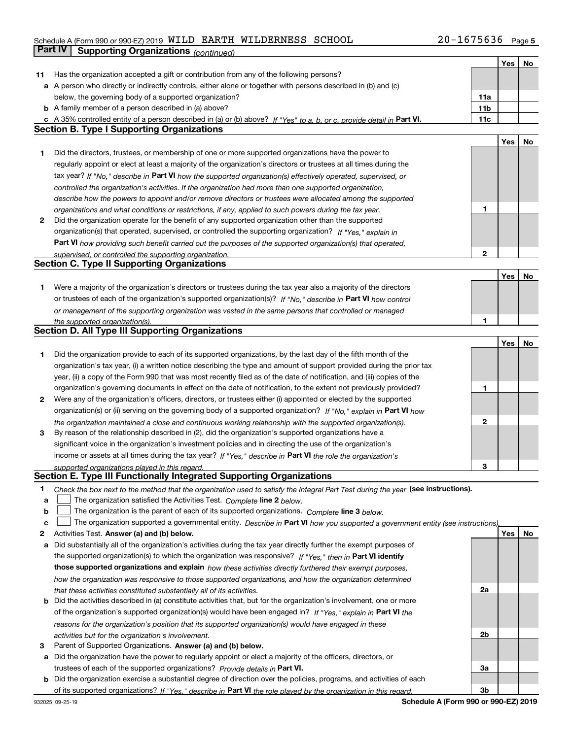#### Schedule A (Form 990 or 990-EZ) 2019 <code>WILD</code> EARTH <code>WILDERNESS SCHOOL</code>  $20-1675636$  <code>Page</code> Part IV Supporting Organizations (continued)

|    |                                                                                                                                   |                 | Yes | No |
|----|-----------------------------------------------------------------------------------------------------------------------------------|-----------------|-----|----|
| 11 | Has the organization accepted a gift or contribution from any of the following persons?                                           |                 |     |    |
|    | a A person who directly or indirectly controls, either alone or together with persons described in (b) and (c)                    |                 |     |    |
|    | below, the governing body of a supported organization?                                                                            | 11a             |     |    |
|    | <b>b</b> A family member of a person described in (a) above?                                                                      | 11 <sub>b</sub> |     |    |
|    | c A 35% controlled entity of a person described in (a) or (b) above? If "Yes" to a, b, or c, provide detail in Part VI.           | 11c             |     |    |
|    | <b>Section B. Type I Supporting Organizations</b>                                                                                 |                 |     |    |
|    |                                                                                                                                   |                 | Yes | No |
| 1  | Did the directors, trustees, or membership of one or more supported organizations have the power to                               |                 |     |    |
|    | regularly appoint or elect at least a majority of the organization's directors or trustees at all times during the                |                 |     |    |
|    | tax year? If "No," describe in Part VI how the supported organization(s) effectively operated, supervised, or                     |                 |     |    |
|    | controlled the organization's activities. If the organization had more than one supported organization,                           |                 |     |    |
|    | describe how the powers to appoint and/or remove directors or trustees were allocated among the supported                         |                 |     |    |
|    | organizations and what conditions or restrictions, if any, applied to such powers during the tax year.                            | 1               |     |    |
| 2  | Did the organization operate for the benefit of any supported organization other than the supported                               |                 |     |    |
|    | organization(s) that operated, supervised, or controlled the supporting organization? If "Yes," explain in                        |                 |     |    |
|    | Part VI how providing such benefit carried out the purposes of the supported organization(s) that operated,                       |                 |     |    |
|    | supervised, or controlled the supporting organization.                                                                            | $\mathbf 2$     |     |    |
|    | <b>Section C. Type II Supporting Organizations</b>                                                                                |                 |     |    |
|    |                                                                                                                                   |                 | Yes | No |
| 1  | Were a majority of the organization's directors or trustees during the tax year also a majority of the directors                  |                 |     |    |
|    | or trustees of each of the organization's supported organization(s)? If "No." describe in Part VI how control                     |                 |     |    |
|    | or management of the supporting organization was vested in the same persons that controlled or managed                            |                 |     |    |
|    | the supported organization(s).                                                                                                    | 1               |     |    |
|    | <b>Section D. All Type III Supporting Organizations</b>                                                                           |                 |     |    |
|    |                                                                                                                                   |                 | Yes | No |
| 1  | Did the organization provide to each of its supported organizations, by the last day of the fifth month of the                    |                 |     |    |
|    | organization's tax year, (i) a written notice describing the type and amount of support provided during the prior tax             |                 |     |    |
|    | year, (ii) a copy of the Form 990 that was most recently filed as of the date of notification, and (iii) copies of the            |                 |     |    |
|    | organization's governing documents in effect on the date of notification, to the extent not previously provided?                  | 1               |     |    |
| 2  | Were any of the organization's officers, directors, or trustees either (i) appointed or elected by the supported                  |                 |     |    |
|    | organization(s) or (ii) serving on the governing body of a supported organization? If "No," explain in Part VI how                |                 |     |    |
|    | the organization maintained a close and continuous working relationship with the supported organization(s).                       | 2               |     |    |
| 3  | By reason of the relationship described in (2), did the organization's supported organizations have a                             |                 |     |    |
|    | significant voice in the organization's investment policies and in directing the use of the organization's                        |                 |     |    |
|    | income or assets at all times during the tax year? If "Yes," describe in Part VI the role the organization's                      |                 |     |    |
|    | supported organizations played in this regard.                                                                                    | 3               |     |    |
|    | Section E. Type III Functionally Integrated Supporting Organizations                                                              |                 |     |    |
| 1  | Check the box next to the method that the organization used to satisfy the Integral Part Test during the year (see instructions). |                 |     |    |
| а  | The organization satisfied the Activities Test. Complete line 2 below.                                                            |                 |     |    |
| b  | The organization is the parent of each of its supported organizations. Complete line 3 below.                                     |                 |     |    |
| c  | The organization supported a governmental entity. Describe in Part VI how you supported a government entity (see instructions),   |                 |     |    |
| 2  | Activities Test. Answer (a) and (b) below.                                                                                        |                 | Yes | No |
| a  | Did substantially all of the organization's activities during the tax year directly further the exempt purposes of                |                 |     |    |
|    | the supported organization(s) to which the organization was responsive? If "Yes," then in Part VI identify                        |                 |     |    |
|    | those supported organizations and explain how these activities directly furthered their exempt purposes,                          |                 |     |    |
|    | how the organization was responsive to those supported organizations, and how the organization determined                         |                 |     |    |
|    | that these activities constituted substantially all of its activities.                                                            | 2a              |     |    |
|    | <b>b</b> Did the activities described in (a) constitute activities that, but for the organization's involvement, one or more      |                 |     |    |
|    | of the organization's supported organization(s) would have been engaged in? If "Yes," explain in Part VI the                      |                 |     |    |
|    | reasons for the organization's position that its supported organization(s) would have engaged in these                            |                 |     |    |
|    | activities but for the organization's involvement.                                                                                | 2b              |     |    |
| з  | Parent of Supported Organizations. Answer (a) and (b) below.                                                                      |                 |     |    |
|    | a Did the organization have the power to regularly appoint or elect a majority of the officers, directors, or                     |                 |     |    |
|    | trustees of each of the supported organizations? Provide details in Part VI.                                                      | За              |     |    |
|    | b Did the organization exercise a substantial degree of direction over the policies, programs, and activities of each             |                 |     |    |
|    | of its supported organizations? If "Yes." describe in Part VI the role played by the organization in this regard.                 | 3b              |     |    |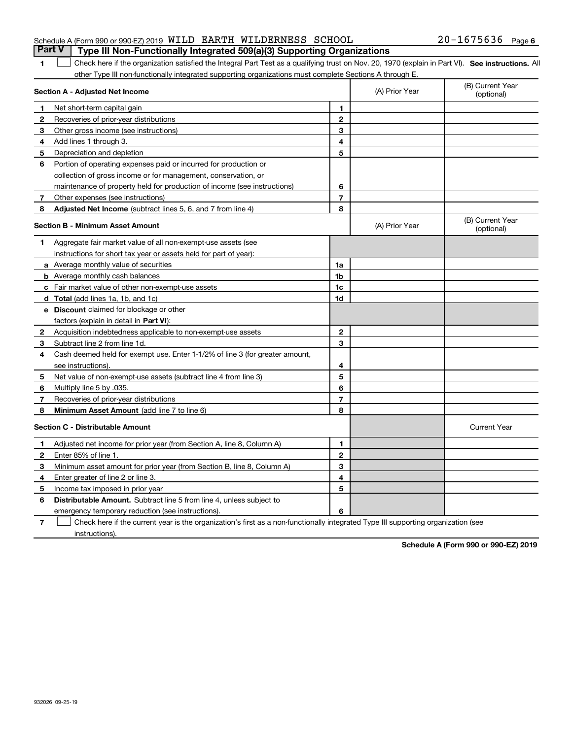#### Schedule A (Form 990 or 990-EZ) 2019 <code>WILD</code> EARTH <code>WILDERNESS SCHOOL</code>  $20-1675636$  <code>Page</code> **Part V** Type III Non-Functionally Integrated 509(a)(3) Supporting Organizations

1 Check here if the organization satisfied the Integral Part Test as a qualifying trust on Nov. 20, 1970 (explain in Part VI). See instructions. All other Type III non-functionally integrated supporting organizations must complete Sections A through E.

|              | Section A - Adjusted Net Income                                              |                | (A) Prior Year | (B) Current Year<br>(optional) |
|--------------|------------------------------------------------------------------------------|----------------|----------------|--------------------------------|
| 1            | Net short-term capital gain                                                  | 1              |                |                                |
| $\mathbf{2}$ | Recoveries of prior-year distributions                                       | $\overline{2}$ |                |                                |
| 3            | Other gross income (see instructions)                                        | 3              |                |                                |
| 4            | Add lines 1 through 3.                                                       | 4              |                |                                |
| 5            | Depreciation and depletion                                                   | 5              |                |                                |
| 6            | Portion of operating expenses paid or incurred for production or             |                |                |                                |
|              | collection of gross income or for management, conservation, or               |                |                |                                |
|              | maintenance of property held for production of income (see instructions)     | 6              |                |                                |
| 7            | Other expenses (see instructions)                                            | $\overline{7}$ |                |                                |
| 8            | Adjusted Net Income (subtract lines 5, 6, and 7 from line 4)                 | 8              |                |                                |
|              | <b>Section B - Minimum Asset Amount</b>                                      |                | (A) Prior Year | (B) Current Year<br>(optional) |
| 1            | Aggregate fair market value of all non-exempt-use assets (see                |                |                |                                |
|              | instructions for short tax year or assets held for part of year):            |                |                |                                |
|              | a Average monthly value of securities                                        | 1a             |                |                                |
|              | <b>b</b> Average monthly cash balances                                       | 1 <sub>b</sub> |                |                                |
|              | <b>c</b> Fair market value of other non-exempt-use assets                    | 1c             |                |                                |
|              | d Total (add lines 1a, 1b, and 1c)                                           | 1d             |                |                                |
|              | e Discount claimed for blockage or other                                     |                |                |                                |
|              | factors (explain in detail in Part VI):                                      |                |                |                                |
| $\mathbf{2}$ | Acquisition indebtedness applicable to non-exempt-use assets                 | $\mathbf{2}$   |                |                                |
| 3            | Subtract line 2 from line 1d.                                                | 3              |                |                                |
| 4            | Cash deemed held for exempt use. Enter 1-1/2% of line 3 (for greater amount, |                |                |                                |
|              | see instructions)                                                            | 4              |                |                                |
| 5            | Net value of non-exempt-use assets (subtract line 4 from line 3)             | 5              |                |                                |
| 6            | Multiply line 5 by .035.                                                     | 6              |                |                                |
| 7            | Recoveries of prior-year distributions                                       | 7              |                |                                |
| 8            | Minimum Asset Amount (add line 7 to line 6)                                  | 8              |                |                                |
|              | <b>Section C - Distributable Amount</b>                                      |                |                | <b>Current Year</b>            |
| 1            | Adjusted net income for prior year (from Section A, line 8, Column A)        | 1              |                |                                |
| $\mathbf{2}$ | Enter 85% of line 1.                                                         | $\mathbf{2}$   |                |                                |
| 3            | Minimum asset amount for prior year (from Section B, line 8, Column A)       | 3              |                |                                |
| 4            | Enter greater of line 2 or line 3.                                           | 4              |                |                                |
| 5            | Income tax imposed in prior year                                             | 5              |                |                                |
| 6            | <b>Distributable Amount.</b> Subtract line 5 from line 4, unless subject to  |                |                |                                |
|              | emergency temporary reduction (see instructions).                            | 6              |                |                                |

7 Check here if the current year is the organization's first as a non-functionally integrated Type III supporting organization (see instructions).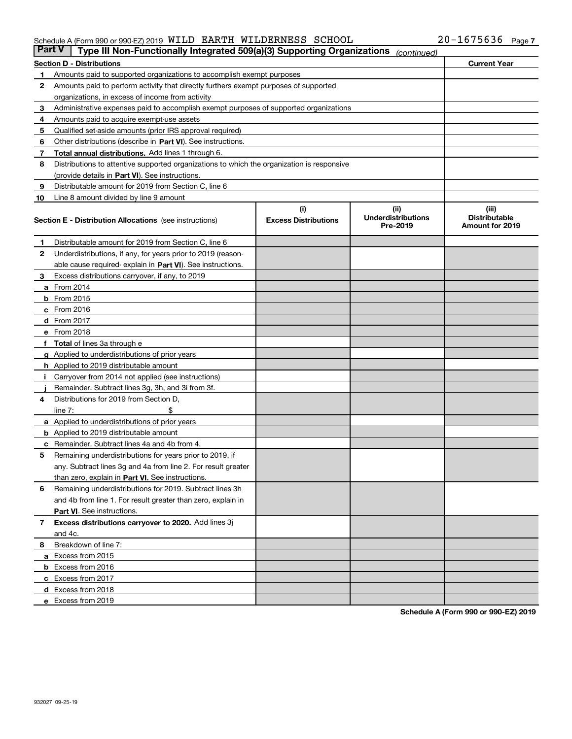#### Schedule A (Form 990 or 990-EZ) 2019 <code>WILD</code> EARTH <code>WILDERNESS SCHOOL</code>  $20-1675636$  <code>Page</code>

| <b>Part V</b> | Type III Non-Functionally Integrated 509(a)(3) Supporting Organizations                    |                                    | (continued)                        |                               |  |  |  |  |  |  |
|---------------|--------------------------------------------------------------------------------------------|------------------------------------|------------------------------------|-------------------------------|--|--|--|--|--|--|
|               | <b>Section D - Distributions</b>                                                           |                                    |                                    | <b>Current Year</b>           |  |  |  |  |  |  |
| 1.            | Amounts paid to supported organizations to accomplish exempt purposes                      |                                    |                                    |                               |  |  |  |  |  |  |
| 2             | Amounts paid to perform activity that directly furthers exempt purposes of supported       |                                    |                                    |                               |  |  |  |  |  |  |
|               | organizations, in excess of income from activity                                           |                                    |                                    |                               |  |  |  |  |  |  |
| 3             | Administrative expenses paid to accomplish exempt purposes of supported organizations      |                                    |                                    |                               |  |  |  |  |  |  |
| 4             | Amounts paid to acquire exempt-use assets                                                  |                                    |                                    |                               |  |  |  |  |  |  |
| 5             | Qualified set-aside amounts (prior IRS approval required)                                  |                                    |                                    |                               |  |  |  |  |  |  |
| 6             | Other distributions (describe in Part VI). See instructions.                               |                                    |                                    |                               |  |  |  |  |  |  |
| 7             | <b>Total annual distributions.</b> Add lines 1 through 6.                                  |                                    |                                    |                               |  |  |  |  |  |  |
| 8             | Distributions to attentive supported organizations to which the organization is responsive |                                    |                                    |                               |  |  |  |  |  |  |
|               | (provide details in Part VI). See instructions.                                            |                                    |                                    |                               |  |  |  |  |  |  |
| 9             | Distributable amount for 2019 from Section C, line 6                                       |                                    |                                    |                               |  |  |  |  |  |  |
| 10            | Line 8 amount divided by line 9 amount                                                     |                                    |                                    |                               |  |  |  |  |  |  |
|               | <b>Section E - Distribution Allocations</b> (see instructions)                             | (i)<br><b>Excess Distributions</b> | (iii)<br><b>Underdistributions</b> | (iii)<br><b>Distributable</b> |  |  |  |  |  |  |
|               |                                                                                            |                                    | Pre-2019                           | <b>Amount for 2019</b>        |  |  |  |  |  |  |
| 1.            | Distributable amount for 2019 from Section C, line 6                                       |                                    |                                    |                               |  |  |  |  |  |  |
| 2             | Underdistributions, if any, for years prior to 2019 (reason-                               |                                    |                                    |                               |  |  |  |  |  |  |
|               | able cause required- explain in Part VI). See instructions.                                |                                    |                                    |                               |  |  |  |  |  |  |
| 3             | Excess distributions carryover, if any, to 2019                                            |                                    |                                    |                               |  |  |  |  |  |  |
|               | <b>a</b> From 2014                                                                         |                                    |                                    |                               |  |  |  |  |  |  |
|               | <b>b</b> From $2015$                                                                       |                                    |                                    |                               |  |  |  |  |  |  |
|               | c From 2016                                                                                |                                    |                                    |                               |  |  |  |  |  |  |
|               | <b>d</b> From 2017                                                                         |                                    |                                    |                               |  |  |  |  |  |  |
|               | e From 2018                                                                                |                                    |                                    |                               |  |  |  |  |  |  |
|               | f Total of lines 3a through e                                                              |                                    |                                    |                               |  |  |  |  |  |  |
|               | <b>g</b> Applied to underdistributions of prior years                                      |                                    |                                    |                               |  |  |  |  |  |  |
|               | <b>h</b> Applied to 2019 distributable amount                                              |                                    |                                    |                               |  |  |  |  |  |  |
| л.            | Carryover from 2014 not applied (see instructions)                                         |                                    |                                    |                               |  |  |  |  |  |  |
|               | Remainder. Subtract lines 3g, 3h, and 3i from 3f.                                          |                                    |                                    |                               |  |  |  |  |  |  |
| 4             | Distributions for 2019 from Section D,                                                     |                                    |                                    |                               |  |  |  |  |  |  |
|               | line 7:                                                                                    |                                    |                                    |                               |  |  |  |  |  |  |
|               | <b>a</b> Applied to underdistributions of prior years                                      |                                    |                                    |                               |  |  |  |  |  |  |
|               | <b>b</b> Applied to 2019 distributable amount                                              |                                    |                                    |                               |  |  |  |  |  |  |
| c             | Remainder. Subtract lines 4a and 4b from 4.                                                |                                    |                                    |                               |  |  |  |  |  |  |
| 5             | Remaining underdistributions for years prior to 2019, if                                   |                                    |                                    |                               |  |  |  |  |  |  |
|               | any. Subtract lines 3g and 4a from line 2. For result greater                              |                                    |                                    |                               |  |  |  |  |  |  |
|               | than zero, explain in Part VI. See instructions.                                           |                                    |                                    |                               |  |  |  |  |  |  |
| 6             | Remaining underdistributions for 2019. Subtract lines 3h                                   |                                    |                                    |                               |  |  |  |  |  |  |
|               | and 4b from line 1. For result greater than zero, explain in                               |                                    |                                    |                               |  |  |  |  |  |  |
|               | Part VI. See instructions.                                                                 |                                    |                                    |                               |  |  |  |  |  |  |
| 7             | Excess distributions carryover to 2020. Add lines 3j                                       |                                    |                                    |                               |  |  |  |  |  |  |
|               | and 4c.                                                                                    |                                    |                                    |                               |  |  |  |  |  |  |
| 8             | Breakdown of line 7:                                                                       |                                    |                                    |                               |  |  |  |  |  |  |
|               | a Excess from 2015                                                                         |                                    |                                    |                               |  |  |  |  |  |  |
|               | <b>b</b> Excess from 2016                                                                  |                                    |                                    |                               |  |  |  |  |  |  |
|               | c Excess from 2017                                                                         |                                    |                                    |                               |  |  |  |  |  |  |
|               | d Excess from 2018                                                                         |                                    |                                    |                               |  |  |  |  |  |  |
|               | e Excess from 2019                                                                         |                                    |                                    |                               |  |  |  |  |  |  |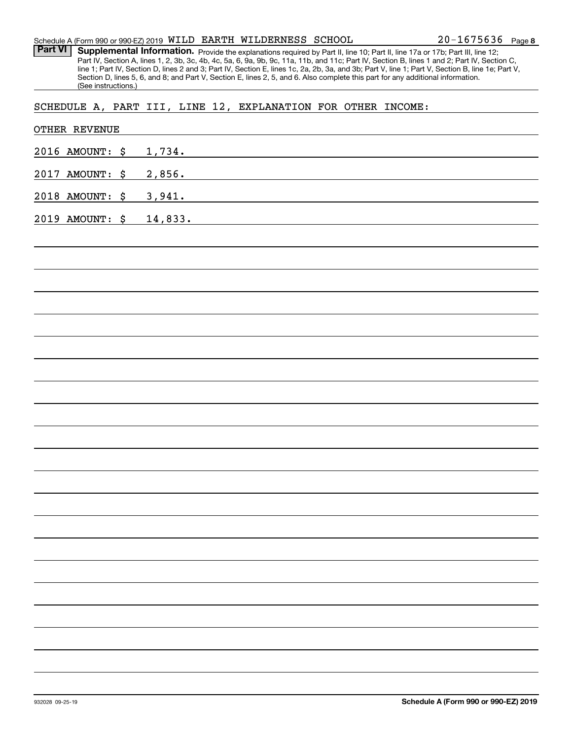Part VI | Supplemental Information. Provide the explanations required by Part II, line 10; Part II, line 17a or 17b; Part III, line 12; Part IV, Section A, lines 1, 2, 3b, 3c, 4b, 4c, 5a, 6, 9a, 9b, 9c, 11a, 11b, and 11c; Part IV, Section B, lines 1 and 2; Part IV, Section C, line 1; Part IV, Section D, lines 2 and 3; Part IV, Section E, lines 1c, 2a, 2b, 3a, and 3b; Part V, line 1; Part V, Section B, line 1e; Part V, Section D, lines 5, 6, and 8; and Part V, Section E, lines 2, 5, and 6. Also complete this part for any additional information. (See instructions.)

#### SCHEDULE A, PART III, LINE 12, EXPLANATION FOR OTHER INCOME:

| OTHER REVENUE   |                                                                                                                                 |
|-----------------|---------------------------------------------------------------------------------------------------------------------------------|
| 2016 AMOUNT: \$ | 1,734.                                                                                                                          |
| 2017 AMOUNT: \$ | 2,856.<br><u> 1989 - Johann Stoff, fransk politik (d. 1989)</u>                                                                 |
| 2018 AMOUNT: \$ | 3,941.<br><u> 1989 - Johann Barn, mars ann an t-Amhair an t-Amhair an t-Amhair an t-Amhair an t-Amhair an t-Amhair an t-Amh</u> |
| 2019 AMOUNT: \$ | 14,833.                                                                                                                         |
|                 |                                                                                                                                 |
|                 |                                                                                                                                 |
|                 |                                                                                                                                 |
|                 |                                                                                                                                 |
|                 |                                                                                                                                 |
|                 |                                                                                                                                 |
|                 |                                                                                                                                 |
|                 |                                                                                                                                 |
|                 |                                                                                                                                 |
|                 |                                                                                                                                 |
|                 |                                                                                                                                 |
|                 |                                                                                                                                 |
|                 |                                                                                                                                 |
|                 |                                                                                                                                 |
|                 |                                                                                                                                 |
|                 |                                                                                                                                 |
|                 |                                                                                                                                 |
|                 |                                                                                                                                 |
|                 |                                                                                                                                 |
|                 |                                                                                                                                 |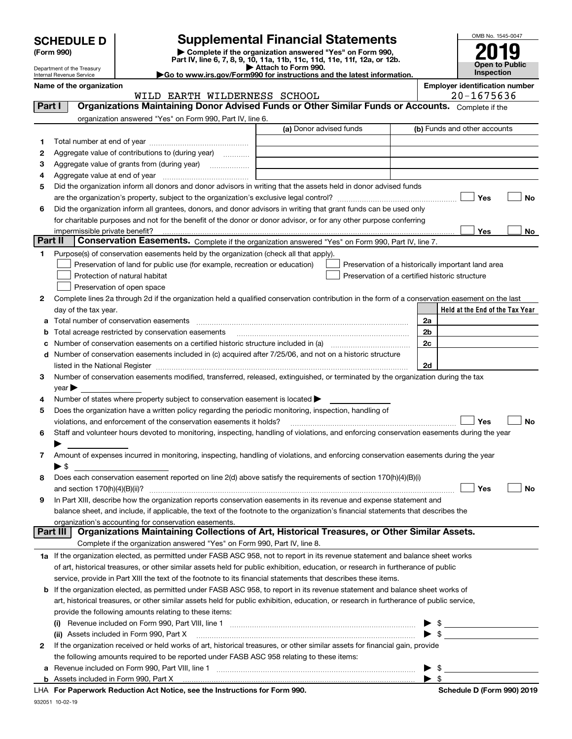| <b>SCHEDULE D</b> |  |
|-------------------|--|
|-------------------|--|

| (Form 990) |  |
|------------|--|
|------------|--|

(Form 990) | Complete if the organization answered "Yes" on Form 990, Part IV, line 6, 7, 8, 9, 10, 11a, 11b, 11c, 11d, 11e, 11f, 12a, or 12b. SCHEDULE D Supplemental Financial Statements<br>
Form 990) Somplete if the organization answered "Yes" on Form 990,<br>
Part IV, line 6, 7, 8, 9, 10, 11a, 11b, 11c, 11d, 11e, 11f, 12a, or 12b.



Department of the Treasury Internal Revenue Service Name of the organization extensive properties and the organization number of the organization number

▶ Attach to Form 990.<br>▶ Go to www.irs.gov/Form990 for instructions and the latest information.

|         | WILD EARTH WILDERNESS SCHOOL                                                                                                                   | 20-1675636                                         |
|---------|------------------------------------------------------------------------------------------------------------------------------------------------|----------------------------------------------------|
| Part I  | Organizations Maintaining Donor Advised Funds or Other Similar Funds or Accounts. Complete if the                                              |                                                    |
|         | organization answered "Yes" on Form 990, Part IV, line 6.                                                                                      |                                                    |
|         | (a) Donor advised funds                                                                                                                        | (b) Funds and other accounts                       |
| 1.      |                                                                                                                                                |                                                    |
| 2       | Aggregate value of contributions to (during year)                                                                                              |                                                    |
| з       | Aggregate value of grants from (during year)                                                                                                   |                                                    |
| 4       |                                                                                                                                                |                                                    |
| 5       | Did the organization inform all donors and donor advisors in writing that the assets held in donor advised funds                               |                                                    |
|         |                                                                                                                                                | Yes<br>No                                          |
|         |                                                                                                                                                |                                                    |
| 6       | Did the organization inform all grantees, donors, and donor advisors in writing that grant funds can be used only                              |                                                    |
|         | for charitable purposes and not for the benefit of the donor or donor advisor, or for any other purpose conferring                             |                                                    |
| Part II | impermissible private benefit?                                                                                                                 | Yes<br>No                                          |
|         | Conservation Easements. Complete if the organization answered "Yes" on Form 990, Part IV, line 7.                                              |                                                    |
| 1       | Purpose(s) of conservation easements held by the organization (check all that apply).                                                          |                                                    |
|         | Preservation of land for public use (for example, recreation or education)                                                                     | Preservation of a historically important land area |
|         | Protection of natural habitat                                                                                                                  | Preservation of a certified historic structure     |
|         | Preservation of open space                                                                                                                     |                                                    |
| 2       | Complete lines 2a through 2d if the organization held a qualified conservation contribution in the form of a conservation easement on the last |                                                    |
|         | day of the tax year.                                                                                                                           | Held at the End of the Tax Year                    |
| а       | Total number of conservation easements                                                                                                         | 2a                                                 |
| b       | Total acreage restricted by conservation easements                                                                                             | 2b                                                 |
| c       |                                                                                                                                                | 2c                                                 |
| d       | Number of conservation easements included in (c) acquired after 7/25/06, and not on a historic structure                                       |                                                    |
|         |                                                                                                                                                | 2d                                                 |
| З.      | Number of conservation easements modified, transferred, released, extinguished, or terminated by the organization during the tax               |                                                    |
|         | $year \blacktriangleright$                                                                                                                     |                                                    |
| 4       | Number of states where property subject to conservation easement is located >                                                                  |                                                    |
| 5       | Does the organization have a written policy regarding the periodic monitoring, inspection, handling of                                         |                                                    |
|         | violations, and enforcement of the conservation easements it holds?                                                                            | Yes<br><b>No</b>                                   |
| 6       | Staff and volunteer hours devoted to monitoring, inspecting, handling of violations, and enforcing conservation easements during the year      |                                                    |
|         |                                                                                                                                                |                                                    |
| 7       | Amount of expenses incurred in monitoring, inspecting, handling of violations, and enforcing conservation easements during the year            |                                                    |
|         | $\blacktriangleright$ S                                                                                                                        |                                                    |
| 8       | Does each conservation easement reported on line 2(d) above satisfy the requirements of section 170(h)(4)(B)(i)                                |                                                    |
|         |                                                                                                                                                | Yes<br>No                                          |
| 9       | In Part XIII, describe how the organization reports conservation easements in its revenue and expense statement and                            |                                                    |
|         | balance sheet, and include, if applicable, the text of the footnote to the organization's financial statements that describes the              |                                                    |
|         | organization's accounting for conservation easements.                                                                                          |                                                    |
|         | Organizations Maintaining Collections of Art, Historical Treasures, or Other Similar Assets.<br>Part III                                       |                                                    |
|         | Complete if the organization answered "Yes" on Form 990, Part IV, line 8.                                                                      |                                                    |
|         | 1a If the organization elected, as permitted under FASB ASC 958, not to report in its revenue statement and balance sheet works                |                                                    |
|         | of art, historical treasures, or other similar assets held for public exhibition, education, or research in furtherance of public              |                                                    |
|         | service, provide in Part XIII the text of the footnote to its financial statements that describes these items.                                 |                                                    |
| b       | If the organization elected, as permitted under FASB ASC 958, to report in its revenue statement and balance sheet works of                    |                                                    |
|         |                                                                                                                                                |                                                    |
|         | art, historical treasures, or other similar assets held for public exhibition, education, or research in furtherance of public service,        |                                                    |
|         | provide the following amounts relating to these items:                                                                                         |                                                    |
|         |                                                                                                                                                | \$<br>▶                                            |
|         | (ii) Assets included in Form 990, Part X                                                                                                       | $\blacktriangleright$ \$                           |
| 2       | If the organization received or held works of art, historical treasures, or other similar assets for financial gain, provide                   |                                                    |
|         | the following amounts required to be reported under FASB ASC 958 relating to these items:                                                      |                                                    |
| а       | Revenue included on Form 990, Part VIII, line 1 [2000] [2000] [2000] [2000] [2000] [2000] [2000] [2000] [2000                                  | $\blacktriangleright$ \$                           |
|         |                                                                                                                                                | $\blacktriangleright$ s                            |

LHA For Paperwork Reduction Act Notice, see the Instructions for Form 990. Schedule D (Form 990) 2019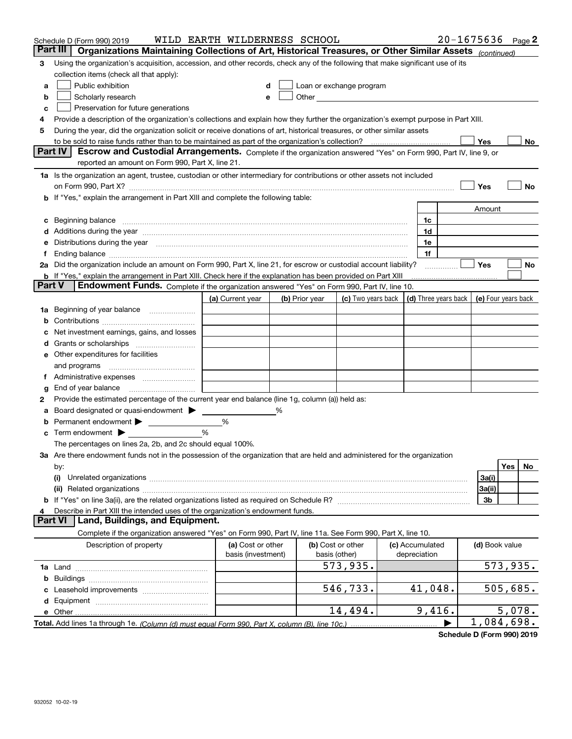|               | Schedule D (Form 990) 2019                                                                                                                                                                                                           | WILD EARTH WILDERNESS SCHOOL |   |                |                                                   |                      |                | $20 - 1675636$ Page 2 |
|---------------|--------------------------------------------------------------------------------------------------------------------------------------------------------------------------------------------------------------------------------------|------------------------------|---|----------------|---------------------------------------------------|----------------------|----------------|-----------------------|
|               | Part III<br>Organizations Maintaining Collections of Art, Historical Treasures, or Other Similar Assets (continued)                                                                                                                  |                              |   |                |                                                   |                      |                |                       |
| 3             | Using the organization's acquisition, accession, and other records, check any of the following that make significant use of its                                                                                                      |                              |   |                |                                                   |                      |                |                       |
|               | collection items (check all that apply):                                                                                                                                                                                             |                              |   |                |                                                   |                      |                |                       |
| a             | Public exhibition                                                                                                                                                                                                                    | d                            |   |                | Loan or exchange program                          |                      |                |                       |
| b             | Scholarly research                                                                                                                                                                                                                   |                              | e |                | Other <u>with the contract of the contract of</u> |                      |                |                       |
| c             | Preservation for future generations                                                                                                                                                                                                  |                              |   |                |                                                   |                      |                |                       |
| 4             | Provide a description of the organization's collections and explain how they further the organization's exempt purpose in Part XIII.                                                                                                 |                              |   |                |                                                   |                      |                |                       |
| 5             | During the year, did the organization solicit or receive donations of art, historical treasures, or other similar assets                                                                                                             |                              |   |                |                                                   |                      |                |                       |
|               | to be sold to raise funds rather than to be maintained as part of the organization's collection?                                                                                                                                     |                              |   |                |                                                   |                      | Yes            | No                    |
|               | <b>Part IV</b><br>Escrow and Custodial Arrangements. Complete if the organization answered "Yes" on Form 990, Part IV, line 9, or                                                                                                    |                              |   |                |                                                   |                      |                |                       |
|               | reported an amount on Form 990, Part X, line 21.                                                                                                                                                                                     |                              |   |                |                                                   |                      |                |                       |
|               | 1a Is the organization an agent, trustee, custodian or other intermediary for contributions or other assets not included                                                                                                             |                              |   |                |                                                   |                      |                |                       |
|               | on Form 990, Part X? [11] matter and the contract of the contract of the contract of the contract of the contract of the contract of the contract of the contract of the contract of the contract of the contract of the contr       |                              |   |                |                                                   |                      | Yes            | No                    |
| b             | If "Yes," explain the arrangement in Part XIII and complete the following table:                                                                                                                                                     |                              |   |                |                                                   |                      |                |                       |
|               |                                                                                                                                                                                                                                      |                              |   |                |                                                   |                      | Amount         |                       |
| c             | Beginning balance <b>contract to the contract of the contract of the contract of the contract of the contract of the contract of the contract of the contract of the contract of the contract of the contract of the contract of</b> |                              |   |                |                                                   | 1c                   |                |                       |
|               | Additions during the year manufactured and an account of the year manufactured and account of the year manufactured and account of the year manufactured and account of the year manufactured and account of the year manufact       |                              |   |                |                                                   | 1d                   |                |                       |
|               | Distributions during the year manufactured and continuum control of the year manufactured and control of the year manufactured and control of the year manufactured and control of the state of the state of the state of the        |                              |   |                |                                                   | 1e                   |                |                       |
|               |                                                                                                                                                                                                                                      |                              |   |                |                                                   | 1f                   |                |                       |
|               | 2a Did the organization include an amount on Form 990, Part X, line 21, for escrow or custodial account liability?                                                                                                                   |                              |   |                |                                                   | .                    | Yes            | No                    |
| <b>Part V</b> | <b>b</b> If "Yes," explain the arrangement in Part XIII. Check here if the explanation has been provided on Part XIII<br>Endowment Funds. Complete if the organization answered "Yes" on Form 990, Part IV, line 10.                 |                              |   |                |                                                   |                      |                |                       |
|               |                                                                                                                                                                                                                                      | (a) Current year             |   |                | (c) Two years back                                | (d) Three years back |                | (e) Four years back   |
|               |                                                                                                                                                                                                                                      |                              |   | (b) Prior year |                                                   |                      |                |                       |
| 1a            | Beginning of year balance                                                                                                                                                                                                            |                              |   |                |                                                   |                      |                |                       |
|               | Net investment earnings, gains, and losses                                                                                                                                                                                           |                              |   |                |                                                   |                      |                |                       |
|               |                                                                                                                                                                                                                                      |                              |   |                |                                                   |                      |                |                       |
|               | Other expenditures for facilities                                                                                                                                                                                                    |                              |   |                |                                                   |                      |                |                       |
| е             | and programs                                                                                                                                                                                                                         |                              |   |                |                                                   |                      |                |                       |
|               |                                                                                                                                                                                                                                      |                              |   |                |                                                   |                      |                |                       |
| g             | End of year balance                                                                                                                                                                                                                  |                              |   |                |                                                   |                      |                |                       |
| 2             | Provide the estimated percentage of the current year end balance (line 1g, column (a)) held as:                                                                                                                                      |                              |   |                |                                                   |                      |                |                       |
|               | Board designated or quasi-endowment > ____                                                                                                                                                                                           |                              | % |                |                                                   |                      |                |                       |
| b             |                                                                                                                                                                                                                                      | %                            |   |                |                                                   |                      |                |                       |
| c             | Term endowment $\blacktriangleright$                                                                                                                                                                                                 | %                            |   |                |                                                   |                      |                |                       |
|               | The percentages on lines 2a, 2b, and 2c should equal 100%.                                                                                                                                                                           |                              |   |                |                                                   |                      |                |                       |
|               | 3a Are there endowment funds not in the possession of the organization that are held and administered for the organization                                                                                                           |                              |   |                |                                                   |                      |                |                       |
|               | by:                                                                                                                                                                                                                                  |                              |   |                |                                                   |                      |                | Yes<br>No             |
|               | (i)                                                                                                                                                                                                                                  |                              |   |                |                                                   |                      | 3a(i)          |                       |
|               |                                                                                                                                                                                                                                      |                              |   |                |                                                   |                      | 3a(ii)         |                       |
|               |                                                                                                                                                                                                                                      |                              |   |                |                                                   |                      | 3b             |                       |
| 4             | Describe in Part XIII the intended uses of the organization's endowment funds.                                                                                                                                                       |                              |   |                |                                                   |                      |                |                       |
|               | Land, Buildings, and Equipment.<br><b>Part VI</b>                                                                                                                                                                                    |                              |   |                |                                                   |                      |                |                       |
|               | Complete if the organization answered "Yes" on Form 990, Part IV, line 11a. See Form 990, Part X, line 10.                                                                                                                           |                              |   |                |                                                   |                      |                |                       |
|               | Description of property                                                                                                                                                                                                              | (a) Cost or other            |   |                | (b) Cost or other                                 | (c) Accumulated      | (d) Book value |                       |
|               |                                                                                                                                                                                                                                      | basis (investment)           |   |                | basis (other)                                     | depreciation         |                |                       |
|               |                                                                                                                                                                                                                                      |                              |   |                | 573,935.                                          |                      |                | 573,935.              |
|               |                                                                                                                                                                                                                                      |                              |   |                |                                                   |                      |                |                       |
|               |                                                                                                                                                                                                                                      |                              |   |                | 546,733.                                          | 41,048.              |                | 505,685.              |
|               |                                                                                                                                                                                                                                      |                              |   |                |                                                   |                      |                |                       |
|               | e Other                                                                                                                                                                                                                              |                              |   |                | 14,494.                                           | 9,416.               |                | 5,078.                |
|               | Total. Add lines 1a through 1e. (Column (d) must equal Form 990. Part X. column (B). line 10c.)                                                                                                                                      |                              |   |                |                                                   |                      |                | 1,084,698.            |

Schedule D (Form 990) 2019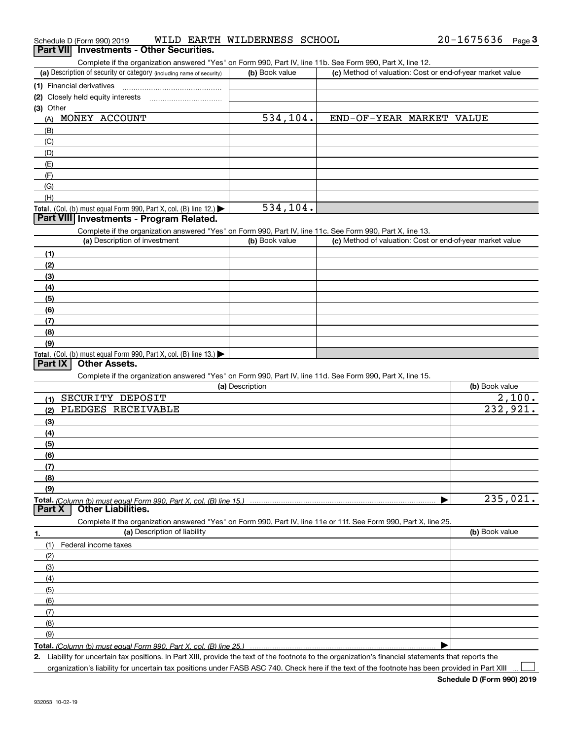|  | Schedule D (Form 990) 2019 |  |  | WILD EARTH WILDERNESS SCHOOL |  | $20 - 1675636$ | Page 3 |  |
|--|----------------------------|--|--|------------------------------|--|----------------|--------|--|
|--|----------------------------|--|--|------------------------------|--|----------------|--------|--|

#### **Part VII** Investments - Other Securities.

Complete if the organization answered "Yes" on Form 990, Part IV, line 11b. See Form 990, Part X, line 12.

| (a) Description of security or category (including name of security) | (b) Book value | (c) Method of valuation: Cost or end-of-year market value |
|----------------------------------------------------------------------|----------------|-----------------------------------------------------------|
| (1) Financial derivatives                                            |                |                                                           |
| (2) Closely held equity interests                                    |                |                                                           |
| (3) Other                                                            |                |                                                           |
| MONEY ACCOUNT<br>(A)                                                 | 534, 104.      | END-OF-YEAR MARKET VALUE                                  |
| (B)                                                                  |                |                                                           |
| (C)                                                                  |                |                                                           |
| (D)                                                                  |                |                                                           |
| (E)                                                                  |                |                                                           |
| (F)                                                                  |                |                                                           |
| (G)                                                                  |                |                                                           |
| (H)                                                                  |                |                                                           |
| Total. (Col. (b) must equal Form 990, Part X, col. (B) line $12$ .)  | 534,104.       |                                                           |

#### Part VIII Investments - Program Related.

Complete if the organization answered "Yes" on Form 990, Part IV, line 11c. See Form 990, Part X, line 13.

| (a) Description of investment                                       | (b) Book value | (c) Method of valuation: Cost or end-of-year market value |
|---------------------------------------------------------------------|----------------|-----------------------------------------------------------|
| (1)                                                                 |                |                                                           |
| (2)                                                                 |                |                                                           |
| (3)                                                                 |                |                                                           |
| (4)                                                                 |                |                                                           |
| (5)                                                                 |                |                                                           |
| (6)                                                                 |                |                                                           |
| (7)                                                                 |                |                                                           |
| (8)                                                                 |                |                                                           |
| (9)                                                                 |                |                                                           |
| Total. (Col. (b) must equal Form 990, Part X, col. (B) line $13$ .) |                |                                                           |

#### **Part IX Other Assets.**

Complete if the organization answered "Yes" on Form 990, Part IV, line 11d. See Form 990, Part X, line 15.

| (a) Description                                                                                                   | (b) Book value |
|-------------------------------------------------------------------------------------------------------------------|----------------|
| SECURITY DEPOSIT<br>(1)                                                                                           | 2,100.         |
| PLEDGES RECEIVABLE<br>(2)                                                                                         | 232,921.       |
| (3)                                                                                                               |                |
| (4)                                                                                                               |                |
| (5)                                                                                                               |                |
| (6)                                                                                                               |                |
| (7)                                                                                                               |                |
| (8)                                                                                                               |                |
| (9)                                                                                                               |                |
|                                                                                                                   | 235,021.       |
| <b>Other Liabilities.</b><br>Part X                                                                               |                |
| Complete if the organization answered "Yes" on Form 990, Part IV, line 11e or 11f. See Form 990, Part X, line 25. |                |
| (a) Description of liability<br>1.                                                                                | (b) Book value |
| Federal income taxes<br>(1)                                                                                       |                |
| (2)                                                                                                               |                |
| (3)                                                                                                               |                |
| (4)                                                                                                               |                |
| (5)                                                                                                               |                |
| (6)                                                                                                               |                |
| (7)                                                                                                               |                |
| (8)                                                                                                               |                |
| (9)                                                                                                               |                |

Total. (Column (b) must equal Form 990, Part X, col. (B) line 25.) |

2. Liability for uncertain tax positions. In Part XIII, provide the text of the footnote to the organization's financial statements that reports the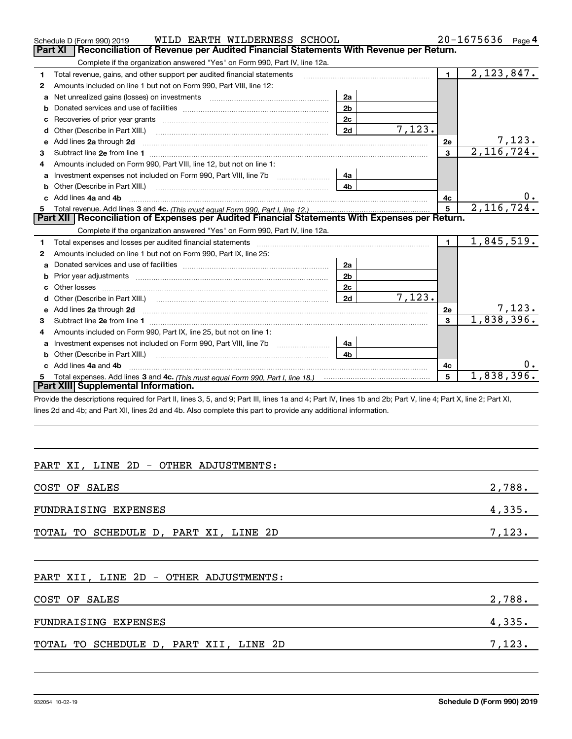|                                                                                                  | WILD EARTH WILDERNESS SCHOOL<br>Schedule D (Form 990) 2019                                                                                                                    |                |        |                | $20 - 1675636$ Page 4 |
|--------------------------------------------------------------------------------------------------|-------------------------------------------------------------------------------------------------------------------------------------------------------------------------------|----------------|--------|----------------|-----------------------|
|                                                                                                  | Reconciliation of Revenue per Audited Financial Statements With Revenue per Return.<br>Part XI                                                                                |                |        |                |                       |
|                                                                                                  | Complete if the organization answered "Yes" on Form 990, Part IV, line 12a.                                                                                                   |                |        |                |                       |
| 1                                                                                                | Total revenue, gains, and other support per audited financial statements                                                                                                      |                |        | $\blacksquare$ | 2, 123, 847.          |
| 2                                                                                                | Amounts included on line 1 but not on Form 990, Part VIII, line 12:                                                                                                           |                |        |                |                       |
| a                                                                                                | 2a                                                                                                                                                                            |                |        |                |                       |
|                                                                                                  | 2 <sub>b</sub><br>b                                                                                                                                                           |                |        |                |                       |
|                                                                                                  |                                                                                                                                                                               | 2 <sub>c</sub> |        |                |                       |
| d                                                                                                |                                                                                                                                                                               | 2d             | 7,123. |                |                       |
| e                                                                                                | Add lines 2a through 2d                                                                                                                                                       |                |        | 2e             | 7,123 <b>.</b>        |
| 3                                                                                                |                                                                                                                                                                               |                |        | 3              | 2,116,724.            |
| 4                                                                                                | Amounts included on Form 990, Part VIII, line 12, but not on line 1:                                                                                                          |                |        |                |                       |
| a                                                                                                |                                                                                                                                                                               | 4a             |        |                |                       |
| b                                                                                                | Other (Describe in Part XIII.) <b>Construction Contract Construction</b> Chemistry Chemistry Chemistry Chemistry Chemistry                                                    | 4 <sub>b</sub> |        |                |                       |
|                                                                                                  | Add lines 4a and 4b                                                                                                                                                           |                |        | 4c             | 0.                    |
| 5                                                                                                |                                                                                                                                                                               |                | 5      | 2,116,724.     |                       |
| Part XII   Reconciliation of Expenses per Audited Financial Statements With Expenses per Return. |                                                                                                                                                                               |                |        |                |                       |
|                                                                                                  | Complete if the organization answered "Yes" on Form 990, Part IV, line 12a.                                                                                                   |                |        |                |                       |
| 1                                                                                                |                                                                                                                                                                               |                |        | $\blacksquare$ | 1,845,519.            |
| 2                                                                                                | Amounts included on line 1 but not on Form 990, Part IX, line 25:                                                                                                             |                |        |                |                       |
|                                                                                                  |                                                                                                                                                                               | 2a             |        |                |                       |
|                                                                                                  |                                                                                                                                                                               | 2 <sub>b</sub> |        |                |                       |
| C.                                                                                               |                                                                                                                                                                               | 2 <sub>c</sub> |        |                |                       |
| d                                                                                                |                                                                                                                                                                               | 2d             | 7,123. |                |                       |
|                                                                                                  |                                                                                                                                                                               |                |        | 2e             | 7,123.                |
| 3                                                                                                |                                                                                                                                                                               |                |        | 3              | 1,838,396.            |
| 4                                                                                                | Amounts included on Form 990, Part IX, line 25, but not on line 1:                                                                                                            |                |        |                |                       |
|                                                                                                  | Investment expenses not included on Form 990, Part VIII, line 7b [11, 111, 111, 111]<br>4a                                                                                    |                |        |                |                       |
|                                                                                                  |                                                                                                                                                                               | 4 <sub>b</sub> |        |                |                       |
|                                                                                                  | c Add lines 4a and 4b                                                                                                                                                         |                |        | 4c             | $0 \cdot$             |
|                                                                                                  |                                                                                                                                                                               |                | 5      | 1,838,396.     |                       |
| Part XIII Supplemental Information.                                                              |                                                                                                                                                                               |                |        |                |                       |
|                                                                                                  | Drovide the descriptions required for Dart II, lines 3, 5, and Q: Dart III, lines 1a and 4: Dart IV, lines 1b and 2b: Dart V, line 4: Dart Y, line 2: Dart Y, line 2: Dart YI |                |        |                |                       |

ovide the descriptions required for Part II, lines 3, 5, and 9; Part III, lines 1a and 4; Part IV, lines 1b and 2b; Part V, line 4; Part X, line 2; Part XI, lines 2d and 4b; and Part XII, lines 2d and 4b. Also complete this part to provide any additional information.

### PART XI, LINE 2D - OTHER ADJUSTMENTS:

| COST OF SALES                         | 2,788. |
|---------------------------------------|--------|
| FUNDRAISING EXPENSES                  | 4,335. |
| TOTAL TO SCHEDULE D, PART XI, LINE 2D | 7,123. |

#### PART XII, LINE 2D - OTHER ADJUSTMENTS:

| COST OF SALES                          | 2,788. |
|----------------------------------------|--------|
| FUNDRAISING EXPENSES                   | 4,335. |
| TOTAL TO SCHEDULE D, PART XII, LINE 2D | 7,123. |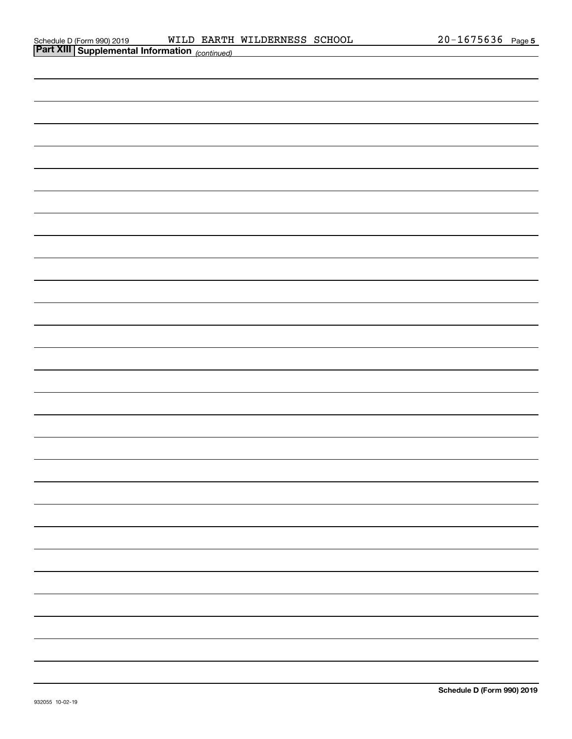| <b>Part XIII Supplemental Information</b> (continued) |
|-------------------------------------------------------|
|                                                       |
|                                                       |
|                                                       |
|                                                       |
|                                                       |
|                                                       |
|                                                       |
|                                                       |
|                                                       |
|                                                       |
|                                                       |
|                                                       |
|                                                       |
|                                                       |
|                                                       |
|                                                       |
|                                                       |
|                                                       |
|                                                       |
|                                                       |
|                                                       |
|                                                       |
|                                                       |
|                                                       |
|                                                       |
|                                                       |
|                                                       |
|                                                       |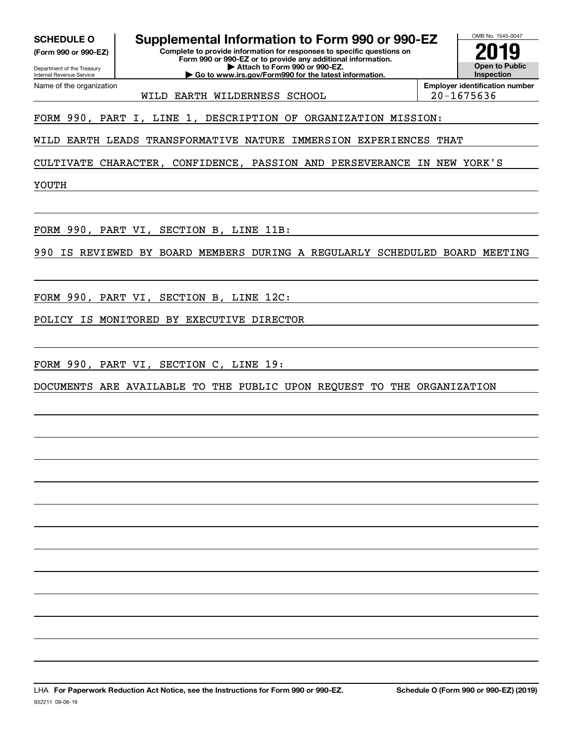(Form 990 or 990-EZ)

Name of the organization

Complete to provide information for responses to specific questions on SCHEDULE O Supplemental Information to Form 990 or 990-EZ  $\frac{1008 \text{ No. 1545-004}}{2019}$ 

Department of the Treasury Internal Revenue Service

Form 990 or 990-EZ or to provide any additional information. | Attach to Form 990 or 990-EZ. | Go to www.irs.gov/Form990 for the latest information.

OMB No. 1545-0047 Open to Public Inspection

WILD EARTH WILDERNESS SCHOOL 20-1675636

Employer identification number

FORM 990, PART I, LINE 1, DESCRIPTION OF ORGANIZATION MISSION:

WILD EARTH LEADS TRANSFORMATIVE NATURE IMMERSION EXPERIENCES THAT

CULTIVATE CHARACTER, CONFIDENCE, PASSION AND PERSEVERANCE IN NEW YORK'S

YOUTH

FORM 990, PART VI, SECTION B, LINE 11B:

990 IS REVIEWED BY BOARD MEMBERS DURING A REGULARLY SCHEDULED BOARD MEETING

FORM 990, PART VI, SECTION B, LINE 12C:

POLICY IS MONITORED BY EXECUTIVE DIRECTOR

FORM 990, PART VI, SECTION C, LINE 19:

DOCUMENTS ARE AVAILABLE TO THE PUBLIC UPON REQUEST TO THE ORGANIZATION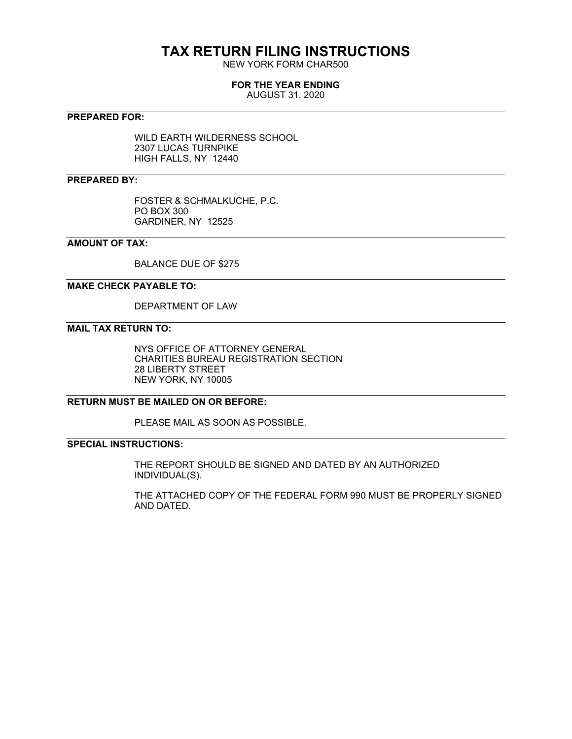## **TAX RETURN FILING INSTRUCTIONS**

NEW YORK FORM CHAR500

#### **FOR THE YEAR ENDING**

AUGUST 31, 2020

#### **PREPARED FOR:**

WILD EARTH WILDERNESS SCHOOL 2307 LUCAS TURNPIKE HIGH FALLS, NY 12440

#### **PREPARED BY:**

FOSTER & SCHMALKUCHE, P.C. PO BOX 300 GARDINER, NY 12525

#### **AMOUNT OF TAX:**

BALANCE DUE OF \$275

#### **MAKE CHECK PAYABLE TO:**

DEPARTMENT OF LAW

#### **MAIL TAX RETURN TO:**

NYS OFFICE OF ATTORNEY GENERAL CHARITIES BUREAU REGISTRATION SECTION 28 LIBERTY STREET NEW YORK, NY 10005

#### **RETURN MUST BE MAILED ON OR BEFORE:**

PLEASE MAIL AS SOON AS POSSIBLE.

#### **SPECIAL INSTRUCTIONS:**

THE REPORT SHOULD BE SIGNED AND DATED BY AN AUTHORIZED INDIVIDUAL(S).

THE ATTACHED COPY OF THE FEDERAL FORM 990 MUST BE PROPERLY SIGNED AND DATED.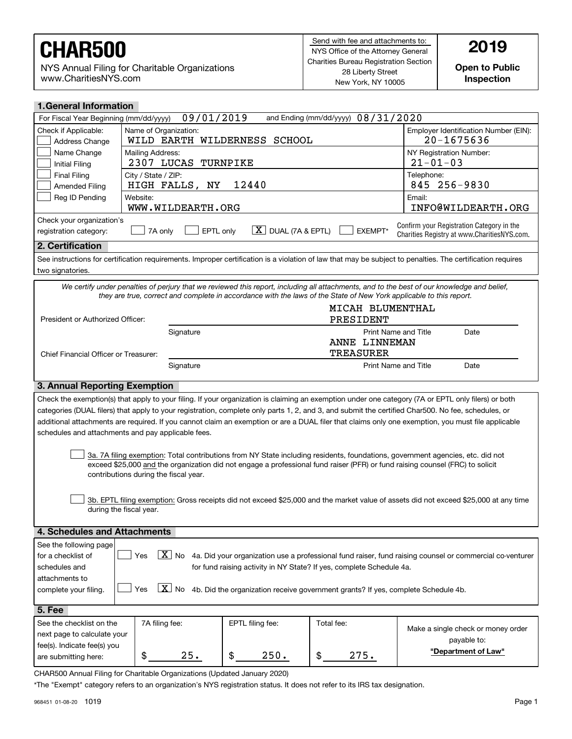NYS Annual Filing for Charitable Organizations www.CharitiesNYS.com

Open to Public Inspection

| <b>1. General Information</b>                                                                                                                                                                                                                                                                            |                                                                                                                                                                                                   |                  |                                   |                                                                                                                                                            |  |
|----------------------------------------------------------------------------------------------------------------------------------------------------------------------------------------------------------------------------------------------------------------------------------------------------------|---------------------------------------------------------------------------------------------------------------------------------------------------------------------------------------------------|------------------|-----------------------------------|------------------------------------------------------------------------------------------------------------------------------------------------------------|--|
| 09/01/2019<br>and Ending (mm/dd/yyyy) 08/31/2020<br>For Fiscal Year Beginning (mm/dd/yyyy)                                                                                                                                                                                                               |                                                                                                                                                                                                   |                  |                                   |                                                                                                                                                            |  |
| Check if Applicable:<br>Address Change                                                                                                                                                                                                                                                                   | Name of Organization:<br>20-1675636<br>WILD EARTH WILDERNESS SCHOOL                                                                                                                               |                  |                                   | Employer Identification Number (EIN):                                                                                                                      |  |
| Name Change<br><b>Initial Filing</b>                                                                                                                                                                                                                                                                     | Mailing Address:<br>NY Registration Number:<br>$21 - 01 - 03$<br>2307 LUCAS TURNPIKE                                                                                                              |                  |                                   |                                                                                                                                                            |  |
| <b>Final Filing</b><br><b>Amended Filing</b>                                                                                                                                                                                                                                                             | Telephone:<br>City / State / ZIP:<br>12440<br>HIGH FALLS, NY                                                                                                                                      |                  |                                   | 845 256-9830                                                                                                                                               |  |
| Reg ID Pending                                                                                                                                                                                                                                                                                           | Website:<br>WWW.WILDEARTH.ORG                                                                                                                                                                     |                  |                                   | Email:<br>INFO@WILDEARTH.ORG                                                                                                                               |  |
| registration category:                                                                                                                                                                                                                                                                                   | Check your organization's<br>Confirm your Registration Category in the<br>$\boxed{\textbf{X}}$ DUAL (7A & EPTL)<br>7A only<br>EPTL only<br>EXEMPT*<br>Charities Registry at www.CharitiesNYS.com. |                  |                                   |                                                                                                                                                            |  |
| 2. Certification                                                                                                                                                                                                                                                                                         |                                                                                                                                                                                                   |                  |                                   |                                                                                                                                                            |  |
| two signatories.                                                                                                                                                                                                                                                                                         |                                                                                                                                                                                                   |                  |                                   | See instructions for certification requirements. Improper certification is a violation of law that may be subject to penalties. The certification requires |  |
|                                                                                                                                                                                                                                                                                                          | they are true, correct and complete in accordance with the laws of the State of New York applicable to this report.                                                                               |                  |                                   | We certify under penalties of perjury that we reviewed this report, including all attachments, and to the best of our knowledge and belief,                |  |
|                                                                                                                                                                                                                                                                                                          |                                                                                                                                                                                                   |                  | MICAH BLUMENTHAL                  |                                                                                                                                                            |  |
| President or Authorized Officer:                                                                                                                                                                                                                                                                         |                                                                                                                                                                                                   |                  | PRESIDENT                         |                                                                                                                                                            |  |
|                                                                                                                                                                                                                                                                                                          | Signature                                                                                                                                                                                         |                  | ANNE LINNEMAN<br><b>TREASURER</b> | <b>Print Name and Title</b><br>Date                                                                                                                        |  |
| Chief Financial Officer or Treasurer:                                                                                                                                                                                                                                                                    | Signature                                                                                                                                                                                         |                  |                                   | <b>Print Name and Title</b><br>Date                                                                                                                        |  |
|                                                                                                                                                                                                                                                                                                          |                                                                                                                                                                                                   |                  |                                   |                                                                                                                                                            |  |
| <b>3. Annual Reporting Exemption</b>                                                                                                                                                                                                                                                                     |                                                                                                                                                                                                   |                  |                                   |                                                                                                                                                            |  |
|                                                                                                                                                                                                                                                                                                          |                                                                                                                                                                                                   |                  |                                   | Check the exemption(s) that apply to your filing. If your organization is claiming an exemption under one category (7A or EPTL only filers) or both        |  |
|                                                                                                                                                                                                                                                                                                          |                                                                                                                                                                                                   |                  |                                   | categories (DUAL filers) that apply to your registration, complete only parts 1, 2, and 3, and submit the certified Char500. No fee, schedules, or         |  |
|                                                                                                                                                                                                                                                                                                          | schedules and attachments and pay applicable fees.                                                                                                                                                |                  |                                   | additional attachments are required. If you cannot claim an exemption or are a DUAL filer that claims only one exemption, you must file applicable         |  |
| 3a. 7A filing exemption: Total contributions from NY State including residents, foundations, government agencies, etc. did not<br>exceed \$25,000 and the organization did not engage a professional fund raiser (PFR) or fund raising counsel (FRC) to solicit<br>contributions during the fiscal year. |                                                                                                                                                                                                   |                  |                                   |                                                                                                                                                            |  |
| 3b. EPTL filing exemption: Gross receipts did not exceed \$25,000 and the market value of assets did not exceed \$25,000 at any time<br>during the fiscal year.                                                                                                                                          |                                                                                                                                                                                                   |                  |                                   |                                                                                                                                                            |  |
| 4. Schedules and Attachments                                                                                                                                                                                                                                                                             |                                                                                                                                                                                                   |                  |                                   |                                                                                                                                                            |  |
| See the following page<br>$\boxed{\text{X}}$ No 4a. Did your organization use a professional fund raiser, fund raising counsel or commercial co-venturer<br>for a checklist of<br>Yes                                                                                                                    |                                                                                                                                                                                                   |                  |                                   |                                                                                                                                                            |  |
| for fund raising activity in NY State? If yes, complete Schedule 4a.<br>schedules and<br>attachments to                                                                                                                                                                                                  |                                                                                                                                                                                                   |                  |                                   |                                                                                                                                                            |  |
| $X$ No<br>4b. Did the organization receive government grants? If yes, complete Schedule 4b.<br>Yes<br>complete your filing.                                                                                                                                                                              |                                                                                                                                                                                                   |                  |                                   |                                                                                                                                                            |  |
| 5. Fee                                                                                                                                                                                                                                                                                                   |                                                                                                                                                                                                   |                  |                                   |                                                                                                                                                            |  |
| See the checklist on the                                                                                                                                                                                                                                                                                 | 7A filing fee:                                                                                                                                                                                    | EPTL filing fee: | Total fee:                        |                                                                                                                                                            |  |
| next page to calculate your                                                                                                                                                                                                                                                                              |                                                                                                                                                                                                   |                  |                                   | Make a single check or money order                                                                                                                         |  |
| fee(s). Indicate fee(s) you<br>are submitting here:                                                                                                                                                                                                                                                      | \$<br>25.                                                                                                                                                                                         | \$<br>250.       | \$<br>275.                        | payable to:<br>"Department of Law"                                                                                                                         |  |
|                                                                                                                                                                                                                                                                                                          |                                                                                                                                                                                                   |                  |                                   |                                                                                                                                                            |  |

CHAR500 Annual Filing for Charitable Organizations (Updated January 2020)

\*The "Exempt" category refers to an organization's NYS registration status. It does not refer to its IRS tax designation.